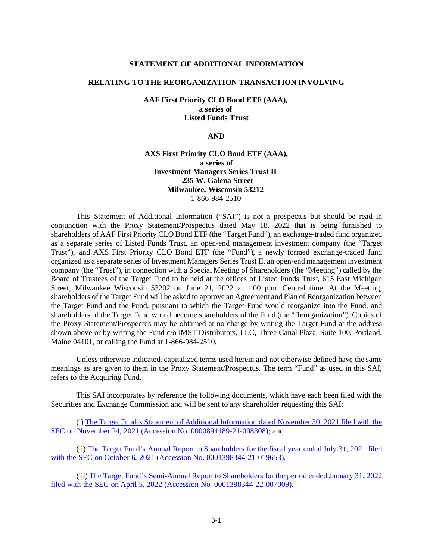### **STATEMENT OF ADDITIONAL INFORMATION**

#### **RELATING TO THE REORGANIZATION TRANSACTION INVOLVING**

**AAF First Priority CLO Bond ETF (AAA), a series of Listed Funds Trust**

### **AND**

## **AXS First Priority CLO Bond ETF (AAA), a series of Investment Managers Series Trust II 235 W. Galena Street Milwaukee, Wisconsin 53212** 1-866-984-2510

This Statement of Additional Information ("SAI") is not a prospectus but should be read in conjunction with the Proxy Statement/Prospectus dated May 18, 2022 that is being furnished to shareholders of AAF First Priority CLO Bond ETF (the "Target Fund"), an exchange-traded fund organized as a separate series of Listed Funds Trust, an open-end management investment company (the "Target Trust"), and AXS First Priority CLO Bond ETF (the "Fund"), a newly formed exchange-traded fund organized as a separate series of Investment Managers Series Trust II, an open-end management investment company (the "Trust"), in connection with a Special Meeting of Shareholders (the "Meeting") called by the Board of Trustees of the Target Fund to be held at the offices of Listed Funds Trust, 615 East Michigan Street, Milwaukee Wisconsin 53202 on June 21, 2022 at 1:00 p.m. Central time. At the Meeting, shareholders of the Target Fund will be asked to approve an Agreement and Plan of Reorganization between the Target Fund and the Fund, pursuant to which the Target Fund would reorganize into the Fund, and shareholders of the Target Fund would become shareholders of the Fund (the "Reorganization"). Copies of the Proxy Statement/Prospectus may be obtained at no charge by writing the Target Fund at the address shown above or by writing the Fund c/o IMST Distributors, LLC, Three Canal Plaza, Suite 100, Portland, Maine 04101, or calling the Fund at 1-866-984-2510.

Unless otherwise indicated, capitalized terms used herein and not otherwise defined have the same meanings as are given to them in the Proxy Statement/Prospectus. The term "Fund" as used in this SAI, refers to the Acquiring Fund.

This SAI incorporates by reference the following documents, which have each been filed with the Securities and Exchange Commission and will be sent to any shareholder requesting this SAI:

(i) [The Target Fund's Statement of Additional Information dated November 30, 2021 filed with the](https://www.sec.gov/ix?doc=/Archives/edgar/data/1683471/000089418921008308/ck0001683471-20210731.htm)  [SEC on November 24, 2021 \(Accession No. 0000894189-21-008308\);](https://www.sec.gov/ix?doc=/Archives/edgar/data/1683471/000089418921008308/ck0001683471-20210731.htm) and

(ii) [The Target Fund's Annual Report to Shareholders for the fiscal year ended July](https://www.sec.gov/Archives/edgar/data/1683471/000139834421019653/fp0068859_ncsr.htm) 31, 2021 filed [with the SEC on October 6, 2021 \(Accession No. 0001398344-21-019653\).](https://www.sec.gov/Archives/edgar/data/1683471/000139834421019653/fp0068859_ncsr.htm)

(iii) [The Target Fund's Semi-Annual Report to Shareholders for the period ended January 31, 2022](https://www.sec.gov/Archives/edgar/data/1683471/000139834422007009/fp0074534_ncsrs.htm)  [filed with the SEC on April 5, 2022 \(Accession](https://www.sec.gov/Archives/edgar/data/1683471/000139834422007009/fp0074534_ncsrs.htm) No. 0001398344-22-007009).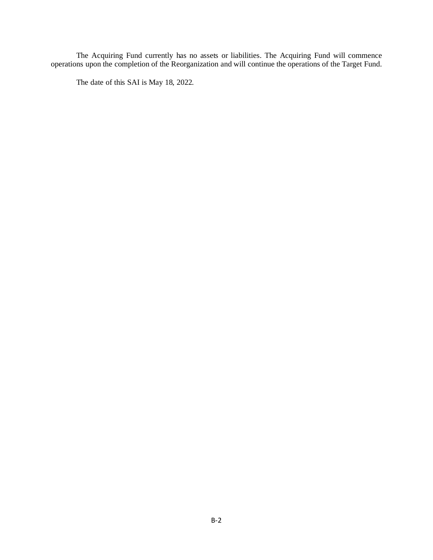The Acquiring Fund currently has no assets or liabilities. The Acquiring Fund will commence operations upon the completion of the Reorganization and will continue the operations of the Target Fund.

The date of this SAI is May 18, 2022.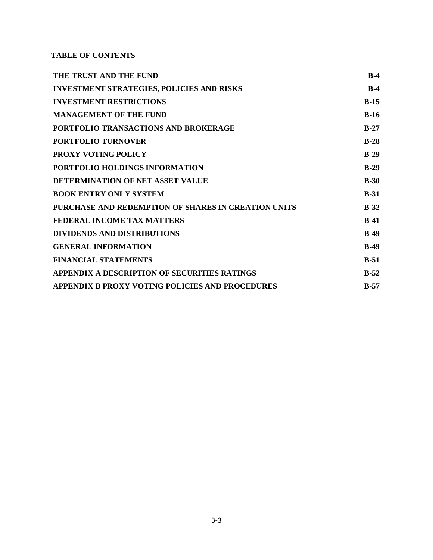# **TABLE OF CONTENTS**

| THE TRUST AND THE FUND                              | $R-4$  |
|-----------------------------------------------------|--------|
| <b>INVESTMENT STRATEGIES, POLICIES AND RISKS</b>    | $R-4$  |
| <b>INVESTMENT RESTRICTIONS</b>                      | $B-15$ |
| <b>MANAGEMENT OF THE FUND</b>                       | $B-16$ |
| <b>PORTFOLIO TRANSACTIONS AND BROKERAGE</b>         | $R-27$ |
| <b>PORTFOLIO TURNOVER</b>                           | $R-28$ |
| PROXY VOTING POLICY                                 | $B-29$ |
| PORTFOLIO HOLDINGS INFORMATION                      | $R-29$ |
| DETERMINATION OF NET ASSET VALUE                    | $R-30$ |
| <b>BOOK ENTRY ONLY SYSTEM</b>                       | $B-31$ |
| PURCHASE AND REDEMPTION OF SHARES IN CREATION UNITS | $R-32$ |
| <b>FEDERAL INCOME TAX MATTERS</b>                   | $R-41$ |
| <b>DIVIDENDS AND DISTRIBUTIONS</b>                  | $R-49$ |
| <b>GENERAL INFORMATION</b>                          | $B-49$ |
| <b>FINANCIAL STATEMENTS</b>                         | $R-51$ |
| APPENDIX A DESCRIPTION OF SECURITIES RATINGS        | $B-52$ |
| APPENDIX B PROXY VOTING POLICIES AND PROCEDURES     | $R-57$ |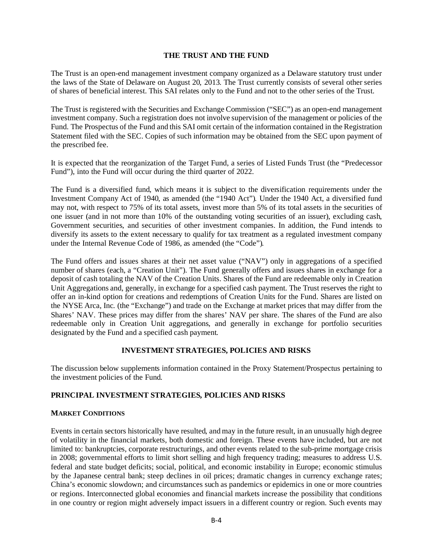### **THE TRUST AND THE FUND**

The Trust is an open-end management investment company organized as a Delaware statutory trust under the laws of the State of Delaware on August 20, 2013. The Trust currently consists of several other series of shares of beneficial interest. This SAI relates only to the Fund and not to the other series of the Trust.

The Trust is registered with the Securities and Exchange Commission ("SEC") as an open-end management investment company. Such a registration does not involve supervision of the management or policies of the Fund. The Prospectus of the Fund and this SAI omit certain of the information contained in the Registration Statement filed with the SEC. Copies of such information may be obtained from the SEC upon payment of the prescribed fee.

It is expected that the reorganization of the Target Fund, a series of Listed Funds Trust (the "Predecessor Fund"), into the Fund will occur during the third quarter of 2022.

The Fund is a diversified fund, which means it is subject to the diversification requirements under the Investment Company Act of 1940, as amended (the "1940 Act"). Under the 1940 Act, a diversified fund may not, with respect to 75% of its total assets, invest more than 5% of its total assets in the securities of one issuer (and in not more than 10% of the outstanding voting securities of an issuer), excluding cash, Government securities, and securities of other investment companies. In addition, the Fund intends to diversify its assets to the extent necessary to qualify for tax treatment as a regulated investment company under the Internal Revenue Code of 1986, as amended (the "Code").

The Fund offers and issues shares at their net asset value ("NAV") only in aggregations of a specified number of shares (each, a "Creation Unit"). The Fund generally offers and issues shares in exchange for a deposit of cash totaling the NAV of the Creation Units. Shares of the Fund are redeemable only in Creation Unit Aggregations and, generally, in exchange for a specified cash payment. The Trust reserves the right to offer an in-kind option for creations and redemptions of Creation Units for the Fund. Shares are listed on the NYSE Arca, Inc. (the "Exchange") and trade on the Exchange at market prices that may differ from the Shares' NAV. These prices may differ from the shares' NAV per share. The shares of the Fund are also redeemable only in Creation Unit aggregations, and generally in exchange for portfolio securities designated by the Fund and a specified cash payment.

## **INVESTMENT STRATEGIES, POLICIES AND RISKS**

The discussion below supplements information contained in the Proxy Statement/Prospectus pertaining to the investment policies of the Fund.

## **PRINCIPAL INVESTMENT STRATEGIES, POLICIES AND RISKS**

#### **MARKET CONDITIONS**

Events in certain sectors historically have resulted, and may in the future result, in an unusually high degree of volatility in the financial markets, both domestic and foreign. These events have included, but are not limited to: bankruptcies, corporate restructurings, and other events related to the sub-prime mortgage crisis in 2008; governmental efforts to limit short selling and high frequency trading; measures to address U.S. federal and state budget deficits; social, political, and economic instability in Europe; economic stimulus by the Japanese central bank; steep declines in oil prices; dramatic changes in currency exchange rates; China's economic slowdown; and circumstances such as pandemics or epidemics in one or more countries or regions. Interconnected global economies and financial markets increase the possibility that conditions in one country or region might adversely impact issuers in a different country or region. Such events may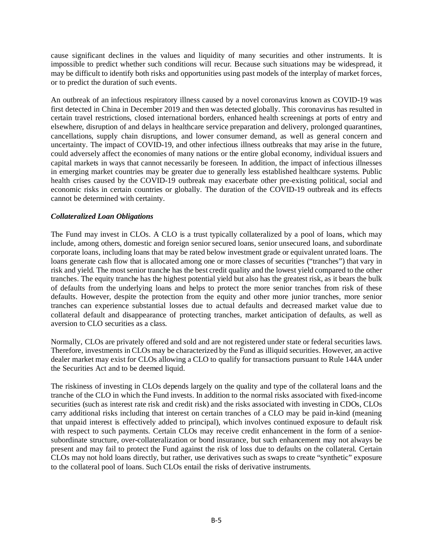cause significant declines in the values and liquidity of many securities and other instruments. It is impossible to predict whether such conditions will recur. Because such situations may be widespread, it may be difficult to identify both risks and opportunities using past models of the interplay of market forces, or to predict the duration of such events.

An outbreak of an infectious respiratory illness caused by a novel coronavirus known as COVID-19 was first detected in China in December 2019 and then was detected globally. This coronavirus has resulted in certain travel restrictions, closed international borders, enhanced health screenings at ports of entry and elsewhere, disruption of and delays in healthcare service preparation and delivery, prolonged quarantines, cancellations, supply chain disruptions, and lower consumer demand, as well as general concern and uncertainty. The impact of COVID-19, and other infectious illness outbreaks that may arise in the future, could adversely affect the economies of many nations or the entire global economy, individual issuers and capital markets in ways that cannot necessarily be foreseen. In addition, the impact of infectious illnesses in emerging market countries may be greater due to generally less established healthcare systems. Public health crises caused by the COVID-19 outbreak may exacerbate other pre-existing political, social and economic risks in certain countries or globally. The duration of the COVID-19 outbreak and its effects cannot be determined with certainty.

## *Collateralized Loan Obligations*

The Fund may invest in CLOs. A CLO is a trust typically collateralized by a pool of loans, which may include, among others, domestic and foreign senior secured loans, senior unsecured loans, and subordinate corporate loans, including loans that may be rated below investment grade or equivalent unrated loans. The loans generate cash flow that is allocated among one or more classes of securities ("tranches") that vary in risk and yield. The most senior tranche has the best credit quality and the lowest yield compared to the other tranches. The equity tranche has the highest potential yield but also has the greatest risk, as it bears the bulk of defaults from the underlying loans and helps to protect the more senior tranches from risk of these defaults. However, despite the protection from the equity and other more junior tranches, more senior tranches can experience substantial losses due to actual defaults and decreased market value due to collateral default and disappearance of protecting tranches, market anticipation of defaults, as well as aversion to CLO securities as a class.

Normally, CLOs are privately offered and sold and are not registered under state or federal securities laws. Therefore, investments in CLOs may be characterized by the Fund as illiquid securities. However, an active dealer market may exist for CLOs allowing a CLO to qualify for transactions pursuant to Rule 144A under the Securities Act and to be deemed liquid.

The riskiness of investing in CLOs depends largely on the quality and type of the collateral loans and the tranche of the CLO in which the Fund invests. In addition to the normal risks associated with fixed-income securities (such as interest rate risk and credit risk) and the risks associated with investing in CDOs, CLOs carry additional risks including that interest on certain tranches of a CLO may be paid in-kind (meaning that unpaid interest is effectively added to principal), which involves continued exposure to default risk with respect to such payments. Certain CLOs may receive credit enhancement in the form of a seniorsubordinate structure, over-collateralization or bond insurance, but such enhancement may not always be present and may fail to protect the Fund against the risk of loss due to defaults on the collateral. Certain CLOs may not hold loans directly, but rather, use derivatives such as swaps to create "synthetic" exposure to the collateral pool of loans. Such CLOs entail the risks of derivative instruments.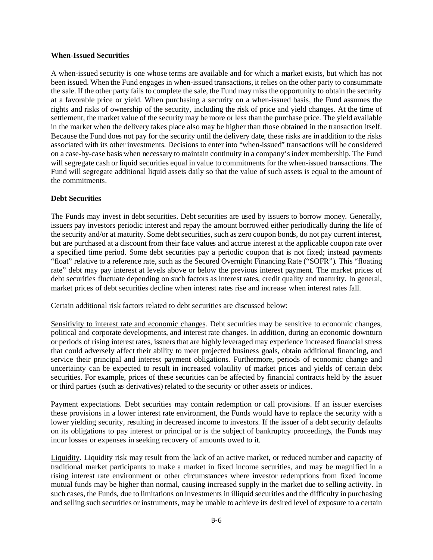#### **When-Issued Securities**

A when-issued security is one whose terms are available and for which a market exists, but which has not been issued. When the Fund engages in when-issued transactions, it relies on the other party to consummate the sale. If the other party fails to complete the sale, the Fund may miss the opportunity to obtain the security at a favorable price or yield. When purchasing a security on a when-issued basis, the Fund assumes the rights and risks of ownership of the security, including the risk of price and yield changes. At the time of settlement, the market value of the security may be more or less than the purchase price. The yield available in the market when the delivery takes place also may be higher than those obtained in the transaction itself. Because the Fund does not pay for the security until the delivery date, these risks are in addition to the risks associated with its other investments. Decisions to enter into "when-issued" transactions will be considered on a case-by-case basis when necessary to maintain continuity in a company's index membership. The Fund will segregate cash or liquid securities equal in value to commitments for the when-issued transactions. The Fund will segregate additional liquid assets daily so that the value of such assets is equal to the amount of the commitments.

## **Debt Securities**

The Funds may invest in debt securities. Debt securities are used by issuers to borrow money. Generally, issuers pay investors periodic interest and repay the amount borrowed either periodically during the life of the security and/or at maturity. Some debt securities, such as zero coupon bonds, do not pay current interest, but are purchased at a discount from their face values and accrue interest at the applicable coupon rate over a specified time period. Some debt securities pay a periodic coupon that is not fixed; instead payments "float" relative to a reference rate, such as the Secured Overnight Financing Rate ("SOFR"). This "floating rate" debt may pay interest at levels above or below the previous interest payment. The market prices of debt securities fluctuate depending on such factors as interest rates, credit quality and maturity. In general, market prices of debt securities decline when interest rates rise and increase when interest rates fall.

Certain additional risk factors related to debt securities are discussed below:

Sensitivity to interest rate and economic changes. Debt securities may be sensitive to economic changes, political and corporate developments, and interest rate changes. In addition, during an economic downturn or periods of rising interest rates, issuers that are highly leveraged may experience increased financial stress that could adversely affect their ability to meet projected business goals, obtain additional financing, and service their principal and interest payment obligations. Furthermore, periods of economic change and uncertainty can be expected to result in increased volatility of market prices and yields of certain debt securities. For example, prices of these securities can be affected by financial contracts held by the issuer or third parties (such as derivatives) related to the security or other assets or indices.

Payment expectations. Debt securities may contain redemption or call provisions. If an issuer exercises these provisions in a lower interest rate environment, the Funds would have to replace the security with a lower yielding security, resulting in decreased income to investors. If the issuer of a debt security defaults on its obligations to pay interest or principal or is the subject of bankruptcy proceedings, the Funds may incur losses or expenses in seeking recovery of amounts owed to it.

Liquidity. Liquidity risk may result from the lack of an active market, or reduced number and capacity of traditional market participants to make a market in fixed income securities, and may be magnified in a rising interest rate environment or other circumstances where investor redemptions from fixed income mutual funds may be higher than normal, causing increased supply in the market due to selling activity. In such cases, the Funds, due to limitations on investments in illiquid securities and the difficulty in purchasing and selling such securities or instruments, may be unable to achieve its desired level of exposure to a certain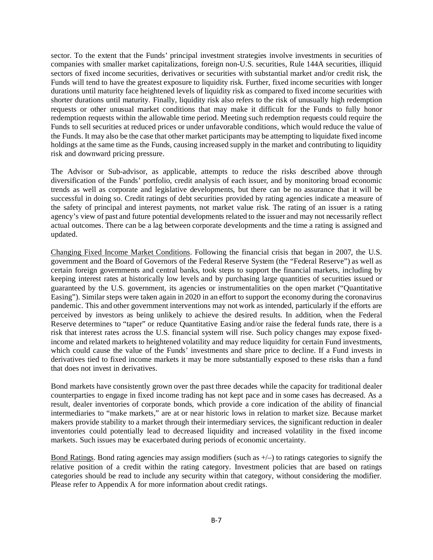sector. To the extent that the Funds' principal investment strategies involve investments in securities of companies with smaller market capitalizations, foreign non-U.S. securities, Rule 144A securities, illiquid sectors of fixed income securities, derivatives or securities with substantial market and/or credit risk, the Funds will tend to have the greatest exposure to liquidity risk. Further, fixed income securities with longer durations until maturity face heightened levels of liquidity risk as compared to fixed income securities with shorter durations until maturity. Finally, liquidity risk also refers to the risk of unusually high redemption requests or other unusual market conditions that may make it difficult for the Funds to fully honor redemption requests within the allowable time period. Meeting such redemption requests could require the Funds to sell securities at reduced prices or under unfavorable conditions, which would reduce the value of the Funds. It may also be the case that other market participants may be attempting to liquidate fixed income holdings at the same time as the Funds, causing increased supply in the market and contributing to liquidity risk and downward pricing pressure.

The Advisor or Sub-advisor, as applicable, attempts to reduce the risks described above through diversification of the Funds' portfolio, credit analysis of each issuer, and by monitoring broad economic trends as well as corporate and legislative developments, but there can be no assurance that it will be successful in doing so. Credit ratings of debt securities provided by rating agencies indicate a measure of the safety of principal and interest payments, not market value risk. The rating of an issuer is a rating agency's view of past and future potential developments related to the issuer and may not necessarily reflect actual outcomes. There can be a lag between corporate developments and the time a rating is assigned and updated.

Changing Fixed Income Market Conditions. Following the financial crisis that began in 2007, the U.S. government and the Board of Governors of the Federal Reserve System (the "Federal Reserve") as well as certain foreign governments and central banks, took steps to support the financial markets, including by keeping interest rates at historically low levels and by purchasing large quantities of securities issued or guaranteed by the U.S. government, its agencies or instrumentalities on the open market ("Quantitative Easing"). Similar steps were taken again in 2020 in an effort to support the economy during the coronavirus pandemic. This and other government interventions may not work as intended, particularly if the efforts are perceived by investors as being unlikely to achieve the desired results. In addition, when the Federal Reserve determines to "taper" or reduce Quantitative Easing and/or raise the federal funds rate, there is a risk that interest rates across the U.S. financial system will rise. Such policy changes may expose fixedincome and related markets to heightened volatility and may reduce liquidity for certain Fund investments, which could cause the value of the Funds' investments and share price to decline. If a Fund invests in derivatives tied to fixed income markets it may be more substantially exposed to these risks than a fund that does not invest in derivatives.

Bond markets have consistently grown over the past three decades while the capacity for traditional dealer counterparties to engage in fixed income trading has not kept pace and in some cases has decreased. As a result, dealer inventories of corporate bonds, which provide a core indication of the ability of financial intermediaries to "make markets," are at or near historic lows in relation to market size. Because market makers provide stability to a market through their intermediary services, the significant reduction in dealer inventories could potentially lead to decreased liquidity and increased volatility in the fixed income markets. Such issues may be exacerbated during periods of economic uncertainty.

Bond Ratings. Bond rating agencies may assign modifiers (such as  $+/-$ ) to ratings categories to signify the relative position of a credit within the rating category. Investment policies that are based on ratings categories should be read to include any security within that category, without considering the modifier. Please refer to Appendix A for more information about credit ratings.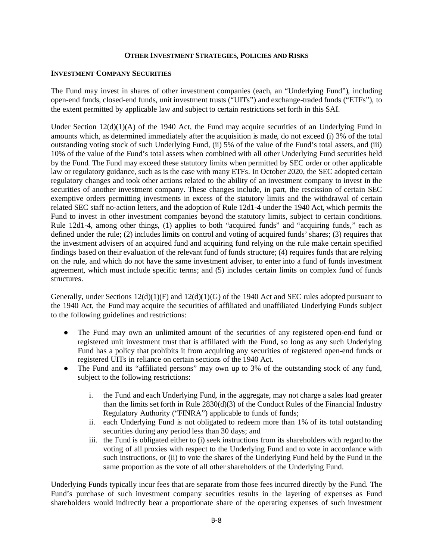#### **OTHER INVESTMENT STRATEGIES, POLICIES AND RISKS**

#### **INVESTMENT COMPANY SECURITIES**

The Fund may invest in shares of other investment companies (each, an "Underlying Fund"), including open-end funds, closed-end funds, unit investment trusts ("UITs") and exchange-traded funds ("ETFs"), to the extent permitted by applicable law and subject to certain restrictions set forth in this SAI.

Under Section  $12(d)(1)(A)$  of the 1940 Act, the Fund may acquire securities of an Underlying Fund in amounts which, as determined immediately after the acquisition is made, do not exceed (i) 3% of the total outstanding voting stock of such Underlying Fund, (ii) 5% of the value of the Fund's total assets, and (iii) 10% of the value of the Fund's total assets when combined with all other Underlying Fund securities held by the Fund. The Fund may exceed these statutory limits when permitted by SEC order or other applicable law or regulatory guidance, such as is the case with many ETFs. In October 2020, the SEC adopted certain regulatory changes and took other actions related to the ability of an investment company to invest in the securities of another investment company. These changes include, in part, the rescission of certain SEC exemptive orders permitting investments in excess of the statutory limits and the withdrawal of certain related SEC staff no-action letters, and the adoption of Rule 12d1-4 under the 1940 Act, which permits the Fund to invest in other investment companies beyond the statutory limits, subject to certain conditions. Rule 12d1-4, among other things, (1) applies to both "acquired funds" and "acquiring funds," each as defined under the rule; (2) includes limits on control and voting of acquired funds' shares; (3) requires that the investment advisers of an acquired fund and acquiring fund relying on the rule make certain specified findings based on their evaluation of the relevant fund of funds structure; (4) requires funds that are relying on the rule, and which do not have the same investment adviser, to enter into a fund of funds investment agreement, which must include specific terms; and (5) includes certain limits on complex fund of funds structures.

Generally, under Sections 12(d)(1)(F) and 12(d)(1)(G) of the 1940 Act and SEC rules adopted pursuant to the 1940 Act, the Fund may acquire the securities of affiliated and unaffiliated Underlying Funds subject to the following guidelines and restrictions:

- The Fund may own an unlimited amount of the securities of any registered open-end fund or registered unit investment trust that is affiliated with the Fund, so long as any such Underlying Fund has a policy that prohibits it from acquiring any securities of registered open-end funds or registered UITs in reliance on certain sections of the 1940 Act.
- The Fund and its "affiliated persons" may own up to 3% of the outstanding stock of any fund, subject to the following restrictions:
	- i. the Fund and each Underlying Fund, in the aggregate, may not charge a sales load greater than the limits set forth in Rule 2830(d)(3) of the Conduct Rules of the Financial Industry Regulatory Authority ("FINRA") applicable to funds of funds;
	- ii. each Underlying Fund is not obligated to redeem more than 1% of its total outstanding securities during any period less than 30 days; and
	- iii. the Fund is obligated either to (i) seek instructions from its shareholders with regard to the voting of all proxies with respect to the Underlying Fund and to vote in accordance with such instructions, or (ii) to vote the shares of the Underlying Fund held by the Fund in the same proportion as the vote of all other shareholders of the Underlying Fund.

Underlying Funds typically incur fees that are separate from those fees incurred directly by the Fund. The Fund's purchase of such investment company securities results in the layering of expenses as Fund shareholders would indirectly bear a proportionate share of the operating expenses of such investment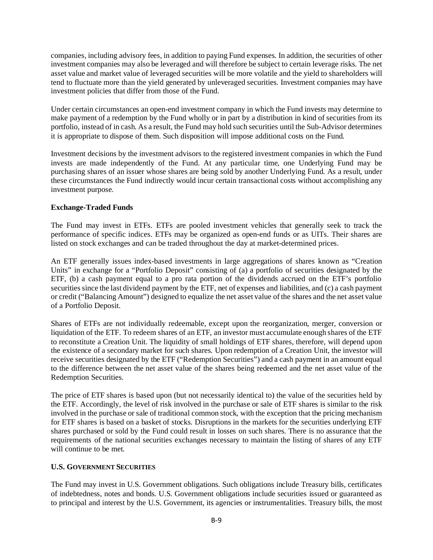companies, including advisory fees, in addition to paying Fund expenses. In addition, the securities of other investment companies may also be leveraged and will therefore be subject to certain leverage risks. The net asset value and market value of leveraged securities will be more volatile and the yield to shareholders will tend to fluctuate more than the yield generated by unleveraged securities. Investment companies may have investment policies that differ from those of the Fund.

Under certain circumstances an open-end investment company in which the Fund invests may determine to make payment of a redemption by the Fund wholly or in part by a distribution in kind of securities from its portfolio, instead of in cash. As a result, the Fund may hold such securities until the Sub-Advisor determines it is appropriate to dispose of them. Such disposition will impose additional costs on the Fund.

Investment decisions by the investment advisors to the registered investment companies in which the Fund invests are made independently of the Fund. At any particular time, one Underlying Fund may be purchasing shares of an issuer whose shares are being sold by another Underlying Fund. As a result, under these circumstances the Fund indirectly would incur certain transactional costs without accomplishing any investment purpose.

## **Exchange-Traded Funds**

The Fund may invest in ETFs. ETFs are pooled investment vehicles that generally seek to track the performance of specific indices. ETFs may be organized as open-end funds or as UITs. Their shares are listed on stock exchanges and can be traded throughout the day at market-determined prices.

An ETF generally issues index-based investments in large aggregations of shares known as "Creation Units" in exchange for a "Portfolio Deposit" consisting of (a) a portfolio of securities designated by the ETF, (b) a cash payment equal to a pro rata portion of the dividends accrued on the ETF's portfolio securities since the last dividend payment by the ETF, net of expenses and liabilities, and (c) a cash payment or credit ("Balancing Amount") designed to equalize the net asset value of the shares and the net asset value of a Portfolio Deposit.

Shares of ETFs are not individually redeemable, except upon the reorganization, merger, conversion or liquidation of the ETF. To redeem shares of an ETF, an investor must accumulate enough shares of the ETF to reconstitute a Creation Unit. The liquidity of small holdings of ETF shares, therefore, will depend upon the existence of a secondary market for such shares. Upon redemption of a Creation Unit, the investor will receive securities designated by the ETF ("Redemption Securities") and a cash payment in an amount equal to the difference between the net asset value of the shares being redeemed and the net asset value of the Redemption Securities.

The price of ETF shares is based upon (but not necessarily identical to) the value of the securities held by the ETF. Accordingly, the level of risk involved in the purchase or sale of ETF shares is similar to the risk involved in the purchase or sale of traditional common stock, with the exception that the pricing mechanism for ETF shares is based on a basket of stocks. Disruptions in the markets for the securities underlying ETF shares purchased or sold by the Fund could result in losses on such shares. There is no assurance that the requirements of the national securities exchanges necessary to maintain the listing of shares of any ETF will continue to be met.

## **U.S. GOVERNMENT SECURITIES**

The Fund may invest in U.S. Government obligations. Such obligations include Treasury bills, certificates of indebtedness, notes and bonds. U.S. Government obligations include securities issued or guaranteed as to principal and interest by the U.S. Government, its agencies or instrumentalities. Treasury bills, the most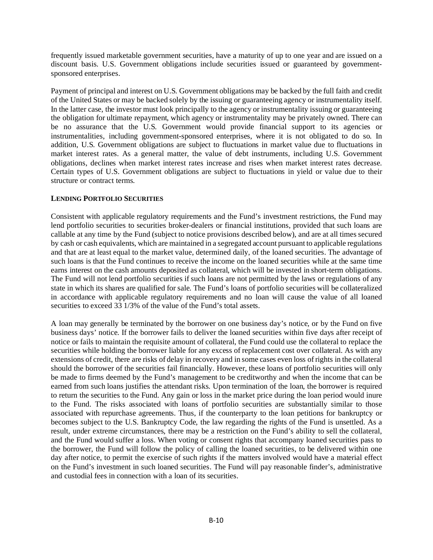frequently issued marketable government securities, have a maturity of up to one year and are issued on a discount basis. U.S. Government obligations include securities issued or guaranteed by governmentsponsored enterprises.

Payment of principal and interest on U.S. Government obligations may be backed by the full faith and credit of the United States or may be backed solely by the issuing or guaranteeing agency or instrumentality itself. In the latter case, the investor must look principally to the agency or instrumentality issuing or guaranteeing the obligation for ultimate repayment, which agency or instrumentality may be privately owned. There can be no assurance that the U.S. Government would provide financial support to its agencies or instrumentalities, including government-sponsored enterprises, where it is not obligated to do so. In addition, U.S. Government obligations are subject to fluctuations in market value due to fluctuations in market interest rates. As a general matter, the value of debt instruments, including U.S. Government obligations, declines when market interest rates increase and rises when market interest rates decrease. Certain types of U.S. Government obligations are subject to fluctuations in yield or value due to their structure or contract terms.

## **LENDING PORTFOLIO SECURITIES**

Consistent with applicable regulatory requirements and the Fund's investment restrictions, the Fund may lend portfolio securities to securities broker-dealers or financial institutions, provided that such loans are callable at any time by the Fund (subject to notice provisions described below), and are at all times secured by cash or cash equivalents, which are maintained in a segregated account pursuant to applicable regulations and that are at least equal to the market value, determined daily, of the loaned securities. The advantage of such loans is that the Fund continues to receive the income on the loaned securities while at the same time earns interest on the cash amounts deposited as collateral, which will be invested in short-term obligations. The Fund will not lend portfolio securities if such loans are not permitted by the laws or regulations of any state in which its shares are qualified for sale. The Fund's loans of portfolio securities will be collateralized in accordance with applicable regulatory requirements and no loan will cause the value of all loaned securities to exceed 33 1/3% of the value of the Fund's total assets.

A loan may generally be terminated by the borrower on one business day's notice, or by the Fund on five business days' notice. If the borrower fails to deliver the loaned securities within five days after receipt of notice or fails to maintain the requisite amount of collateral, the Fund could use the collateral to replace the securities while holding the borrower liable for any excess of replacement cost over collateral. As with any extensions of credit, there are risks of delay in recovery and in some cases even loss of rights in the collateral should the borrower of the securities fail financially. However, these loans of portfolio securities will only be made to firms deemed by the Fund's management to be creditworthy and when the income that can be earned from such loans justifies the attendant risks. Upon termination of the loan, the borrower is required to return the securities to the Fund. Any gain or loss in the market price during the loan period would inure to the Fund. The risks associated with loans of portfolio securities are substantially similar to those associated with repurchase agreements. Thus, if the counterparty to the loan petitions for bankruptcy or becomes subject to the U.S. Bankruptcy Code, the law regarding the rights of the Fund is unsettled. As a result, under extreme circumstances, there may be a restriction on the Fund's ability to sell the collateral, and the Fund would suffer a loss. When voting or consent rights that accompany loaned securities pass to the borrower, the Fund will follow the policy of calling the loaned securities, to be delivered within one day after notice, to permit the exercise of such rights if the matters involved would have a material effect on the Fund's investment in such loaned securities. The Fund will pay reasonable finder's, administrative and custodial fees in connection with a loan of its securities.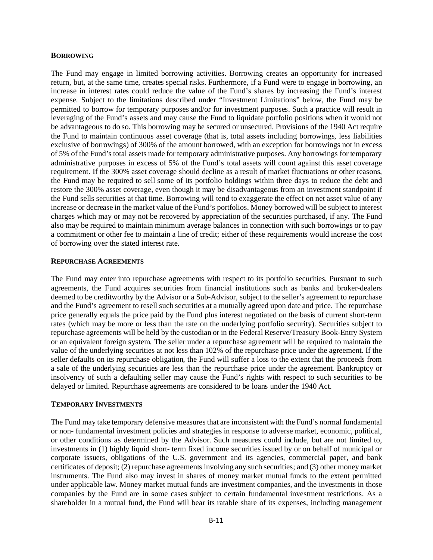#### **BORROWING**

The Fund may engage in limited borrowing activities. Borrowing creates an opportunity for increased return, but, at the same time, creates special risks. Furthermore, if a Fund were to engage in borrowing, an increase in interest rates could reduce the value of the Fund's shares by increasing the Fund's interest expense. Subject to the limitations described under "Investment Limitations" below, the Fund may be permitted to borrow for temporary purposes and/or for investment purposes. Such a practice will result in leveraging of the Fund's assets and may cause the Fund to liquidate portfolio positions when it would not be advantageous to do so. This borrowing may be secured or unsecured. Provisions of the 1940 Act require the Fund to maintain continuous asset coverage (that is, total assets including borrowings, less liabilities exclusive of borrowings) of 300% of the amount borrowed, with an exception for borrowings not in excess of 5% of the Fund's total assets made for temporary administrative purposes. Any borrowings for temporary administrative purposes in excess of 5% of the Fund's total assets will count against this asset coverage requirement. If the 300% asset coverage should decline as a result of market fluctuations or other reasons, the Fund may be required to sell some of its portfolio holdings within three days to reduce the debt and restore the 300% asset coverage, even though it may be disadvantageous from an investment standpoint if the Fund sells securities at that time. Borrowing will tend to exaggerate the effect on net asset value of any increase or decrease in the market value of the Fund's portfolios. Money borrowed will be subject to interest charges which may or may not be recovered by appreciation of the securities purchased, if any. The Fund also may be required to maintain minimum average balances in connection with such borrowings or to pay a commitment or other fee to maintain a line of credit; either of these requirements would increase the cost of borrowing over the stated interest rate.

#### **REPURCHASE AGREEMENTS**

The Fund may enter into repurchase agreements with respect to its portfolio securities. Pursuant to such agreements, the Fund acquires securities from financial institutions such as banks and broker-dealers deemed to be creditworthy by the Advisor or a Sub-Advisor, subject to the seller's agreement to repurchase and the Fund's agreement to resell such securities at a mutually agreed upon date and price. The repurchase price generally equals the price paid by the Fund plus interest negotiated on the basis of current short-term rates (which may be more or less than the rate on the underlying portfolio security). Securities subject to repurchase agreements will be held by the custodian or in the Federal Reserve/Treasury Book-Entry System or an equivalent foreign system. The seller under a repurchase agreement will be required to maintain the value of the underlying securities at not less than 102% of the repurchase price under the agreement. If the seller defaults on its repurchase obligation, the Fund will suffer a loss to the extent that the proceeds from a sale of the underlying securities are less than the repurchase price under the agreement. Bankruptcy or insolvency of such a defaulting seller may cause the Fund's rights with respect to such securities to be delayed or limited. Repurchase agreements are considered to be loans under the 1940 Act.

### **TEMPORARY INVESTMENTS**

The Fund may take temporary defensive measures that are inconsistent with the Fund's normal fundamental or non- fundamental investment policies and strategies in response to adverse market, economic, political, or other conditions as determined by the Advisor. Such measures could include, but are not limited to, investments in (1) highly liquid short- term fixed income securities issued by or on behalf of municipal or corporate issuers, obligations of the U.S. government and its agencies, commercial paper, and bank certificates of deposit; (2) repurchase agreements involving any such securities; and (3) other money market instruments. The Fund also may invest in shares of money market mutual funds to the extent permitted under applicable law. Money market mutual funds are investment companies, and the investments in those companies by the Fund are in some cases subject to certain fundamental investment restrictions. As a shareholder in a mutual fund, the Fund will bear its ratable share of its expenses, including management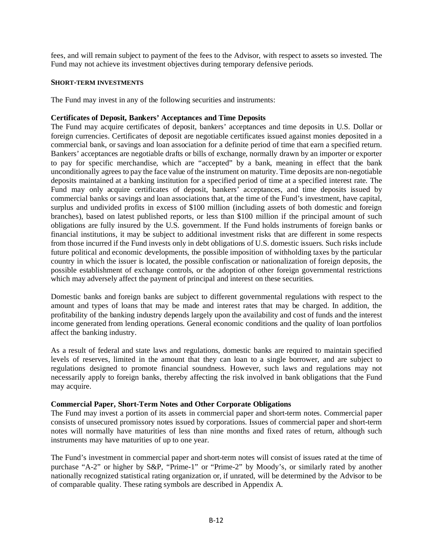fees, and will remain subject to payment of the fees to the Advisor, with respect to assets so invested. The Fund may not achieve its investment objectives during temporary defensive periods.

### **SHORT-TERM INVESTMENTS**

The Fund may invest in any of the following securities and instruments:

### **Certificates of Deposit, Bankers' Acceptances and Time Deposits**

The Fund may acquire certificates of deposit, bankers' acceptances and time deposits in U.S. Dollar or foreign currencies. Certificates of deposit are negotiable certificates issued against monies deposited in a commercial bank, or savings and loan association for a definite period of time that earn a specified return. Bankers' acceptances are negotiable drafts or bills of exchange, normally drawn by an importer or exporter to pay for specific merchandise, which are "accepted" by a bank, meaning in effect that the bank unconditionally agrees to pay the face value of the instrument on maturity. Time deposits are non-negotiable deposits maintained at a banking institution for a specified period of time at a specified interest rate. The Fund may only acquire certificates of deposit, bankers' acceptances, and time deposits issued by commercial banks or savings and loan associations that, at the time of the Fund's investment, have capital, surplus and undivided profits in excess of \$100 million (including assets of both domestic and foreign branches), based on latest published reports, or less than \$100 million if the principal amount of such obligations are fully insured by the U.S. government. If the Fund holds instruments of foreign banks or financial institutions, it may be subject to additional investment risks that are different in some respects from those incurred if the Fund invests only in debt obligations of U.S. domestic issuers. Such risks include future political and economic developments, the possible imposition of withholding taxes by the particular country in which the issuer is located, the possible confiscation or nationalization of foreign deposits, the possible establishment of exchange controls, or the adoption of other foreign governmental restrictions which may adversely affect the payment of principal and interest on these securities.

Domestic banks and foreign banks are subject to different governmental regulations with respect to the amount and types of loans that may be made and interest rates that may be charged. In addition, the profitability of the banking industry depends largely upon the availability and cost of funds and the interest income generated from lending operations. General economic conditions and the quality of loan portfolios affect the banking industry.

As a result of federal and state laws and regulations, domestic banks are required to maintain specified levels of reserves, limited in the amount that they can loan to a single borrower, and are subject to regulations designed to promote financial soundness. However, such laws and regulations may not necessarily apply to foreign banks, thereby affecting the risk involved in bank obligations that the Fund may acquire.

## **Commercial Paper, Short-Term Notes and Other Corporate Obligations**

The Fund may invest a portion of its assets in commercial paper and short-term notes. Commercial paper consists of unsecured promissory notes issued by corporations. Issues of commercial paper and short-term notes will normally have maturities of less than nine months and fixed rates of return, although such instruments may have maturities of up to one year.

The Fund's investment in commercial paper and short-term notes will consist of issues rated at the time of purchase "A-2" or higher by S&P, "Prime-1" or "Prime-2" by Moody's, or similarly rated by another nationally recognized statistical rating organization or, if unrated, will be determined by the Advisor to be of comparable quality. These rating symbols are described in Appendix A.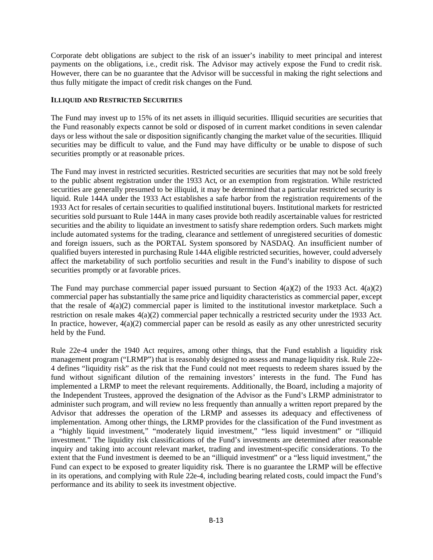Corporate debt obligations are subject to the risk of an issuer's inability to meet principal and interest payments on the obligations, i.e., credit risk. The Advisor may actively expose the Fund to credit risk. However, there can be no guarantee that the Advisor will be successful in making the right selections and thus fully mitigate the impact of credit risk changes on the Fund.

## **ILLIQUID AND RESTRICTED SECURITIES**

The Fund may invest up to 15% of its net assets in illiquid securities. Illiquid securities are securities that the Fund reasonably expects cannot be sold or disposed of in current market conditions in seven calendar days or less without the sale or disposition significantly changing the market value of the securities. Illiquid securities may be difficult to value, and the Fund may have difficulty or be unable to dispose of such securities promptly or at reasonable prices.

The Fund may invest in restricted securities. Restricted securities are securities that may not be sold freely to the public absent registration under the 1933 Act, or an exemption from registration. While restricted securities are generally presumed to be illiquid, it may be determined that a particular restricted security is liquid. Rule 144A under the 1933 Act establishes a safe harbor from the registration requirements of the 1933 Act for resales of certain securities to qualified institutional buyers. Institutional markets for restricted securities sold pursuant to Rule 144A in many cases provide both readily ascertainable values for restricted securities and the ability to liquidate an investment to satisfy share redemption orders. Such markets might include automated systems for the trading, clearance and settlement of unregistered securities of domestic and foreign issuers, such as the PORTAL System sponsored by NASDAQ. An insufficient number of qualified buyers interested in purchasing Rule 144A eligible restricted securities, however, could adversely affect the marketability of such portfolio securities and result in the Fund's inability to dispose of such securities promptly or at favorable prices.

The Fund may purchase commercial paper issued pursuant to Section  $4(a)(2)$  of the 1933 Act.  $4(a)(2)$ commercial paper has substantially the same price and liquidity characteristics as commercial paper, except that the resale of 4(a)(2) commercial paper is limited to the institutional investor marketplace. Such a restriction on resale makes 4(a)(2) commercial paper technically a restricted security under the 1933 Act. In practice, however,  $4(a)(2)$  commercial paper can be resold as easily as any other unrestricted security held by the Fund.

Rule 22e-4 under the 1940 Act requires, among other things, that the Fund establish a liquidity risk management program ("LRMP") that is reasonably designed to assess and manage liquidity risk. Rule 22e-4 defines "liquidity risk" as the risk that the Fund could not meet requests to redeem shares issued by the fund without significant dilution of the remaining investors' interests in the fund. The Fund has implemented a LRMP to meet the relevant requirements. Additionally, the Board, including a majority of the Independent Trustees, approved the designation of the Advisor as the Fund's LRMP administrator to administer such program, and will review no less frequently than annually a written report prepared by the Advisor that addresses the operation of the LRMP and assesses its adequacy and effectiveness of implementation. Among other things, the LRMP provides for the classification of the Fund investment as a "highly liquid investment," "moderately liquid investment," "less liquid investment" or "illiquid investment." The liquidity risk classifications of the Fund's investments are determined after reasonable inquiry and taking into account relevant market, trading and investment-specific considerations. To the extent that the Fund investment is deemed to be an "illiquid investment" or a "less liquid investment," the Fund can expect to be exposed to greater liquidity risk. There is no guarantee the LRMP will be effective in its operations, and complying with Rule 22e-4, including bearing related costs, could impact the Fund's performance and its ability to seek its investment objective.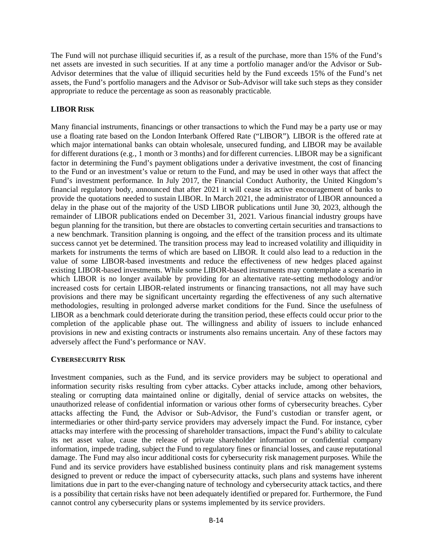The Fund will not purchase illiquid securities if, as a result of the purchase, more than 15% of the Fund's net assets are invested in such securities. If at any time a portfolio manager and/or the Advisor or Sub-Advisor determines that the value of illiquid securities held by the Fund exceeds 15% of the Fund's net assets, the Fund's portfolio managers and the Advisor or Sub-Advisor will take such steps as they consider appropriate to reduce the percentage as soon as reasonably practicable.

## **LIBOR RISK**

Many financial instruments, financings or other transactions to which the Fund may be a party use or may use a floating rate based on the London Interbank Offered Rate ("LIBOR"). LIBOR is the offered rate at which major international banks can obtain wholesale, unsecured funding, and LIBOR may be available for different durations (e.g., 1 month or 3 months) and for different currencies. LIBOR may be a significant factor in determining the Fund's payment obligations under a derivative investment, the cost of financing to the Fund or an investment's value or return to the Fund, and may be used in other ways that affect the Fund's investment performance. In July 2017, the Financial Conduct Authority, the United Kingdom's financial regulatory body, announced that after 2021 it will cease its active encouragement of banks to provide the quotations needed to sustain LIBOR. In March 2021, the administrator of LIBOR announced a delay in the phase out of the majority of the USD LIBOR publications until June 30, 2023, although the remainder of LIBOR publications ended on December 31, 2021. Various financial industry groups have begun planning for the transition, but there are obstacles to converting certain securities and transactions to a new benchmark. Transition planning is ongoing, and the effect of the transition process and its ultimate success cannot yet be determined. The transition process may lead to increased volatility and illiquidity in markets for instruments the terms of which are based on LIBOR. It could also lead to a reduction in the value of some LIBOR-based investments and reduce the effectiveness of new hedges placed against existing LIBOR-based investments. While some LIBOR-based instruments may contemplate a scenario in which LIBOR is no longer available by providing for an alternative rate-setting methodology and/or increased costs for certain LIBOR-related instruments or financing transactions, not all may have such provisions and there may be significant uncertainty regarding the effectiveness of any such alternative methodologies, resulting in prolonged adverse market conditions for the Fund. Since the usefulness of LIBOR as a benchmark could deteriorate during the transition period, these effects could occur prior to the completion of the applicable phase out. The willingness and ability of issuers to include enhanced provisions in new and existing contracts or instruments also remains uncertain. Any of these factors may adversely affect the Fund's performance or NAV.

## **CYBERSECURITY RISK**

Investment companies, such as the Fund, and its service providers may be subject to operational and information security risks resulting from cyber attacks. Cyber attacks include, among other behaviors, stealing or corrupting data maintained online or digitally, denial of service attacks on websites, the unauthorized release of confidential information or various other forms of cybersecurity breaches. Cyber attacks affecting the Fund, the Advisor or Sub-Advisor, the Fund's custodian or transfer agent, or intermediaries or other third-party service providers may adversely impact the Fund. For instance, cyber attacks may interfere with the processing of shareholder transactions, impact the Fund's ability to calculate its net asset value, cause the release of private shareholder information or confidential company information, impede trading, subject the Fund to regulatory fines or financial losses, and cause reputational damage. The Fund may also incur additional costs for cybersecurity risk management purposes. While the Fund and its service providers have established business continuity plans and risk management systems designed to prevent or reduce the impact of cybersecurity attacks, such plans and systems have inherent limitations due in part to the ever-changing nature of technology and cybersecurity attack tactics, and there is a possibility that certain risks have not been adequately identified or prepared for. Furthermore, the Fund cannot control any cybersecurity plans or systems implemented by its service providers.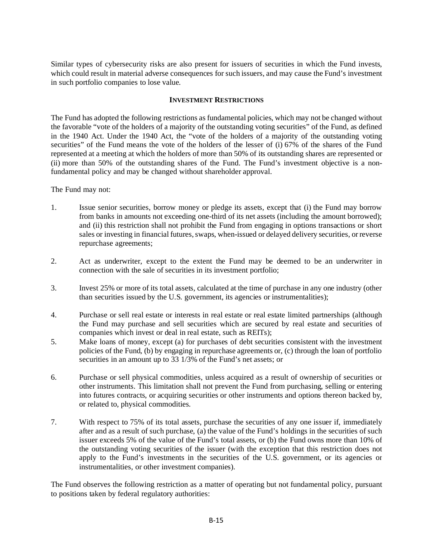Similar types of cybersecurity risks are also present for issuers of securities in which the Fund invests, which could result in material adverse consequences for such issuers, and may cause the Fund's investment in such portfolio companies to lose value.

## **INVESTMENT RESTRICTIONS**

The Fund has adopted the following restrictions as fundamental policies, which may not be changed without the favorable "vote of the holders of a majority of the outstanding voting securities" of the Fund, as defined in the 1940 Act. Under the 1940 Act, the "vote of the holders of a majority of the outstanding voting securities" of the Fund means the vote of the holders of the lesser of (i) 67% of the shares of the Fund represented at a meeting at which the holders of more than 50% of its outstanding shares are represented or (ii) more than 50% of the outstanding shares of the Fund. The Fund's investment objective is a nonfundamental policy and may be changed without shareholder approval.

The Fund may not:

- 1. Issue senior securities, borrow money or pledge its assets, except that (i) the Fund may borrow from banks in amounts not exceeding one-third of its net assets (including the amount borrowed); and (ii) this restriction shall not prohibit the Fund from engaging in options transactions or short sales or investing in financial futures, swaps, when-issued or delayed delivery securities, or reverse repurchase agreements;
- 2. Act as underwriter, except to the extent the Fund may be deemed to be an underwriter in connection with the sale of securities in its investment portfolio;
- 3. Invest 25% or more of its total assets, calculated at the time of purchase in any one industry (other than securities issued by the U.S. government, its agencies or instrumentalities);
- 4. Purchase or sell real estate or interests in real estate or real estate limited partnerships (although the Fund may purchase and sell securities which are secured by real estate and securities of companies which invest or deal in real estate, such as REITs);
- 5. Make loans of money, except (a) for purchases of debt securities consistent with the investment policies of the Fund, (b) by engaging in repurchase agreements or, (c) through the loan of portfolio securities in an amount up to 33 1/3% of the Fund's net assets; or
- 6. Purchase or sell physical commodities, unless acquired as a result of ownership of securities or other instruments. This limitation shall not prevent the Fund from purchasing, selling or entering into futures contracts, or acquiring securities or other instruments and options thereon backed by, or related to, physical commodities.
- 7. With respect to 75% of its total assets, purchase the securities of any one issuer if, immediately after and as a result of such purchase, (a) the value of the Fund's holdings in the securities of such issuer exceeds 5% of the value of the Fund's total assets, or (b) the Fund owns more than 10% of the outstanding voting securities of the issuer (with the exception that this restriction does not apply to the Fund's investments in the securities of the U.S. government, or its agencies or instrumentalities, or other investment companies).

The Fund observes the following restriction as a matter of operating but not fundamental policy, pursuant to positions taken by federal regulatory authorities: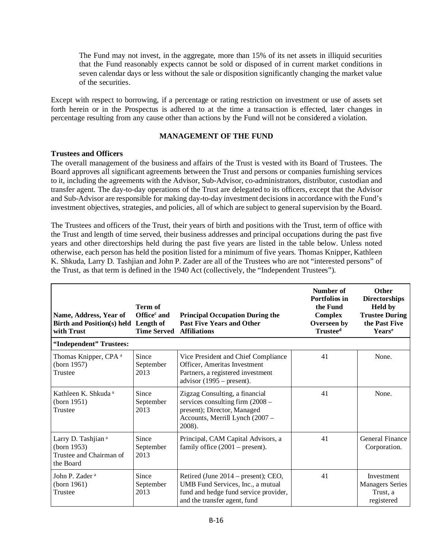The Fund may not invest, in the aggregate, more than 15% of its net assets in illiquid securities that the Fund reasonably expects cannot be sold or disposed of in current market conditions in seven calendar days or less without the sale or disposition significantly changing the market value of the securities.

Except with respect to borrowing, if a percentage or rating restriction on investment or use of assets set forth herein or in the Prospectus is adhered to at the time a transaction is effected, later changes in percentage resulting from any cause other than actions by the Fund will not be considered a violation.

## **MANAGEMENT OF THE FUND**

## **Trustees and Officers**

The overall management of the business and affairs of the Trust is vested with its Board of Trustees. The Board approves all significant agreements between the Trust and persons or companies furnishing services to it, including the agreements with the Advisor, Sub-Advisor, co-administrators, distributor, custodian and transfer agent. The day-to-day operations of the Trust are delegated to its officers, except that the Advisor and Sub-Advisor are responsible for making day-to-day investment decisions in accordance with the Fund's investment objectives, strategies, and policies, all of which are subject to general supervision by the Board.

The Trustees and officers of the Trust, their years of birth and positions with the Trust, term of office with the Trust and length of time served, their business addresses and principal occupations during the past five years and other directorships held during the past five years are listed in the table below. Unless noted otherwise, each person has held the position listed for a minimum of five years. Thomas Knipper, Kathleen K. Shkuda, Larry D. Tashjian and John P. Zader are all of the Trustees who are not "interested persons" of the Trust, as that term is defined in the 1940 Act (collectively, the "Independent Trustees").

| Name, Address, Year of<br>Birth and Position(s) held Length of<br>with Trust          | Term of<br>Office <sup>c</sup> and<br><b>Time Served</b> Affiliations | <b>Principal Occupation During the</b><br><b>Past Five Years and Other</b>                                                                        | Number of<br>Portfolios in<br>the Fund<br><b>Complex</b><br>Overseen by<br><b>Trustee</b> <sup>d</sup> | <b>Other</b><br><b>Directorships</b><br><b>Held by</b><br><b>Trustee During</b><br>the Past Five<br>Years <sup>e</sup> |
|---------------------------------------------------------------------------------------|-----------------------------------------------------------------------|---------------------------------------------------------------------------------------------------------------------------------------------------|--------------------------------------------------------------------------------------------------------|------------------------------------------------------------------------------------------------------------------------|
| "Independent" Trustees:                                                               |                                                                       |                                                                                                                                                   |                                                                                                        |                                                                                                                        |
| Thomas Knipper, CPA <sup>a</sup><br>(born 1957)<br><b>Trustee</b>                     | Since<br>September<br>2013                                            | Vice President and Chief Compliance<br>Officer, Ameritas Investment<br>Partners, a registered investment<br>advisor $(1995 - present)$ .          | 41                                                                                                     | None.                                                                                                                  |
| Kathleen K. Shkuda <sup>a</sup><br>(born 1951)<br><b>Trustee</b>                      | Since<br>September<br>2013                                            | Zigzag Consulting, a financial<br>services consulting firm $(2008 -$<br>present); Director, Managed<br>Accounts, Merrill Lynch (2007 -<br>2008).  | 41                                                                                                     | None.                                                                                                                  |
| Larry D. Tashjian <sup>a</sup><br>(born 1953)<br>Trustee and Chairman of<br>the Board | Since<br>September<br>2013                                            | Principal, CAM Capital Advisors, a<br>family office $(2001 - present)$ .                                                                          | 41                                                                                                     | General Finance<br>Corporation.                                                                                        |
| John P. Zader <sup>a</sup><br>(born 1961)<br>Trustee                                  | Since<br>September<br>2013                                            | Retired (June 2014 – present); CEO,<br>UMB Fund Services, Inc., a mutual<br>fund and hedge fund service provider,<br>and the transfer agent, fund | 41                                                                                                     | Investment<br><b>Managers Series</b><br>Trust, a<br>registered                                                         |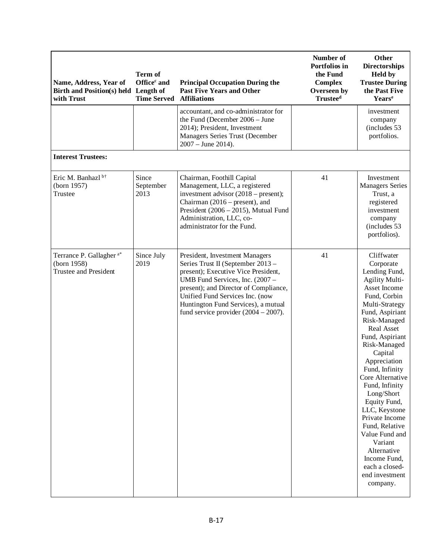| Name, Address, Year of<br>Birth and Position(s) held Length of<br>with Trust       | Term of<br>Office <sup>c</sup> and<br><b>Time Served</b> | <b>Principal Occupation During the</b><br><b>Past Five Years and Other</b><br><b>Affiliations</b>                                                                                                                                                                                                           | Number of<br>Portfolios in<br>the Fund<br><b>Complex</b><br>Overseen by<br><b>Trustee</b> <sup>d</sup> | Other<br><b>Directorships</b><br><b>Held</b> by<br><b>Trustee During</b><br>the Past Five<br>Yearse                                                                                                                                                                                                                                                                                                                                                                                |
|------------------------------------------------------------------------------------|----------------------------------------------------------|-------------------------------------------------------------------------------------------------------------------------------------------------------------------------------------------------------------------------------------------------------------------------------------------------------------|--------------------------------------------------------------------------------------------------------|------------------------------------------------------------------------------------------------------------------------------------------------------------------------------------------------------------------------------------------------------------------------------------------------------------------------------------------------------------------------------------------------------------------------------------------------------------------------------------|
|                                                                                    |                                                          | accountant, and co-administrator for<br>the Fund (December 2006 - June<br>2014); President, Investment<br>Managers Series Trust (December<br>$2007 - June 2014$ ).                                                                                                                                          |                                                                                                        | investment<br>company<br>(includes 53<br>portfolios.                                                                                                                                                                                                                                                                                                                                                                                                                               |
| <b>Interest Trustees:</b>                                                          |                                                          |                                                                                                                                                                                                                                                                                                             |                                                                                                        |                                                                                                                                                                                                                                                                                                                                                                                                                                                                                    |
| Eric M. Banhazl <sup>b†</sup><br>(born 1957)<br>Trustee                            | Since<br>September<br>2013                               | Chairman, Foothill Capital<br>Management, LLC, a registered<br>investment advisor (2018 – present);<br>Chairman $(2016 - present)$ , and<br>President (2006 - 2015), Mutual Fund<br>Administration, LLC, co-<br>administrator for the Fund.                                                                 | 41                                                                                                     | Investment<br><b>Managers Series</b><br>Trust, a<br>registered<br>investment<br>company<br>(includes 53<br>portfolios).                                                                                                                                                                                                                                                                                                                                                            |
| Terrance P. Gallagher <sup>a*</sup><br>(born 1958)<br><b>Trustee and President</b> | Since July<br>2019                                       | President, Investment Managers<br>Series Trust II (September 2013 -<br>present); Executive Vice President,<br>UMB Fund Services, Inc. (2007 -<br>present); and Director of Compliance,<br>Unified Fund Services Inc. (now<br>Huntington Fund Services), a mutual<br>fund service provider $(2004 – 2007)$ . | 41                                                                                                     | Cliffwater<br>Corporate<br>Lending Fund,<br>Agility Multi-<br>Asset Income<br>Fund, Corbin<br>Multi-Strategy<br>Fund, Aspiriant<br>Risk-Managed<br>Real Asset<br>Fund, Aspiriant<br>Risk-Managed<br>Capital<br>Appreciation<br>Fund, Infinity<br>Core Alternative<br>Fund, Infinity<br>Long/Short<br>Equity Fund,<br>LLC, Keystone<br>Private Income<br>Fund, Relative<br>Value Fund and<br>Variant<br>Alternative<br>Income Fund,<br>each a closed-<br>end investment<br>company. |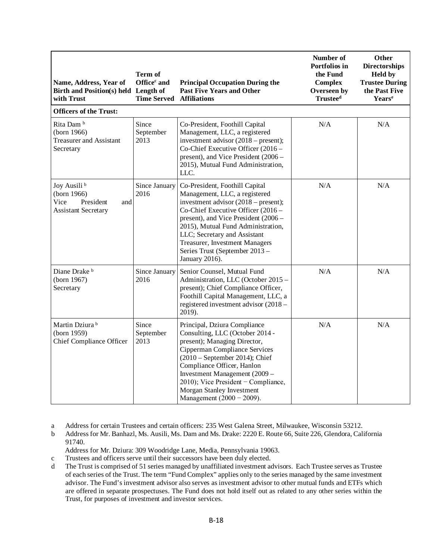| Name, Address, Year of<br>Birth and Position(s) held Length of<br>with Trust                     | <b>Term of</b><br>Office <sup>c</sup> and<br><b>Time Served</b> | <b>Principal Occupation During the</b><br><b>Past Five Years and Other</b><br><b>Affiliations</b>                                                                                                                                                                                                                                                    | Number of<br>Portfolios in<br>the Fund<br><b>Complex</b><br>Overseen by<br><b>Trusteed</b> | Other<br><b>Directorships</b><br><b>Held</b> by<br><b>Trustee During</b><br>the Past Five<br>Years <sup>e</sup> |
|--------------------------------------------------------------------------------------------------|-----------------------------------------------------------------|------------------------------------------------------------------------------------------------------------------------------------------------------------------------------------------------------------------------------------------------------------------------------------------------------------------------------------------------------|--------------------------------------------------------------------------------------------|-----------------------------------------------------------------------------------------------------------------|
| <b>Officers of the Trust:</b>                                                                    |                                                                 |                                                                                                                                                                                                                                                                                                                                                      |                                                                                            |                                                                                                                 |
| Rita Dam <sup>b</sup><br>(born 1966)<br><b>Treasurer and Assistant</b><br>Secretary              | Since<br>September<br>2013                                      | Co-President, Foothill Capital<br>Management, LLC, a registered<br>investment advisor $(2018 - present)$ ;<br>Co-Chief Executive Officer (2016 -<br>present), and Vice President (2006 –<br>2015), Mutual Fund Administration,<br>LLC.                                                                                                               | N/A                                                                                        | N/A                                                                                                             |
| Joy Ausili <sup>b</sup><br>(born 1966)<br>President<br>Vice<br>and<br><b>Assistant Secretary</b> | Since January<br>2016                                           | Co-President, Foothill Capital<br>Management, LLC, a registered<br>investment advisor $(2018 - present)$ ;<br>Co-Chief Executive Officer (2016 -<br>present), and Vice President (2006 -<br>2015), Mutual Fund Administration,<br>LLC; Secretary and Assistant<br>Treasurer, Investment Managers<br>Series Trust (September 2013 -<br>January 2016). | N/A                                                                                        | N/A                                                                                                             |
| Diane Drake <sup>b</sup><br>(born 1967)<br>Secretary                                             | Since January<br>2016                                           | Senior Counsel, Mutual Fund<br>Administration, LLC (October 2015 -<br>present); Chief Compliance Officer,<br>Foothill Capital Management, LLC, a<br>registered investment advisor (2018 -<br>2019).                                                                                                                                                  | N/A                                                                                        | N/A                                                                                                             |
| Martin Dziura <sup>b</sup><br>(born 1959)<br>Chief Compliance Officer                            | Since<br>September<br>2013                                      | Principal, Dziura Compliance<br>Consulting, LLC (October 2014 -<br>present); Managing Director,<br>Cipperman Compliance Services<br>$(2010 - September 2014)$ ; Chief<br>Compliance Officer, Hanlon<br>Investment Management (2009 -<br>$2010$ ); Vice President - Compliance,<br>Morgan Stanley Investment<br>Management $(2000 - 2009)$ .          | N/A                                                                                        | N/A                                                                                                             |

a Address for certain Trustees and certain officers: 235 West Galena Street, Milwaukee, Wisconsin 53212.

b Address for Mr. Banhazl, Ms. Ausili, Ms. Dam and Ms. Drake: 2220 E. Route 66, Suite 226, Glendora, California 91740.

Address for Mr. Dziura: 309 Woodridge Lane, Media, Pennsylvania 19063.

- c Trustees and officers serve until their successors have been duly elected.
- d The Trust is comprised of 51 series managed by unaffiliated investment advisors. Each Trustee serves as Trustee of each series of the Trust. The term "Fund Complex" applies only to the series managed by the same investment advisor. The Fund's investment advisor also serves as investment advisor to other mutual funds and ETFs which are offered in separate prospectuses. The Fund does not hold itself out as related to any other series within the Trust, for purposes of investment and investor services.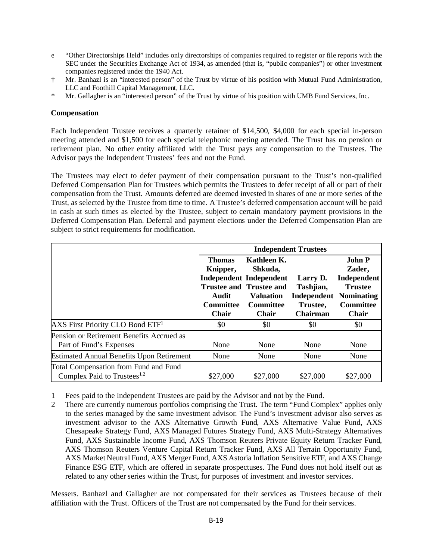- e "Other Directorships Held" includes only directorships of companies required to register or file reports with the SEC under the Securities Exchange Act of 1934, as amended (that is, "public companies") or other investment companies registered under the 1940 Act.
- † Mr. Banhazl is an "interested person" of the Trust by virtue of his position with Mutual Fund Administration, LLC and Foothill Capital Management, LLC.
- \* Mr. Gallagher is an "interested person" of the Trust by virtue of his position with UMB Fund Services, Inc.

## **Compensation**

Each Independent Trustee receives a quarterly retainer of \$14,500, \$4,000 for each special in-person meeting attended and \$1,500 for each special telephonic meeting attended. The Trust has no pension or retirement plan. No other entity affiliated with the Trust pays any compensation to the Trustees. The Advisor pays the Independent Trustees' fees and not the Fund.

The Trustees may elect to defer payment of their compensation pursuant to the Trust's non-qualified Deferred Compensation Plan for Trustees which permits the Trustees to defer receipt of all or part of their compensation from the Trust. Amounts deferred are deemed invested in shares of one or more series of the Trust, as selected by the Trustee from time to time. A Trustee's deferred compensation account will be paid in cash at such times as elected by the Trustee, subject to certain mandatory payment provisions in the Deferred Compensation Plan. Deferral and payment elections under the Deferred Compensation Plan are subject to strict requirements for modification.

|                                                                                         | <b>Independent Trustees</b>        |                                                                                                                   |                                                                     |                                                                                        |  |  |
|-----------------------------------------------------------------------------------------|------------------------------------|-------------------------------------------------------------------------------------------------------------------|---------------------------------------------------------------------|----------------------------------------------------------------------------------------|--|--|
|                                                                                         | <b>Thomas</b><br>Knipper,          | Kathleen K.<br>Shkuda,                                                                                            |                                                                     | <b>John P</b><br>Zader,                                                                |  |  |
|                                                                                         | Audit<br><b>Committee</b><br>Chair | <b>Independent Independent</b><br><b>Trustee and Trustee and</b><br><b>Valuation</b><br><b>Committee</b><br>Chair | Larry D.<br>Tashjian,<br>Independent<br>Trustee,<br><b>Chairman</b> | Independent<br><b>Trustee</b><br><b>Nominating</b><br><b>Committee</b><br><b>Chair</b> |  |  |
| $AXS$ First Priority CLO Bond $ETF1$                                                    | \$0                                | \$0                                                                                                               | \$0                                                                 | \$0                                                                                    |  |  |
| Pension or Retirement Benefits Accrued as<br>Part of Fund's Expenses                    | None                               | None                                                                                                              | None                                                                | None                                                                                   |  |  |
| <b>Estimated Annual Benefits Upon Retirement</b>                                        | None                               | None                                                                                                              | None                                                                | None                                                                                   |  |  |
| <b>Total Compensation from Fund and Fund</b><br>Complex Paid to Trustees <sup>1,2</sup> | \$27,000                           | \$27,000                                                                                                          | \$27,000                                                            | \$27,000                                                                               |  |  |

1 Fees paid to the Independent Trustees are paid by the Advisor and not by the Fund.

2 There are currently numerous portfolios comprising the Trust. The term "Fund Complex" applies only to the series managed by the same investment advisor. The Fund's investment advisor also serves as investment advisor to the AXS Alternative Growth Fund, AXS Alternative Value Fund, AXS Chesapeake Strategy Fund, AXS Managed Futures Strategy Fund, AXS Multi-Strategy Alternatives Fund, AXS Sustainable Income Fund, AXS Thomson Reuters Private Equity Return Tracker Fund, AXS Thomson Reuters Venture Capital Return Tracker Fund, AXS All Terrain Opportunity Fund, AXS Market Neutral Fund, AXS Merger Fund, AXS Astoria Inflation Sensitive ETF, and AXS Change Finance ESG ETF, which are offered in separate prospectuses. The Fund does not hold itself out as related to any other series within the Trust, for purposes of investment and investor services.

Messers. Banhazl and Gallagher are not compensated for their services as Trustees because of their affiliation with the Trust. Officers of the Trust are not compensated by the Fund for their services.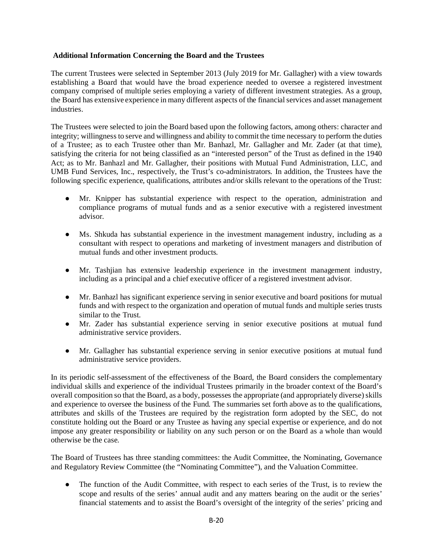## **Additional Information Concerning the Board and the Trustees**

The current Trustees were selected in September 2013 (July 2019 for Mr. Gallagher) with a view towards establishing a Board that would have the broad experience needed to oversee a registered investment company comprised of multiple series employing a variety of different investment strategies. As a group, the Board has extensive experience in many different aspects of the financial services and asset management industries.

The Trustees were selected to join the Board based upon the following factors, among others: character and integrity; willingness to serve and willingness and ability to commit the time necessary to perform the duties of a Trustee; as to each Trustee other than Mr. Banhazl, Mr. Gallagher and Mr. Zader (at that time), satisfying the criteria for not being classified as an "interested person" of the Trust as defined in the 1940 Act; as to Mr. Banhazl and Mr. Gallagher, their positions with Mutual Fund Administration, LLC, and UMB Fund Services, Inc., respectively, the Trust's co-administrators. In addition, the Trustees have the following specific experience, qualifications, attributes and/or skills relevant to the operations of the Trust:

- Mr. Knipper has substantial experience with respect to the operation, administration and compliance programs of mutual funds and as a senior executive with a registered investment advisor.
- Ms. Shkuda has substantial experience in the investment management industry, including as a consultant with respect to operations and marketing of investment managers and distribution of mutual funds and other investment products.
- Mr. Tashjian has extensive leadership experience in the investment management industry, including as a principal and a chief executive officer of a registered investment advisor.
- Mr. Banhazl has significant experience serving in senior executive and board positions for mutual funds and with respect to the organization and operation of mutual funds and multiple series trusts similar to the Trust.
- Mr. Zader has substantial experience serving in senior executive positions at mutual fund administrative service providers.
- Mr. Gallagher has substantial experience serving in senior executive positions at mutual fund administrative service providers.

In its periodic self-assessment of the effectiveness of the Board, the Board considers the complementary individual skills and experience of the individual Trustees primarily in the broader context of the Board's overall composition so that the Board, as a body, possesses the appropriate (and appropriately diverse) skills and experience to oversee the business of the Fund. The summaries set forth above as to the qualifications, attributes and skills of the Trustees are required by the registration form adopted by the SEC, do not constitute holding out the Board or any Trustee as having any special expertise or experience, and do not impose any greater responsibility or liability on any such person or on the Board as a whole than would otherwise be the case.

The Board of Trustees has three standing committees: the Audit Committee, the Nominating, Governance and Regulatory Review Committee (the "Nominating Committee"), and the Valuation Committee.

• The function of the Audit Committee, with respect to each series of the Trust, is to review the scope and results of the series' annual audit and any matters bearing on the audit or the series' financial statements and to assist the Board's oversight of the integrity of the series' pricing and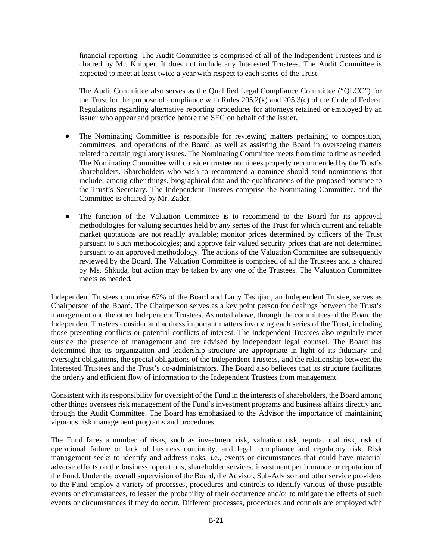financial reporting. The Audit Committee is comprised of all of the Independent Trustees and is chaired by Mr. Knipper. It does not include any Interested Trustees. The Audit Committee is expected to meet at least twice a year with respect to each series of the Trust.

The Audit Committee also serves as the Qualified Legal Compliance Committee ("QLCC") for the Trust for the purpose of compliance with Rules 205.2(k) and 205.3(c) of the Code of Federal Regulations regarding alternative reporting procedures for attorneys retained or employed by an issuer who appear and practice before the SEC on behalf of the issuer.

- The Nominating Committee is responsible for reviewing matters pertaining to composition, committees, and operations of the Board, as well as assisting the Board in overseeing matters related to certain regulatory issues. The Nominating Committee meets from time to time as needed. The Nominating Committee will consider trustee nominees properly recommended by the Trust's shareholders. Shareholders who wish to recommend a nominee should send nominations that include, among other things, biographical data and the qualifications of the proposed nominee to the Trust's Secretary. The Independent Trustees comprise the Nominating Committee, and the Committee is chaired by Mr. Zader.
- The function of the Valuation Committee is to recommend to the Board for its approval methodologies for valuing securities held by any series of the Trust for which current and reliable market quotations are not readily available; monitor prices determined by officers of the Trust pursuant to such methodologies; and approve fair valued security prices that are not determined pursuant to an approved methodology. The actions of the Valuation Committee are subsequently reviewed by the Board. The Valuation Committee is comprised of all the Trustees and is chaired by Ms. Shkuda, but action may be taken by any one of the Trustees. The Valuation Committee meets as needed.

Independent Trustees comprise 67% of the Board and Larry Tashjian, an Independent Trustee, serves as Chairperson of the Board. The Chairperson serves as a key point person for dealings between the Trust's management and the other Independent Trustees. As noted above, through the committees of the Board the Independent Trustees consider and address important matters involving each series of the Trust, including those presenting conflicts or potential conflicts of interest. The Independent Trustees also regularly meet outside the presence of management and are advised by independent legal counsel. The Board has determined that its organization and leadership structure are appropriate in light of its fiduciary and oversight obligations, the special obligations of the Independent Trustees, and the relationship between the Interested Trustees and the Trust's co-administrators. The Board also believes that its structure facilitates the orderly and efficient flow of information to the Independent Trustees from management.

Consistent with its responsibility for oversight of the Fund in the interests of shareholders, the Board among other things oversees risk management of the Fund's investment programs and business affairs directly and through the Audit Committee. The Board has emphasized to the Advisor the importance of maintaining vigorous risk management programs and procedures.

The Fund faces a number of risks, such as investment risk, valuation risk, reputational risk, risk of operational failure or lack of business continuity, and legal, compliance and regulatory risk. Risk management seeks to identify and address risks, i.e., events or circumstances that could have material adverse effects on the business, operations, shareholder services, investment performance or reputation of the Fund. Under the overall supervision of the Board, the Advisor, Sub-Advisor and other service providers to the Fund employ a variety of processes, procedures and controls to identify various of those possible events or circumstances, to lessen the probability of their occurrence and/or to mitigate the effects of such events or circumstances if they do occur. Different processes, procedures and controls are employed with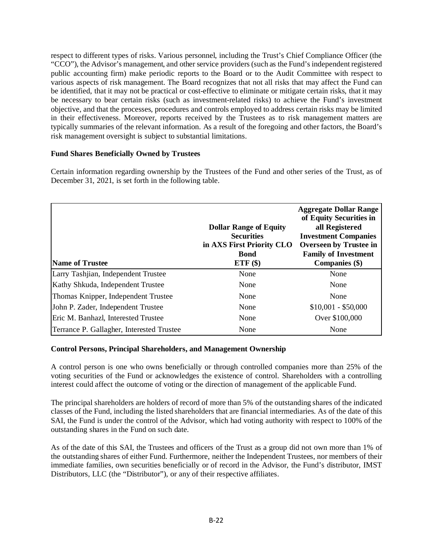respect to different types of risks. Various personnel, including the Trust's Chief Compliance Officer (the "CCO"), the Advisor's management, and other service providers (such as the Fund's independent registered public accounting firm) make periodic reports to the Board or to the Audit Committee with respect to various aspects of risk management. The Board recognizes that not all risks that may affect the Fund can be identified, that it may not be practical or cost-effective to eliminate or mitigate certain risks, that it may be necessary to bear certain risks (such as investment-related risks) to achieve the Fund's investment objective, and that the processes, procedures and controls employed to address certain risks may be limited in their effectiveness. Moreover, reports received by the Trustees as to risk management matters are typically summaries of the relevant information. As a result of the foregoing and other factors, the Board's risk management oversight is subject to substantial limitations.

## **Fund Shares Beneficially Owned by Trustees**

Certain information regarding ownership by the Trustees of the Fund and other series of the Trust, as of December 31, 2021, is set forth in the following table.

| <b>Name of Trustee</b>                    | <b>Dollar Range of Equity</b><br><b>Securities</b><br>in AXS First Priority CLO<br><b>Bond</b><br>ETF(\$) | <b>Aggregate Dollar Range</b><br>of Equity Securities in<br>all Registered<br><b>Investment Companies</b><br><b>Overseen by Trustee in</b><br><b>Family of Investment</b><br>Companies (\$) |
|-------------------------------------------|-----------------------------------------------------------------------------------------------------------|---------------------------------------------------------------------------------------------------------------------------------------------------------------------------------------------|
| Larry Tashiian, Independent Trustee       | None                                                                                                      | None                                                                                                                                                                                        |
| Kathy Shkuda, Independent Trustee         | None                                                                                                      | None                                                                                                                                                                                        |
| Thomas Knipper, Independent Trustee       | None                                                                                                      | None                                                                                                                                                                                        |
| John P. Zader, Independent Trustee        | None                                                                                                      | $$10,001 - $50,000$                                                                                                                                                                         |
| Eric M. Banhazl, Interested Trustee       | None                                                                                                      | Over \$100,000                                                                                                                                                                              |
| Terrance P. Gallagher, Interested Trustee | None                                                                                                      | None                                                                                                                                                                                        |

## **Control Persons, Principal Shareholders, and Management Ownership**

A control person is one who owns beneficially or through controlled companies more than 25% of the voting securities of the Fund or acknowledges the existence of control. Shareholders with a controlling interest could affect the outcome of voting or the direction of management of the applicable Fund.

The principal shareholders are holders of record of more than 5% of the outstanding shares of the indicated classes of the Fund, including the listed shareholders that are financial intermediaries. As of the date of this SAI, the Fund is under the control of the Advisor, which had voting authority with respect to 100% of the outstanding shares in the Fund on such date.

As of the date of this SAI, the Trustees and officers of the Trust as a group did not own more than 1% of the outstanding shares of either Fund. Furthermore, neither the Independent Trustees, nor members of their immediate families, own securities beneficially or of record in the Advisor, the Fund's distributor, IMST Distributors, LLC (the "Distributor"), or any of their respective affiliates.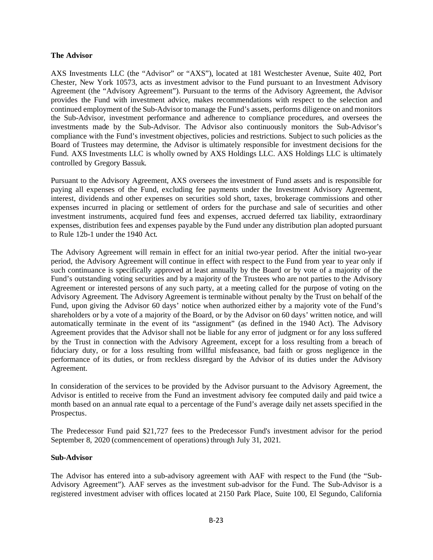### **The Advisor**

AXS Investments LLC (the "Advisor" or "AXS"), located at 181 Westchester Avenue, Suite 402, Port Chester, New York 10573, acts as investment advisor to the Fund pursuant to an Investment Advisory Agreement (the "Advisory Agreement"). Pursuant to the terms of the Advisory Agreement, the Advisor provides the Fund with investment advice, makes recommendations with respect to the selection and continued employment of the Sub-Advisor to manage the Fund's assets, performs diligence on and monitors the Sub-Advisor, investment performance and adherence to compliance procedures, and oversees the investments made by the Sub-Advisor. The Advisor also continuously monitors the Sub-Advisor's compliance with the Fund's investment objectives, policies and restrictions. Subject to such policies as the Board of Trustees may determine, the Advisor is ultimately responsible for investment decisions for the Fund. AXS Investments LLC is wholly owned by AXS Holdings LLC. AXS Holdings LLC is ultimately controlled by Gregory Bassuk.

Pursuant to the Advisory Agreement, AXS oversees the investment of Fund assets and is responsible for paying all expenses of the Fund, excluding fee payments under the Investment Advisory Agreement, interest, dividends and other expenses on securities sold short, taxes, brokerage commissions and other expenses incurred in placing or settlement of orders for the purchase and sale of securities and other investment instruments, acquired fund fees and expenses, accrued deferred tax liability, extraordinary expenses, distribution fees and expenses payable by the Fund under any distribution plan adopted pursuant to Rule 12b-1 under the 1940 Act.

The Advisory Agreement will remain in effect for an initial two-year period. After the initial two-year period, the Advisory Agreement will continue in effect with respect to the Fund from year to year only if such continuance is specifically approved at least annually by the Board or by vote of a majority of the Fund's outstanding voting securities and by a majority of the Trustees who are not parties to the Advisory Agreement or interested persons of any such party, at a meeting called for the purpose of voting on the Advisory Agreement. The Advisory Agreement is terminable without penalty by the Trust on behalf of the Fund, upon giving the Advisor 60 days' notice when authorized either by a majority vote of the Fund's shareholders or by a vote of a majority of the Board, or by the Advisor on 60 days' written notice, and will automatically terminate in the event of its "assignment" (as defined in the 1940 Act). The Advisory Agreement provides that the Advisor shall not be liable for any error of judgment or for any loss suffered by the Trust in connection with the Advisory Agreement, except for a loss resulting from a breach of fiduciary duty, or for a loss resulting from willful misfeasance, bad faith or gross negligence in the performance of its duties, or from reckless disregard by the Advisor of its duties under the Advisory Agreement.

In consideration of the services to be provided by the Advisor pursuant to the Advisory Agreement, the Advisor is entitled to receive from the Fund an investment advisory fee computed daily and paid twice a month based on an annual rate equal to a percentage of the Fund's average daily net assets specified in the Prospectus.

The Predecessor Fund paid \$21,727 fees to the Predecessor Fund's investment advisor for the period September 8, 2020 (commencement of operations) through July 31, 2021.

#### **Sub-Advisor**

The Advisor has entered into a sub-advisory agreement with AAF with respect to the Fund (the "Sub-Advisory Agreement"). AAF serves as the investment sub-advisor for the Fund. The Sub-Advisor is a registered investment adviser with offices located at 2150 Park Place, Suite 100, El Segundo, California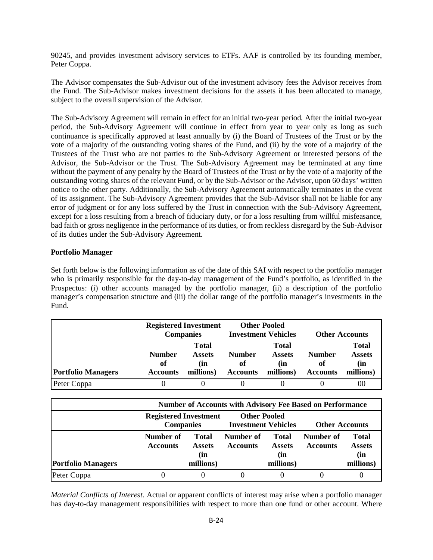90245, and provides investment advisory services to ETFs. AAF is controlled by its founding member, Peter Coppa.

The Advisor compensates the Sub-Advisor out of the investment advisory fees the Advisor receives from the Fund. The Sub-Advisor makes investment decisions for the assets it has been allocated to manage, subject to the overall supervision of the Advisor.

The Sub-Advisory Agreement will remain in effect for an initial two-year period. After the initial two-year period, the Sub-Advisory Agreement will continue in effect from year to year only as long as such continuance is specifically approved at least annually by (i) the Board of Trustees of the Trust or by the vote of a majority of the outstanding voting shares of the Fund, and (ii) by the vote of a majority of the Trustees of the Trust who are not parties to the Sub-Advisory Agreement or interested persons of the Advisor, the Sub-Advisor or the Trust. The Sub-Advisory Agreement may be terminated at any time without the payment of any penalty by the Board of Trustees of the Trust or by the vote of a majority of the outstanding voting shares of the relevant Fund, or by the Sub-Advisor or the Advisor, upon 60 days' written notice to the other party. Additionally, the Sub-Advisory Agreement automatically terminates in the event of its assignment. The Sub-Advisory Agreement provides that the Sub-Advisor shall not be liable for any error of judgment or for any loss suffered by the Trust in connection with the Sub-Advisory Agreement, except for a loss resulting from a breach of fiduciary duty, or for a loss resulting from willful misfeasance, bad faith or gross negligence in the performance of its duties, or from reckless disregard by the Sub-Advisor of its duties under the Sub-Advisory Agreement.

## **Portfolio Manager**

Set forth below is the following information as of the date of this SAI with respect to the portfolio manager who is primarily responsible for the day-to-day management of the Fund's portfolio, as identified in the Prospectus: (i) other accounts managed by the portfolio manager, (ii) a description of the portfolio manager's compensation structure and (iii) the dollar range of the portfolio manager's investments in the Fund.

|                           | <b>Registered Investment</b><br><b>Companies</b> |                                                   | <b>Other Pooled</b><br><b>Investment Vehicles</b> |                                            | <b>Other Accounts</b>                  |                                                   |
|---------------------------|--------------------------------------------------|---------------------------------------------------|---------------------------------------------------|--------------------------------------------|----------------------------------------|---------------------------------------------------|
| <b>Portfolio Managers</b> | <b>Number</b><br>of<br><b>Accounts</b>           | <b>Total</b><br><b>Assets</b><br>(in<br>millions) | <b>Number</b><br><sub>of</sub><br><b>Accounts</b> | Total<br><b>Assets</b><br>(in<br>millions) | <b>Number</b><br>оf<br><b>Accounts</b> | <b>Total</b><br><b>Assets</b><br>(in<br>millions) |
| Peter Coppa               |                                                  |                                                   |                                                   |                                            |                                        | 00                                                |

|                           |                                                  | <b>Number of Accounts with Advisory Fee Based on Performance</b> |                                                   |                                                   |                              |                                                   |  |
|---------------------------|--------------------------------------------------|------------------------------------------------------------------|---------------------------------------------------|---------------------------------------------------|------------------------------|---------------------------------------------------|--|
|                           | <b>Registered Investment</b><br><b>Companies</b> |                                                                  | <b>Other Pooled</b><br><b>Investment Vehicles</b> |                                                   | <b>Other Accounts</b>        |                                                   |  |
| <b>Portfolio Managers</b> | Number of<br><b>Accounts</b>                     | Total<br><b>Assets</b><br>(in<br>millions)                       | Number of<br><b>Accounts</b>                      | <b>Total</b><br><b>Assets</b><br>(in<br>millions) | Number of<br><b>Accounts</b> | <b>Total</b><br><b>Assets</b><br>(in<br>millions) |  |
| Peter Coppa               |                                                  |                                                                  |                                                   | 0                                                 |                              |                                                   |  |

*Material Conflicts of Interest*. Actual or apparent conflicts of interest may arise when a portfolio manager has day-to-day management responsibilities with respect to more than one fund or other account. Where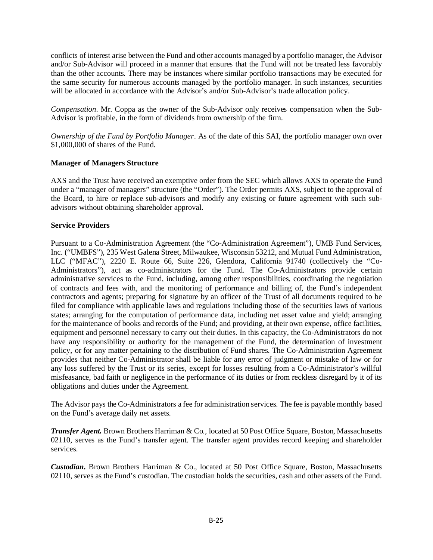conflicts of interest arise between the Fund and other accounts managed by a portfolio manager, the Advisor and/or Sub-Advisor will proceed in a manner that ensures that the Fund will not be treated less favorably than the other accounts. There may be instances where similar portfolio transactions may be executed for the same security for numerous accounts managed by the portfolio manager. In such instances, securities will be allocated in accordance with the Advisor's and/or Sub-Advisor's trade allocation policy.

*Compensation*. Mr. Coppa as the owner of the Sub-Advisor only receives compensation when the Sub-Advisor is profitable, in the form of dividends from ownership of the firm.

*Ownership of the Fund by Portfolio Manager*. As of the date of this SAI, the portfolio manager own over \$1,000,000 of shares of the Fund.

## **Manager of Managers Structure**

AXS and the Trust have received an exemptive order from the SEC which allows AXS to operate the Fund under a "manager of managers" structure (the "Order"). The Order permits AXS, subject to the approval of the Board, to hire or replace sub-advisors and modify any existing or future agreement with such subadvisors without obtaining shareholder approval.

## **Service Providers**

Pursuant to a Co-Administration Agreement (the "Co-Administration Agreement"), UMB Fund Services, Inc. ("UMBFS"), 235 West Galena Street, Milwaukee, Wisconsin 53212, and Mutual Fund Administration, LLC ("MFAC"), 2220 E. Route 66, Suite 226, Glendora, California 91740 (collectively the "Co-Administrators"), act as co-administrators for the Fund. The Co-Administrators provide certain administrative services to the Fund, including, among other responsibilities, coordinating the negotiation of contracts and fees with, and the monitoring of performance and billing of, the Fund's independent contractors and agents; preparing for signature by an officer of the Trust of all documents required to be filed for compliance with applicable laws and regulations including those of the securities laws of various states; arranging for the computation of performance data, including net asset value and yield; arranging for the maintenance of books and records of the Fund; and providing, at their own expense, office facilities, equipment and personnel necessary to carry out their duties. In this capacity, the Co-Administrators do not have any responsibility or authority for the management of the Fund, the determination of investment policy, or for any matter pertaining to the distribution of Fund shares. The Co-Administration Agreement provides that neither Co-Administrator shall be liable for any error of judgment or mistake of law or for any loss suffered by the Trust or its series, except for losses resulting from a Co-Administrator's willful misfeasance, bad faith or negligence in the performance of its duties or from reckless disregard by it of its obligations and duties under the Agreement.

The Advisor pays the Co-Administrators a fee for administration services. The fee is payable monthly based on the Fund's average daily net assets.

*Transfer Agent***.** Brown Brothers Harriman & Co., located at 50 Post Office Square, Boston, Massachusetts 02110, serves as the Fund's transfer agent. The transfer agent provides record keeping and shareholder services.

*Custodian***.** Brown Brothers Harriman & Co., located at 50 Post Office Square, Boston, Massachusetts 02110, serves as the Fund's custodian. The custodian holds the securities, cash and other assets of the Fund.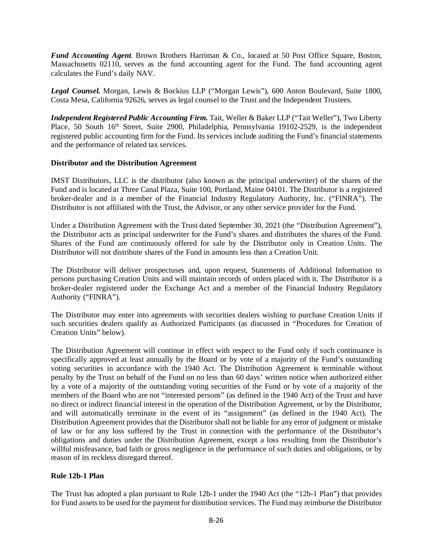*Fund Accounting Agent*. Brown Brothers Harriman & Co., located at 50 Post Office Square, Boston, Massachusetts 02110, serves as the fund accounting agent for the Fund. The fund accounting agent calculates the Fund's daily NAV.

*Legal Counsel***.** Morgan, Lewis & Bockius LLP ("Morgan Lewis"), 600 Anton Boulevard, Suite 1800, Costa Mesa, California 92626, serves as legal counsel to the Trust and the Independent Trustees.

*Independent Registered Public Accounting Firm.* Tait, Weller & Baker LLP ("Tait Weller"), Two Liberty Place, 50 South 16<sup>th</sup> Street, Suite 2900, Philadelphia, Pennsylvania 19102-2529, is the independent registered public accounting firm for the Fund. Its services include auditing the Fund's financial statements and the performance of related tax services.

## **Distributor and the Distribution Agreement**

IMST Distributors, LLC is the distributor (also known as the principal underwriter) of the shares of the Fund and is located at Three Canal Plaza, Suite 100, Portland, Maine 04101. The Distributor is a registered broker-dealer and is a member of the Financial Industry Regulatory Authority, Inc. ("FINRA"). The Distributor is not affiliated with the Trust, the Advisor, or any other service provider for the Fund.

Under a Distribution Agreement with the Trust dated September 30, 2021 (the "Distribution Agreement"), the Distributor acts as principal underwriter for the Fund's shares and distributes the shares of the Fund. Shares of the Fund are continuously offered for sale by the Distributor only in Creation Units. The Distributor will not distribute shares of the Fund in amounts less than a Creation Unit.

The Distributor will deliver prospectuses and, upon request, Statements of Additional Information to persons purchasing Creation Units and will maintain records of orders placed with it. The Distributor is a broker-dealer registered under the Exchange Act and a member of the Financial Industry Regulatory Authority ("FINRA").

The Distributor may enter into agreements with securities dealers wishing to purchase Creation Units if such securities dealers qualify as Authorized Participants (as discussed in "Procedures for Creation of Creation Units" below).

The Distribution Agreement will continue in effect with respect to the Fund only if such continuance is specifically approved at least annually by the Board or by vote of a majority of the Fund's outstanding voting securities in accordance with the 1940 Act. The Distribution Agreement is terminable without penalty by the Trust on behalf of the Fund on no less than 60 days' written notice when authorized either by a vote of a majority of the outstanding voting securities of the Fund or by vote of a majority of the members of the Board who are not "interested persons" (as defined in the 1940 Act) of the Trust and have no direct or indirect financial interest in the operation of the Distribution Agreement, or by the Distributor, and will automatically terminate in the event of its "assignment" (as defined in the 1940 Act). The Distribution Agreement provides that the Distributor shall not be liable for any error of judgment or mistake of law or for any loss suffered by the Trust in connection with the performance of the Distributor's obligations and duties under the Distribution Agreement, except a loss resulting from the Distributor's willful misfeasance, bad faith or gross negligence in the performance of such duties and obligations, or by reason of its reckless disregard thereof.

## **Rule 12b-1 Plan**

The Trust has adopted a plan pursuant to Rule 12b-1 under the 1940 Act (the "12b-1 Plan") that provides for Fund assets to be used for the payment for distribution services. The Fund may reimburse the Distributor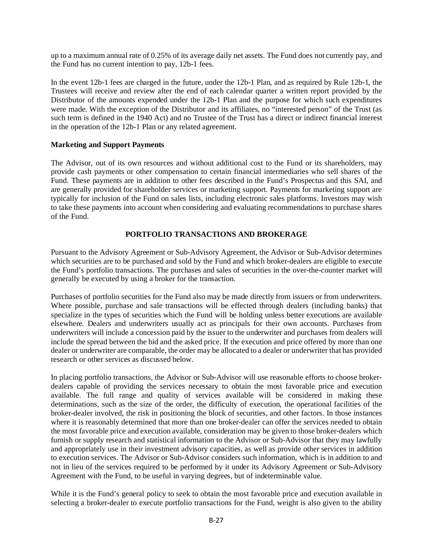up to a maximum annual rate of 0.25% of its average daily net assets. The Fund does not currently pay, and the Fund has no current intention to pay, 12b-1 fees.

In the event 12b-1 fees are charged in the future, under the 12b-1 Plan, and as required by Rule 12b-1, the Trustees will receive and review after the end of each calendar quarter a written report provided by the Distributor of the amounts expended under the 12b-1 Plan and the purpose for which such expenditures were made. With the exception of the Distributor and its affiliates, no "interested person" of the Trust (as such term is defined in the 1940 Act) and no Trustee of the Trust has a direct or indirect financial interest in the operation of the 12b-1 Plan or any related agreement.

### **Marketing and Support Payments**

The Advisor, out of its own resources and without additional cost to the Fund or its shareholders, may provide cash payments or other compensation to certain financial intermediaries who sell shares of the Fund. These payments are in addition to other fees described in the Fund's Prospectus and this SAI, and are generally provided for shareholder services or marketing support. Payments for marketing support are typically for inclusion of the Fund on sales lists, including electronic sales platforms. Investors may wish to take these payments into account when considering and evaluating recommendations to purchase shares of the Fund.

## **PORTFOLIO TRANSACTIONS AND BROKERAGE**

Pursuant to the Advisory Agreement or Sub-Advisory Agreement, the Advisor or Sub-Advisor determines which securities are to be purchased and sold by the Fund and which broker-dealers are eligible to execute the Fund's portfolio transactions. The purchases and sales of securities in the over-the-counter market will generally be executed by using a broker for the transaction.

Purchases of portfolio securities for the Fund also may be made directly from issuers or from underwriters. Where possible, purchase and sale transactions will be effected through dealers (including banks) that specialize in the types of securities which the Fund will be holding unless better executions are available elsewhere. Dealers and underwriters usually act as principals for their own accounts. Purchases from underwriters will include a concession paid by the issuer to the underwriter and purchases from dealers will include the spread between the bid and the asked price. If the execution and price offered by more than one dealer or underwriter are comparable, the order may be allocated to a dealer or underwriter that has provided research or other services as discussed below.

In placing portfolio transactions, the Advisor or Sub-Advisor will use reasonable efforts to choose brokerdealers capable of providing the services necessary to obtain the most favorable price and execution available. The full range and quality of services available will be considered in making these determinations, such as the size of the order, the difficulty of execution, the operational facilities of the broker-dealer involved, the risk in positioning the block of securities, and other factors. In those instances where it is reasonably determined that more than one broker-dealer can offer the services needed to obtain the most favorable price and execution available, consideration may be given to those broker-dealers which furnish or supply research and statistical information to the Advisor or Sub-Advisor that they may lawfully and appropriately use in their investment advisory capacities, as well as provide other services in addition to execution services. The Advisor or Sub-Advisor considers such information, which is in addition to and not in lieu of the services required to be performed by it under its Advisory Agreement or Sub-Advisory Agreement with the Fund, to be useful in varying degrees, but of indeterminable value.

While it is the Fund's general policy to seek to obtain the most favorable price and execution available in selecting a broker-dealer to execute portfolio transactions for the Fund, weight is also given to the ability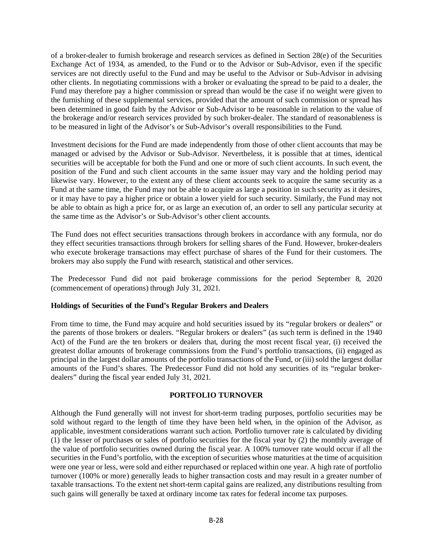of a broker-dealer to furnish brokerage and research services as defined in Section 28(e) of the Securities Exchange Act of 1934, as amended, to the Fund or to the Advisor or Sub-Advisor, even if the specific services are not directly useful to the Fund and may be useful to the Advisor or Sub-Advisor in advising other clients. In negotiating commissions with a broker or evaluating the spread to be paid to a dealer, the Fund may therefore pay a higher commission or spread than would be the case if no weight were given to the furnishing of these supplemental services, provided that the amount of such commission or spread has been determined in good faith by the Advisor or Sub-Advisor to be reasonable in relation to the value of the brokerage and/or research services provided by such broker-dealer. The standard of reasonableness is to be measured in light of the Advisor's or Sub-Advisor's overall responsibilities to the Fund.

Investment decisions for the Fund are made independently from those of other client accounts that may be managed or advised by the Advisor or Sub-Advisor. Nevertheless, it is possible that at times, identical securities will be acceptable for both the Fund and one or more of such client accounts. In such event, the position of the Fund and such client accounts in the same issuer may vary and the holding period may likewise vary. However, to the extent any of these client accounts seek to acquire the same security as a Fund at the same time, the Fund may not be able to acquire as large a position in such security as it desires, or it may have to pay a higher price or obtain a lower yield for such security. Similarly, the Fund may not be able to obtain as high a price for, or as large an execution of, an order to sell any particular security at the same time as the Advisor's or Sub-Advisor's other client accounts.

The Fund does not effect securities transactions through brokers in accordance with any formula, nor do they effect securities transactions through brokers for selling shares of the Fund. However, broker-dealers who execute brokerage transactions may effect purchase of shares of the Fund for their customers. The brokers may also supply the Fund with research, statistical and other services.

The Predecessor Fund did not paid brokerage commissions for the period September 8, 2020 (commencement of operations) through July 31, 2021.

## **Holdings of Securities of the Fund's Regular Brokers and Dealers**

From time to time, the Fund may acquire and hold securities issued by its "regular brokers or dealers" or the parents of those brokers or dealers. "Regular brokers or dealers" (as such term is defined in the 1940 Act) of the Fund are the ten brokers or dealers that, during the most recent fiscal year, (i) received the greatest dollar amounts of brokerage commissions from the Fund's portfolio transactions, (ii) engaged as principal in the largest dollar amounts of the portfolio transactions of the Fund, or (iii) sold the largest dollar amounts of the Fund's shares. The Predecessor Fund did not hold any securities of its "regular brokerdealers" during the fiscal year ended July 31, 2021.

## **PORTFOLIO TURNOVER**

Although the Fund generally will not invest for short-term trading purposes, portfolio securities may be sold without regard to the length of time they have been held when, in the opinion of the Advisor, as applicable, investment considerations warrant such action. Portfolio turnover rate is calculated by dividing (1) the lesser of purchases or sales of portfolio securities for the fiscal year by (2) the monthly average of the value of portfolio securities owned during the fiscal year. A 100% turnover rate would occur if all the securities in the Fund's portfolio, with the exception of securities whose maturities at the time of acquisition were one year or less, were sold and either repurchased or replaced within one year. A high rate of portfolio turnover (100% or more) generally leads to higher transaction costs and may result in a greater number of taxable transactions. To the extent net short-term capital gains are realized, any distributions resulting from such gains will generally be taxed at ordinary income tax rates for federal income tax purposes.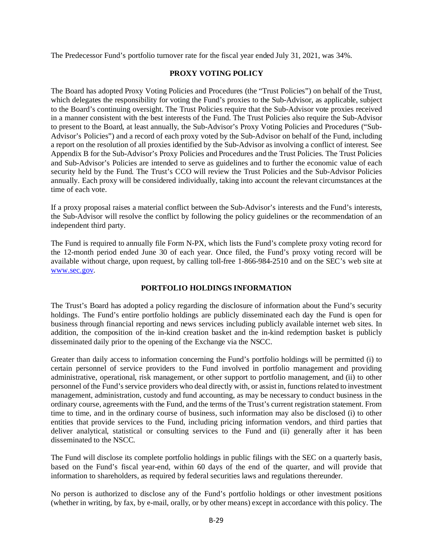The Predecessor Fund's portfolio turnover rate for the fiscal year ended July 31, 2021, was 34%.

## **PROXY VOTING POLICY**

The Board has adopted Proxy Voting Policies and Procedures (the "Trust Policies") on behalf of the Trust, which delegates the responsibility for voting the Fund's proxies to the Sub-Advisor, as applicable, subject to the Board's continuing oversight. The Trust Policies require that the Sub-Advisor vote proxies received in a manner consistent with the best interests of the Fund. The Trust Policies also require the Sub-Advisor to present to the Board, at least annually, the Sub-Advisor's Proxy Voting Policies and Procedures ("Sub-Advisor's Policies") and a record of each proxy voted by the Sub-Advisor on behalf of the Fund, including a report on the resolution of all proxies identified by the Sub-Advisor as involving a conflict of interest. See Appendix B for the Sub-Advisor's Proxy Policies and Procedures and the Trust Policies. The Trust Policies and Sub-Advisor's Policies are intended to serve as guidelines and to further the economic value of each security held by the Fund. The Trust's CCO will review the Trust Policies and the Sub-Advisor Policies annually. Each proxy will be considered individually, taking into account the relevant circumstances at the time of each vote.

If a proxy proposal raises a material conflict between the Sub-Advisor's interests and the Fund's interests, the Sub-Advisor will resolve the conflict by following the policy guidelines or the recommendation of an independent third party.

The Fund is required to annually file Form N-PX, which lists the Fund's complete proxy voting record for the 12-month period ended June 30 of each year. Once filed, the Fund's proxy voting record will be available without charge, upon request, by calling toll-free 1-866-984-2510 and on the SEC's web site at [www.sec.gov.](http://www.sec.gov/)

# **PORTFOLIO HOLDINGS INFORMATION**

The Trust's Board has adopted a policy regarding the disclosure of information about the Fund's security holdings. The Fund's entire portfolio holdings are publicly disseminated each day the Fund is open for business through financial reporting and news services including publicly available internet web sites. In addition, the composition of the in-kind creation basket and the in-kind redemption basket is publicly disseminated daily prior to the opening of the Exchange via the NSCC.

Greater than daily access to information concerning the Fund's portfolio holdings will be permitted (i) to certain personnel of service providers to the Fund involved in portfolio management and providing administrative, operational, risk management, or other support to portfolio management, and (ii) to other personnel of the Fund's service providers who deal directly with, or assist in, functions related to investment management, administration, custody and fund accounting, as may be necessary to conduct business in the ordinary course, agreements with the Fund, and the terms of the Trust's current registration statement. From time to time, and in the ordinary course of business, such information may also be disclosed (i) to other entities that provide services to the Fund, including pricing information vendors, and third parties that deliver analytical, statistical or consulting services to the Fund and (ii) generally after it has been disseminated to the NSCC.

The Fund will disclose its complete portfolio holdings in public filings with the SEC on a quarterly basis, based on the Fund's fiscal year-end, within 60 days of the end of the quarter, and will provide that information to shareholders, as required by federal securities laws and regulations thereunder.

No person is authorized to disclose any of the Fund's portfolio holdings or other investment positions (whether in writing, by fax, by e-mail, orally, or by other means) except in accordance with this policy. The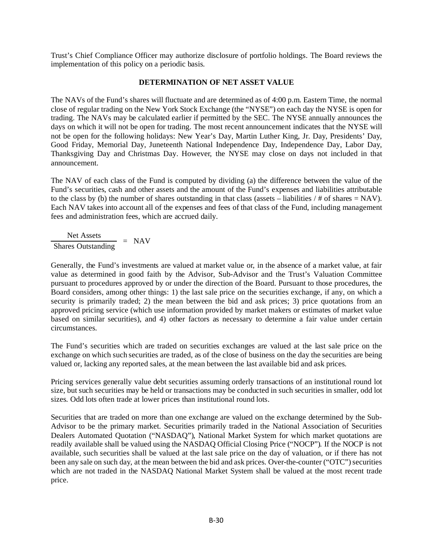Trust's Chief Compliance Officer may authorize disclosure of portfolio holdings. The Board reviews the implementation of this policy on a periodic basis.

## **DETERMINATION OF NET ASSET VALUE**

The NAVs of the Fund's shares will fluctuate and are determined as of 4:00 p.m. Eastern Time, the normal close of regular trading on the New York Stock Exchange (the "NYSE") on each day the NYSE is open for trading. The NAVs may be calculated earlier if permitted by the SEC. The NYSE annually announces the days on which it will not be open for trading. The most recent announcement indicates that the NYSE will not be open for the following holidays: New Year's Day, Martin Luther King, Jr. Day, Presidents' Day, Good Friday, Memorial Day, Juneteenth National Independence Day, Independence Day, Labor Day, Thanksgiving Day and Christmas Day. However, the NYSE may close on days not included in that announcement.

The NAV of each class of the Fund is computed by dividing (a) the difference between the value of the Fund's securities, cash and other assets and the amount of the Fund's expenses and liabilities attributable to the class by (b) the number of shares outstanding in that class (assets  $-$  liabilities / # of shares  $=$  NAV). Each NAV takes into account all of the expenses and fees of that class of the Fund, including management fees and administration fees, which are accrued daily.

 $\frac{\text{Net Assets}}{\text{Shares Outstanding}}$  = NAV

Generally, the Fund's investments are valued at market value or, in the absence of a market value, at fair value as determined in good faith by the Advisor, Sub-Advisor and the Trust's Valuation Committee pursuant to procedures approved by or under the direction of the Board. Pursuant to those procedures, the Board considers, among other things: 1) the last sale price on the securities exchange, if any, on which a security is primarily traded; 2) the mean between the bid and ask prices; 3) price quotations from an approved pricing service (which use information provided by market makers or estimates of market value based on similar securities), and 4) other factors as necessary to determine a fair value under certain circumstances.

The Fund's securities which are traded on securities exchanges are valued at the last sale price on the exchange on which such securities are traded, as of the close of business on the day the securities are being valued or, lacking any reported sales, at the mean between the last available bid and ask prices.

Pricing services generally value debt securities assuming orderly transactions of an institutional round lot size, but such securities may be held or transactions may be conducted in such securities in smaller, odd lot sizes. Odd lots often trade at lower prices than institutional round lots.

Securities that are traded on more than one exchange are valued on the exchange determined by the Sub-Advisor to be the primary market. Securities primarily traded in the National Association of Securities Dealers Automated Quotation ("NASDAQ"), National Market System for which market quotations are readily available shall be valued using the NASDAQ Official Closing Price ("NOCP"). If the NOCP is not available, such securities shall be valued at the last sale price on the day of valuation, or if there has not been any sale on such day, at the mean between the bid and ask prices. Over-the-counter ("OTC") securities which are not traded in the NASDAQ National Market System shall be valued at the most recent trade price.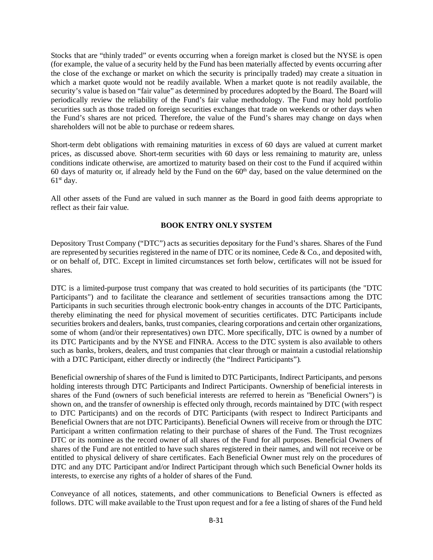Stocks that are "thinly traded" or events occurring when a foreign market is closed but the NYSE is open (for example, the value of a security held by the Fund has been materially affected by events occurring after the close of the exchange or market on which the security is principally traded) may create a situation in which a market quote would not be readily available. When a market quote is not readily available, the security's value is based on "fair value" as determined by procedures adopted by the Board. The Board will periodically review the reliability of the Fund's fair value methodology. The Fund may hold portfolio securities such as those traded on foreign securities exchanges that trade on weekends or other days when the Fund's shares are not priced. Therefore, the value of the Fund's shares may change on days when shareholders will not be able to purchase or redeem shares.

Short-term debt obligations with remaining maturities in excess of 60 days are valued at current market prices, as discussed above. Short-term securities with 60 days or less remaining to maturity are, unless conditions indicate otherwise, are amortized to maturity based on their cost to the Fund if acquired within 60 days of maturity or, if already held by the Fund on the  $60<sup>th</sup>$  day, based on the value determined on the  $61<sup>st</sup>$  day.

All other assets of the Fund are valued in such manner as the Board in good faith deems appropriate to reflect as their fair value.

## **BOOK ENTRY ONLY SYSTEM**

Depository Trust Company ("DTC") acts as securities depositary for the Fund's shares. Shares of the Fund are represented by securities registered in the name of DTC or its nominee, Cede & Co., and deposited with, or on behalf of, DTC. Except in limited circumstances set forth below, certificates will not be issued for shares.

DTC is a limited-purpose trust company that was created to hold securities of its participants (the "DTC Participants") and to facilitate the clearance and settlement of securities transactions among the DTC Participants in such securities through electronic book-entry changes in accounts of the DTC Participants, thereby eliminating the need for physical movement of securities certificates. DTC Participants include securities brokers and dealers, banks, trust companies, clearing corporations and certain other organizations, some of whom (and/or their representatives) own DTC. More specifically, DTC is owned by a number of its DTC Participants and by the NYSE and FINRA. Access to the DTC system is also available to others such as banks, brokers, dealers, and trust companies that clear through or maintain a custodial relationship with a DTC Participant, either directly or indirectly (the "Indirect Participants").

Beneficial ownership of shares of the Fund is limited to DTC Participants, Indirect Participants, and persons holding interests through DTC Participants and Indirect Participants. Ownership of beneficial interests in shares of the Fund (owners of such beneficial interests are referred to herein as "Beneficial Owners") is shown on, and the transfer of ownership is effected only through, records maintained by DTC (with respect to DTC Participants) and on the records of DTC Participants (with respect to Indirect Participants and Beneficial Owners that are not DTC Participants). Beneficial Owners will receive from or through the DTC Participant a written confirmation relating to their purchase of shares of the Fund. The Trust recognizes DTC or its nominee as the record owner of all shares of the Fund for all purposes. Beneficial Owners of shares of the Fund are not entitled to have such shares registered in their names, and will not receive or be entitled to physical delivery of share certificates. Each Beneficial Owner must rely on the procedures of DTC and any DTC Participant and/or Indirect Participant through which such Beneficial Owner holds its interests, to exercise any rights of a holder of shares of the Fund.

Conveyance of all notices, statements, and other communications to Beneficial Owners is effected as follows. DTC will make available to the Trust upon request and for a fee a listing of shares of the Fund held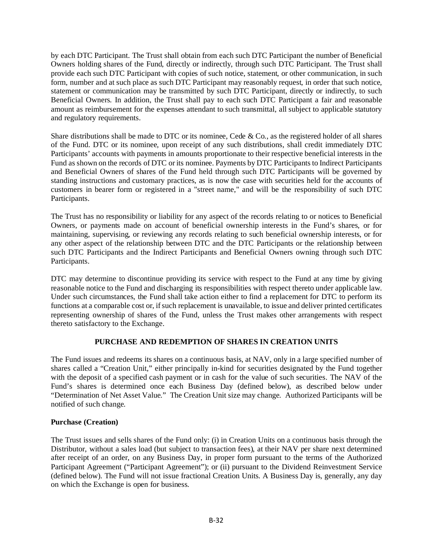by each DTC Participant. The Trust shall obtain from each such DTC Participant the number of Beneficial Owners holding shares of the Fund, directly or indirectly, through such DTC Participant. The Trust shall provide each such DTC Participant with copies of such notice, statement, or other communication, in such form, number and at such place as such DTC Participant may reasonably request, in order that such notice, statement or communication may be transmitted by such DTC Participant, directly or indirectly, to such Beneficial Owners. In addition, the Trust shall pay to each such DTC Participant a fair and reasonable amount as reimbursement for the expenses attendant to such transmittal, all subject to applicable statutory and regulatory requirements.

Share distributions shall be made to DTC or its nominee, Cede  $\&$  Co., as the registered holder of all shares of the Fund. DTC or its nominee, upon receipt of any such distributions, shall credit immediately DTC Participants' accounts with payments in amounts proportionate to their respective beneficial interests in the Fund as shown on the records of DTC or its nominee. Payments by DTC Participants to Indirect Participants and Beneficial Owners of shares of the Fund held through such DTC Participants will be governed by standing instructions and customary practices, as is now the case with securities held for the accounts of customers in bearer form or registered in a "street name," and will be the responsibility of such DTC Participants.

The Trust has no responsibility or liability for any aspect of the records relating to or notices to Beneficial Owners, or payments made on account of beneficial ownership interests in the Fund's shares, or for maintaining, supervising, or reviewing any records relating to such beneficial ownership interests, or for any other aspect of the relationship between DTC and the DTC Participants or the relationship between such DTC Participants and the Indirect Participants and Beneficial Owners owning through such DTC Participants.

DTC may determine to discontinue providing its service with respect to the Fund at any time by giving reasonable notice to the Fund and discharging its responsibilities with respect thereto under applicable law. Under such circumstances, the Fund shall take action either to find a replacement for DTC to perform its functions at a comparable cost or, if such replacement is unavailable, to issue and deliver printed certificates representing ownership of shares of the Fund, unless the Trust makes other arrangements with respect thereto satisfactory to the Exchange.

# **PURCHASE AND REDEMPTION OF SHARES IN CREATION UNITS**

The Fund issues and redeems its shares on a continuous basis, at NAV, only in a large specified number of shares called a "Creation Unit," either principally in-kind for securities designated by the Fund together with the deposit of a specified cash payment or in cash for the value of such securities. The NAV of the Fund's shares is determined once each Business Day (defined below), as described below under "Determination of Net Asset Value." The Creation Unit size may change. Authorized Participants will be notified of such change.

# **Purchase (Creation)**

The Trust issues and sells shares of the Fund only: (i) in Creation Units on a continuous basis through the Distributor, without a sales load (but subject to transaction fees), at their NAV per share next determined after receipt of an order, on any Business Day, in proper form pursuant to the terms of the Authorized Participant Agreement ("Participant Agreement"); or (ii) pursuant to the Dividend Reinvestment Service (defined below). The Fund will not issue fractional Creation Units. A Business Day is, generally, any day on which the Exchange is open for business.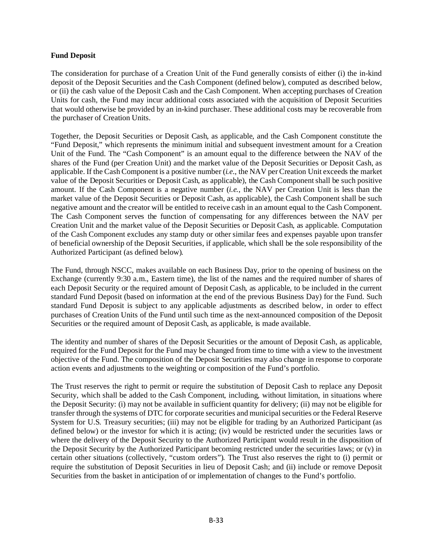## **Fund Deposit**

The consideration for purchase of a Creation Unit of the Fund generally consists of either (i) the in-kind deposit of the Deposit Securities and the Cash Component (defined below), computed as described below, or (ii) the cash value of the Deposit Cash and the Cash Component. When accepting purchases of Creation Units for cash, the Fund may incur additional costs associated with the acquisition of Deposit Securities that would otherwise be provided by an in-kind purchaser. These additional costs may be recoverable from the purchaser of Creation Units.

Together, the Deposit Securities or Deposit Cash, as applicable, and the Cash Component constitute the "Fund Deposit," which represents the minimum initial and subsequent investment amount for a Creation Unit of the Fund. The "Cash Component" is an amount equal to the difference between the NAV of the shares of the Fund (per Creation Unit) and the market value of the Deposit Securities or Deposit Cash, as applicable. If the Cash Component is a positive number (*i.e.*, the NAV per Creation Unit exceeds the market value of the Deposit Securities or Deposit Cash, as applicable), the Cash Component shall be such positive amount. If the Cash Component is a negative number (*i.e.*, the NAV per Creation Unit is less than the market value of the Deposit Securities or Deposit Cash, as applicable), the Cash Component shall be such negative amount and the creator will be entitled to receive cash in an amount equal to the Cash Component. The Cash Component serves the function of compensating for any differences between the NAV per Creation Unit and the market value of the Deposit Securities or Deposit Cash, as applicable. Computation of the Cash Component excludes any stamp duty or other similar fees and expenses payable upon transfer of beneficial ownership of the Deposit Securities, if applicable, which shall be the sole responsibility of the Authorized Participant (as defined below).

The Fund, through NSCC, makes available on each Business Day, prior to the opening of business on the Exchange (currently 9:30 a.m., Eastern time), the list of the names and the required number of shares of each Deposit Security or the required amount of Deposit Cash, as applicable, to be included in the current standard Fund Deposit (based on information at the end of the previous Business Day) for the Fund. Such standard Fund Deposit is subject to any applicable adjustments as described below, in order to effect purchases of Creation Units of the Fund until such time as the next-announced composition of the Deposit Securities or the required amount of Deposit Cash, as applicable, is made available.

The identity and number of shares of the Deposit Securities or the amount of Deposit Cash, as applicable, required for the Fund Deposit for the Fund may be changed from time to time with a view to the investment objective of the Fund. The composition of the Deposit Securities may also change in response to corporate action events and adjustments to the weighting or composition of the Fund's portfolio.

The Trust reserves the right to permit or require the substitution of Deposit Cash to replace any Deposit Security, which shall be added to the Cash Component, including, without limitation, in situations where the Deposit Security: (i) may not be available in sufficient quantity for delivery; (ii) may not be eligible for transfer through the systems of DTC for corporate securities and municipal securities or the Federal Reserve System for U.S. Treasury securities; (iii) may not be eligible for trading by an Authorized Participant (as defined below) or the investor for which it is acting; (iv) would be restricted under the securities laws or where the delivery of the Deposit Security to the Authorized Participant would result in the disposition of the Deposit Security by the Authorized Participant becoming restricted under the securities laws; or (v) in certain other situations (collectively, "custom orders"). The Trust also reserves the right to (i) permit or require the substitution of Deposit Securities in lieu of Deposit Cash; and (ii) include or remove Deposit Securities from the basket in anticipation of or implementation of changes to the Fund's portfolio.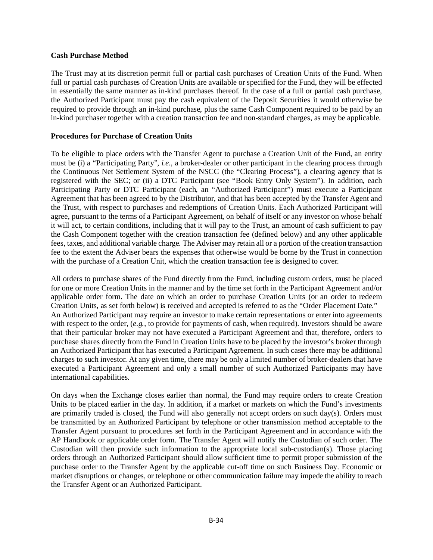### **Cash Purchase Method**

The Trust may at its discretion permit full or partial cash purchases of Creation Units of the Fund. When full or partial cash purchases of Creation Units are available or specified for the Fund, they will be effected in essentially the same manner as in-kind purchases thereof. In the case of a full or partial cash purchase, the Authorized Participant must pay the cash equivalent of the Deposit Securities it would otherwise be required to provide through an in-kind purchase, plus the same Cash Component required to be paid by an in-kind purchaser together with a creation transaction fee and non-standard charges, as may be applicable.

### **Procedures for Purchase of Creation Units**

To be eligible to place orders with the Transfer Agent to purchase a Creation Unit of the Fund, an entity must be (i) a "Participating Party", *i.e.*, a broker-dealer or other participant in the clearing process through the Continuous Net Settlement System of the NSCC (the "Clearing Process"), a clearing agency that is registered with the SEC; or (ii) a DTC Participant (see "Book Entry Only System"). In addition, each Participating Party or DTC Participant (each, an "Authorized Participant") must execute a Participant Agreement that has been agreed to by the Distributor, and that has been accepted by the Transfer Agent and the Trust, with respect to purchases and redemptions of Creation Units. Each Authorized Participant will agree, pursuant to the terms of a Participant Agreement, on behalf of itself or any investor on whose behalf it will act, to certain conditions, including that it will pay to the Trust, an amount of cash sufficient to pay the Cash Component together with the creation transaction fee (defined below) and any other applicable fees, taxes, and additional variable charge. The Adviser may retain all or a portion of the creation transaction fee to the extent the Adviser bears the expenses that otherwise would be borne by the Trust in connection with the purchase of a Creation Unit, which the creation transaction fee is designed to cover.

All orders to purchase shares of the Fund directly from the Fund, including custom orders, must be placed for one or more Creation Units in the manner and by the time set forth in the Participant Agreement and/or applicable order form. The date on which an order to purchase Creation Units (or an order to redeem Creation Units, as set forth below) is received and accepted is referred to as the "Order Placement Date." An Authorized Participant may require an investor to make certain representations or enter into agreements with respect to the order, (*e.g.*, to provide for payments of cash, when required). Investors should be aware that their particular broker may not have executed a Participant Agreement and that, therefore, orders to purchase shares directly from the Fund in Creation Units have to be placed by the investor's broker through an Authorized Participant that has executed a Participant Agreement. In such cases there may be additional charges to such investor. At any given time, there may be only a limited number of broker-dealers that have executed a Participant Agreement and only a small number of such Authorized Participants may have international capabilities.

On days when the Exchange closes earlier than normal, the Fund may require orders to create Creation Units to be placed earlier in the day. In addition, if a market or markets on which the Fund's investments are primarily traded is closed, the Fund will also generally not accept orders on such day(s). Orders must be transmitted by an Authorized Participant by telephone or other transmission method acceptable to the Transfer Agent pursuant to procedures set forth in the Participant Agreement and in accordance with the AP Handbook or applicable order form. The Transfer Agent will notify the Custodian of such order. The Custodian will then provide such information to the appropriate local sub-custodian(s). Those placing orders through an Authorized Participant should allow sufficient time to permit proper submission of the purchase order to the Transfer Agent by the applicable cut-off time on such Business Day. Economic or market disruptions or changes, or telephone or other communication failure may impede the ability to reach the Transfer Agent or an Authorized Participant.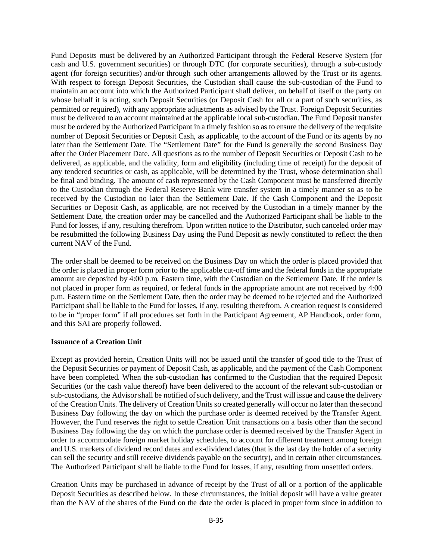Fund Deposits must be delivered by an Authorized Participant through the Federal Reserve System (for cash and U.S. government securities) or through DTC (for corporate securities), through a sub-custody agent (for foreign securities) and/or through such other arrangements allowed by the Trust or its agents. With respect to foreign Deposit Securities, the Custodian shall cause the sub-custodian of the Fund to maintain an account into which the Authorized Participant shall deliver, on behalf of itself or the party on whose behalf it is acting, such Deposit Securities (or Deposit Cash for all or a part of such securities, as permitted or required), with any appropriate adjustments as advised by the Trust. Foreign Deposit Securities must be delivered to an account maintained at the applicable local sub-custodian. The Fund Deposit transfer must be ordered by the Authorized Participant in a timely fashion so as to ensure the delivery of the requisite number of Deposit Securities or Deposit Cash, as applicable, to the account of the Fund or its agents by no later than the Settlement Date. The "Settlement Date" for the Fund is generally the second Business Day after the Order Placement Date. All questions as to the number of Deposit Securities or Deposit Cash to be delivered, as applicable, and the validity, form and eligibility (including time of receipt) for the deposit of any tendered securities or cash, as applicable, will be determined by the Trust, whose determination shall be final and binding. The amount of cash represented by the Cash Component must be transferred directly to the Custodian through the Federal Reserve Bank wire transfer system in a timely manner so as to be received by the Custodian no later than the Settlement Date. If the Cash Component and the Deposit Securities or Deposit Cash, as applicable, are not received by the Custodian in a timely manner by the Settlement Date, the creation order may be cancelled and the Authorized Participant shall be liable to the Fund for losses, if any, resulting therefrom. Upon written notice to the Distributor, such canceled order may be resubmitted the following Business Day using the Fund Deposit as newly constituted to reflect the then current NAV of the Fund.

The order shall be deemed to be received on the Business Day on which the order is placed provided that the order is placed in proper form prior to the applicable cut-off time and the federal funds in the appropriate amount are deposited by 4:00 p.m. Eastern time, with the Custodian on the Settlement Date. If the order is not placed in proper form as required, or federal funds in the appropriate amount are not received by 4:00 p.m. Eastern time on the Settlement Date, then the order may be deemed to be rejected and the Authorized Participant shall be liable to the Fund for losses, if any, resulting therefrom. A creation request is considered to be in "proper form" if all procedures set forth in the Participant Agreement, AP Handbook, order form, and this SAI are properly followed.

#### **Issuance of a Creation Unit**

Except as provided herein, Creation Units will not be issued until the transfer of good title to the Trust of the Deposit Securities or payment of Deposit Cash, as applicable, and the payment of the Cash Component have been completed. When the sub-custodian has confirmed to the Custodian that the required Deposit Securities (or the cash value thereof) have been delivered to the account of the relevant sub-custodian or sub-custodians, the Advisor shall be notified of such delivery, and the Trust will issue and cause the delivery of the Creation Units. The delivery of Creation Units so created generally will occur no later than the second Business Day following the day on which the purchase order is deemed received by the Transfer Agent. However, the Fund reserves the right to settle Creation Unit transactions on a basis other than the second Business Day following the day on which the purchase order is deemed received by the Transfer Agent in order to accommodate foreign market holiday schedules, to account for different treatment among foreign and U.S. markets of dividend record dates and ex-dividend dates (that is the last day the holder of a security can sell the security and still receive dividends payable on the security), and in certain other circumstances. The Authorized Participant shall be liable to the Fund for losses, if any, resulting from unsettled orders.

Creation Units may be purchased in advance of receipt by the Trust of all or a portion of the applicable Deposit Securities as described below. In these circumstances, the initial deposit will have a value greater than the NAV of the shares of the Fund on the date the order is placed in proper form since in addition to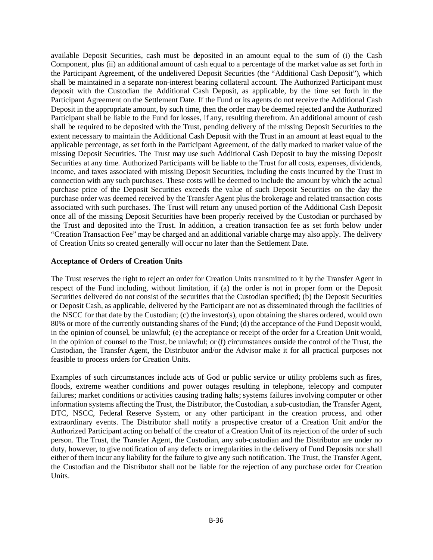available Deposit Securities, cash must be deposited in an amount equal to the sum of (i) the Cash Component, plus (ii) an additional amount of cash equal to a percentage of the market value as set forth in the Participant Agreement, of the undelivered Deposit Securities (the "Additional Cash Deposit"), which shall be maintained in a separate non-interest bearing collateral account. The Authorized Participant must deposit with the Custodian the Additional Cash Deposit, as applicable, by the time set forth in the Participant Agreement on the Settlement Date. If the Fund or its agents do not receive the Additional Cash Deposit in the appropriate amount, by such time, then the order may be deemed rejected and the Authorized Participant shall be liable to the Fund for losses, if any, resulting therefrom. An additional amount of cash shall be required to be deposited with the Trust, pending delivery of the missing Deposit Securities to the extent necessary to maintain the Additional Cash Deposit with the Trust in an amount at least equal to the applicable percentage, as set forth in the Participant Agreement, of the daily marked to market value of the missing Deposit Securities. The Trust may use such Additional Cash Deposit to buy the missing Deposit Securities at any time. Authorized Participants will be liable to the Trust for all costs, expenses, dividends, income, and taxes associated with missing Deposit Securities, including the costs incurred by the Trust in connection with any such purchases. These costs will be deemed to include the amount by which the actual purchase price of the Deposit Securities exceeds the value of such Deposit Securities on the day the purchase order was deemed received by the Transfer Agent plus the brokerage and related transaction costs associated with such purchases. The Trust will return any unused portion of the Additional Cash Deposit once all of the missing Deposit Securities have been properly received by the Custodian or purchased by the Trust and deposited into the Trust. In addition, a creation transaction fee as set forth below under "Creation Transaction Fee" may be charged and an additional variable charge may also apply. The delivery of Creation Units so created generally will occur no later than the Settlement Date.

### **Acceptance of Orders of Creation Units**

The Trust reserves the right to reject an order for Creation Units transmitted to it by the Transfer Agent in respect of the Fund including, without limitation, if (a) the order is not in proper form or the Deposit Securities delivered do not consist of the securities that the Custodian specified; (b) the Deposit Securities or Deposit Cash, as applicable, delivered by the Participant are not as disseminated through the facilities of the NSCC for that date by the Custodian; (c) the investor(s), upon obtaining the shares ordered, would own 80% or more of the currently outstanding shares of the Fund; (d) the acceptance of the Fund Deposit would, in the opinion of counsel, be unlawful; (e) the acceptance or receipt of the order for a Creation Unit would, in the opinion of counsel to the Trust, be unlawful; or (f) circumstances outside the control of the Trust, the Custodian, the Transfer Agent, the Distributor and/or the Advisor make it for all practical purposes not feasible to process orders for Creation Units.

Examples of such circumstances include acts of God or public service or utility problems such as fires, floods, extreme weather conditions and power outages resulting in telephone, telecopy and computer failures; market conditions or activities causing trading halts; systems failures involving computer or other information systems affecting the Trust, the Distributor, the Custodian, a sub-custodian, the Transfer Agent, DTC, NSCC, Federal Reserve System, or any other participant in the creation process, and other extraordinary events. The Distributor shall notify a prospective creator of a Creation Unit and/or the Authorized Participant acting on behalf of the creator of a Creation Unit of its rejection of the order of such person. The Trust, the Transfer Agent, the Custodian, any sub-custodian and the Distributor are under no duty, however, to give notification of any defects or irregularities in the delivery of Fund Deposits nor shall either of them incur any liability for the failure to give any such notification. The Trust, the Transfer Agent, the Custodian and the Distributor shall not be liable for the rejection of any purchase order for Creation Units.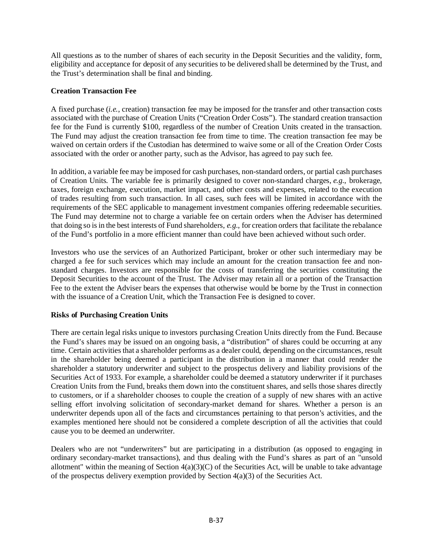All questions as to the number of shares of each security in the Deposit Securities and the validity, form, eligibility and acceptance for deposit of any securities to be delivered shall be determined by the Trust, and the Trust's determination shall be final and binding.

## **Creation Transaction Fee**

A fixed purchase (*i.e.*, creation) transaction fee may be imposed for the transfer and other transaction costs associated with the purchase of Creation Units ("Creation Order Costs"). The standard creation transaction fee for the Fund is currently \$100, regardless of the number of Creation Units created in the transaction. The Fund may adjust the creation transaction fee from time to time. The creation transaction fee may be waived on certain orders if the Custodian has determined to waive some or all of the Creation Order Costs associated with the order or another party, such as the Advisor, has agreed to pay such fee.

In addition, a variable fee may be imposed for cash purchases, non-standard orders, or partial cash purchases of Creation Units. The variable fee is primarily designed to cover non-standard charges, *e.g.*, brokerage, taxes, foreign exchange, execution, market impact, and other costs and expenses, related to the execution of trades resulting from such transaction. In all cases, such fees will be limited in accordance with the requirements of the SEC applicable to management investment companies offering redeemable securities. The Fund may determine not to charge a variable fee on certain orders when the Adviser has determined that doing so is in the best interests of Fund shareholders, *e.g.*, for creation orders that facilitate the rebalance of the Fund's portfolio in a more efficient manner than could have been achieved without such order.

Investors who use the services of an Authorized Participant, broker or other such intermediary may be charged a fee for such services which may include an amount for the creation transaction fee and nonstandard charges. Investors are responsible for the costs of transferring the securities constituting the Deposit Securities to the account of the Trust. The Adviser may retain all or a portion of the Transaction Fee to the extent the Adviser bears the expenses that otherwise would be borne by the Trust in connection with the issuance of a Creation Unit, which the Transaction Fee is designed to cover.

# **Risks of Purchasing Creation Units**

There are certain legal risks unique to investors purchasing Creation Units directly from the Fund. Because the Fund's shares may be issued on an ongoing basis, a "distribution" of shares could be occurring at any time. Certain activities that a shareholder performs as a dealer could, depending on the circumstances, result in the shareholder being deemed a participant in the distribution in a manner that could render the shareholder a statutory underwriter and subject to the prospectus delivery and liability provisions of the Securities Act of 1933. For example, a shareholder could be deemed a statutory underwriter if it purchases Creation Units from the Fund, breaks them down into the constituent shares, and sells those shares directly to customers, or if a shareholder chooses to couple the creation of a supply of new shares with an active selling effort involving solicitation of secondary-market demand for shares. Whether a person is an underwriter depends upon all of the facts and circumstances pertaining to that person's activities, and the examples mentioned here should not be considered a complete description of all the activities that could cause you to be deemed an underwriter.

Dealers who are not "underwriters" but are participating in a distribution (as opposed to engaging in ordinary secondary-market transactions), and thus dealing with the Fund's shares as part of an "unsold allotment" within the meaning of Section  $4(a)(3)(C)$  of the Securities Act, will be unable to take advantage of the prospectus delivery exemption provided by Section 4(a)(3) of the Securities Act.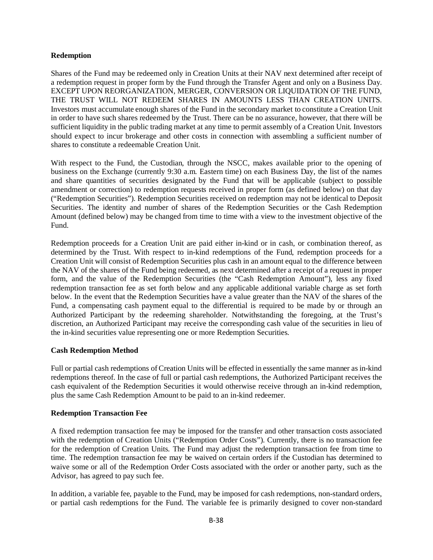## **Redemption**

Shares of the Fund may be redeemed only in Creation Units at their NAV next determined after receipt of a redemption request in proper form by the Fund through the Transfer Agent and only on a Business Day. EXCEPT UPON REORGANIZATION, MERGER, CONVERSION OR LIQUIDATION OF THE FUND, THE TRUST WILL NOT REDEEM SHARES IN AMOUNTS LESS THAN CREATION UNITS. Investors must accumulate enough shares of the Fund in the secondary market to constitute a Creation Unit in order to have such shares redeemed by the Trust. There can be no assurance, however, that there will be sufficient liquidity in the public trading market at any time to permit assembly of a Creation Unit. Investors should expect to incur brokerage and other costs in connection with assembling a sufficient number of shares to constitute a redeemable Creation Unit.

With respect to the Fund, the Custodian, through the NSCC, makes available prior to the opening of business on the Exchange (currently 9:30 a.m. Eastern time) on each Business Day, the list of the names and share quantities of securities designated by the Fund that will be applicable (subject to possible amendment or correction) to redemption requests received in proper form (as defined below) on that day ("Redemption Securities"). Redemption Securities received on redemption may not be identical to Deposit Securities. The identity and number of shares of the Redemption Securities or the Cash Redemption Amount (defined below) may be changed from time to time with a view to the investment objective of the Fund.

Redemption proceeds for a Creation Unit are paid either in-kind or in cash, or combination thereof, as determined by the Trust. With respect to in-kind redemptions of the Fund, redemption proceeds for a Creation Unit will consist of Redemption Securities plus cash in an amount equal to the difference between the NAV of the shares of the Fund being redeemed, as next determined after a receipt of a request in proper form, and the value of the Redemption Securities (the "Cash Redemption Amount"), less any fixed redemption transaction fee as set forth below and any applicable additional variable charge as set forth below. In the event that the Redemption Securities have a value greater than the NAV of the shares of the Fund, a compensating cash payment equal to the differential is required to be made by or through an Authorized Participant by the redeeming shareholder. Notwithstanding the foregoing, at the Trust's discretion, an Authorized Participant may receive the corresponding cash value of the securities in lieu of the in-kind securities value representing one or more Redemption Securities.

## **Cash Redemption Method**

Full or partial cash redemptions of Creation Units will be effected in essentially the same manner as in-kind redemptions thereof. In the case of full or partial cash redemptions, the Authorized Participant receives the cash equivalent of the Redemption Securities it would otherwise receive through an in-kind redemption, plus the same Cash Redemption Amount to be paid to an in-kind redeemer.

### **Redemption Transaction Fee**

A fixed redemption transaction fee may be imposed for the transfer and other transaction costs associated with the redemption of Creation Units ("Redemption Order Costs"). Currently, there is no transaction fee for the redemption of Creation Units. The Fund may adjust the redemption transaction fee from time to time. The redemption transaction fee may be waived on certain orders if the Custodian has determined to waive some or all of the Redemption Order Costs associated with the order or another party, such as the Advisor, has agreed to pay such fee.

In addition, a variable fee, payable to the Fund, may be imposed for cash redemptions, non-standard orders, or partial cash redemptions for the Fund. The variable fee is primarily designed to cover non-standard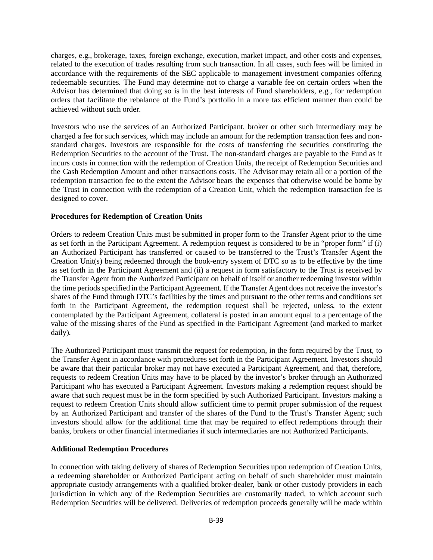charges, e.g., brokerage, taxes, foreign exchange, execution, market impact, and other costs and expenses, related to the execution of trades resulting from such transaction. In all cases, such fees will be limited in accordance with the requirements of the SEC applicable to management investment companies offering redeemable securities. The Fund may determine not to charge a variable fee on certain orders when the Advisor has determined that doing so is in the best interests of Fund shareholders, e.g., for redemption orders that facilitate the rebalance of the Fund's portfolio in a more tax efficient manner than could be achieved without such order.

Investors who use the services of an Authorized Participant, broker or other such intermediary may be charged a fee for such services, which may include an amount for the redemption transaction fees and nonstandard charges. Investors are responsible for the costs of transferring the securities constituting the Redemption Securities to the account of the Trust. The non-standard charges are payable to the Fund as it incurs costs in connection with the redemption of Creation Units, the receipt of Redemption Securities and the Cash Redemption Amount and other transactions costs. The Advisor may retain all or a portion of the redemption transaction fee to the extent the Advisor bears the expenses that otherwise would be borne by the Trust in connection with the redemption of a Creation Unit, which the redemption transaction fee is designed to cover.

## **Procedures for Redemption of Creation Units**

Orders to redeem Creation Units must be submitted in proper form to the Transfer Agent prior to the time as set forth in the Participant Agreement. A redemption request is considered to be in "proper form" if (i) an Authorized Participant has transferred or caused to be transferred to the Trust's Transfer Agent the Creation Unit(s) being redeemed through the book-entry system of DTC so as to be effective by the time as set forth in the Participant Agreement and (ii) a request in form satisfactory to the Trust is received by the Transfer Agent from the Authorized Participant on behalf of itself or another redeeming investor within the time periods specified in the Participant Agreement. If the Transfer Agent does not receive the investor's shares of the Fund through DTC's facilities by the times and pursuant to the other terms and conditions set forth in the Participant Agreement, the redemption request shall be rejected, unless, to the extent contemplated by the Participant Agreement, collateral is posted in an amount equal to a percentage of the value of the missing shares of the Fund as specified in the Participant Agreement (and marked to market daily).

The Authorized Participant must transmit the request for redemption, in the form required by the Trust, to the Transfer Agent in accordance with procedures set forth in the Participant Agreement. Investors should be aware that their particular broker may not have executed a Participant Agreement, and that, therefore, requests to redeem Creation Units may have to be placed by the investor's broker through an Authorized Participant who has executed a Participant Agreement. Investors making a redemption request should be aware that such request must be in the form specified by such Authorized Participant. Investors making a request to redeem Creation Units should allow sufficient time to permit proper submission of the request by an Authorized Participant and transfer of the shares of the Fund to the Trust's Transfer Agent; such investors should allow for the additional time that may be required to effect redemptions through their banks, brokers or other financial intermediaries if such intermediaries are not Authorized Participants.

## **Additional Redemption Procedures**

In connection with taking delivery of shares of Redemption Securities upon redemption of Creation Units, a redeeming shareholder or Authorized Participant acting on behalf of such shareholder must maintain appropriate custody arrangements with a qualified broker-dealer, bank or other custody providers in each jurisdiction in which any of the Redemption Securities are customarily traded, to which account such Redemption Securities will be delivered. Deliveries of redemption proceeds generally will be made within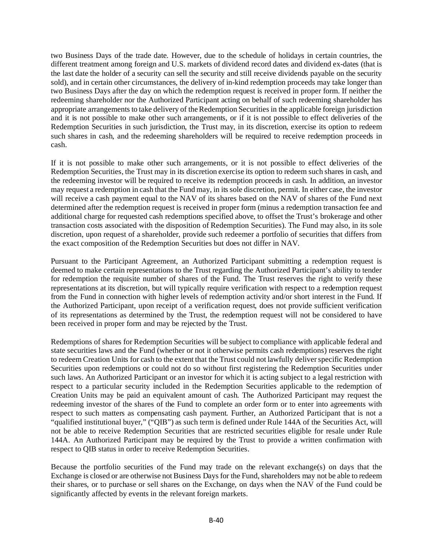two Business Days of the trade date. However, due to the schedule of holidays in certain countries, the different treatment among foreign and U.S. markets of dividend record dates and dividend ex-dates (that is the last date the holder of a security can sell the security and still receive dividends payable on the security sold), and in certain other circumstances, the delivery of in-kind redemption proceeds may take longer than two Business Days after the day on which the redemption request is received in proper form. If neither the redeeming shareholder nor the Authorized Participant acting on behalf of such redeeming shareholder has appropriate arrangements to take delivery of the Redemption Securities in the applicable foreign jurisdiction and it is not possible to make other such arrangements, or if it is not possible to effect deliveries of the Redemption Securities in such jurisdiction, the Trust may, in its discretion, exercise its option to redeem such shares in cash, and the redeeming shareholders will be required to receive redemption proceeds in cash.

If it is not possible to make other such arrangements, or it is not possible to effect deliveries of the Redemption Securities, the Trust may in its discretion exercise its option to redeem such shares in cash, and the redeeming investor will be required to receive its redemption proceeds in cash. In addition, an investor may request a redemption in cash that the Fund may, in its sole discretion, permit. In either case, the investor will receive a cash payment equal to the NAV of its shares based on the NAV of shares of the Fund next determined after the redemption request is received in proper form (minus a redemption transaction fee and additional charge for requested cash redemptions specified above, to offset the Trust's brokerage and other transaction costs associated with the disposition of Redemption Securities). The Fund may also, in its sole discretion, upon request of a shareholder, provide such redeemer a portfolio of securities that differs from the exact composition of the Redemption Securities but does not differ in NAV.

Pursuant to the Participant Agreement, an Authorized Participant submitting a redemption request is deemed to make certain representations to the Trust regarding the Authorized Participant's ability to tender for redemption the requisite number of shares of the Fund. The Trust reserves the right to verify these representations at its discretion, but will typically require verification with respect to a redemption request from the Fund in connection with higher levels of redemption activity and/or short interest in the Fund. If the Authorized Participant, upon receipt of a verification request, does not provide sufficient verification of its representations as determined by the Trust, the redemption request will not be considered to have been received in proper form and may be rejected by the Trust.

Redemptions of shares for Redemption Securities will be subject to compliance with applicable federal and state securities laws and the Fund (whether or not it otherwise permits cash redemptions) reserves the right to redeem Creation Units for cash to the extent that the Trust could not lawfully deliver specific Redemption Securities upon redemptions or could not do so without first registering the Redemption Securities under such laws. An Authorized Participant or an investor for which it is acting subject to a legal restriction with respect to a particular security included in the Redemption Securities applicable to the redemption of Creation Units may be paid an equivalent amount of cash. The Authorized Participant may request the redeeming investor of the shares of the Fund to complete an order form or to enter into agreements with respect to such matters as compensating cash payment. Further, an Authorized Participant that is not a "qualified institutional buyer," ("QIB") as such term is defined under Rule 144A of the Securities Act, will not be able to receive Redemption Securities that are restricted securities eligible for resale under Rule 144A. An Authorized Participant may be required by the Trust to provide a written confirmation with respect to QIB status in order to receive Redemption Securities.

Because the portfolio securities of the Fund may trade on the relevant exchange(s) on days that the Exchange is closed or are otherwise not Business Days for the Fund, shareholders may not be able to redeem their shares, or to purchase or sell shares on the Exchange, on days when the NAV of the Fund could be significantly affected by events in the relevant foreign markets.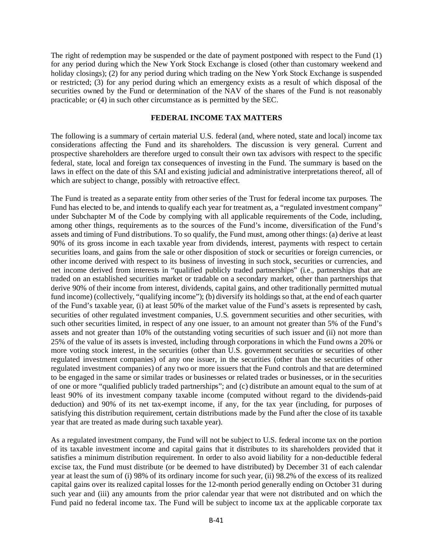The right of redemption may be suspended or the date of payment postponed with respect to the Fund (1) for any period during which the New York Stock Exchange is closed (other than customary weekend and holiday closings); (2) for any period during which trading on the New York Stock Exchange is suspended or restricted; (3) for any period during which an emergency exists as a result of which disposal of the securities owned by the Fund or determination of the NAV of the shares of the Fund is not reasonably practicable; or (4) in such other circumstance as is permitted by the SEC.

## **FEDERAL INCOME TAX MATTERS**

The following is a summary of certain material U.S. federal (and, where noted, state and local) income tax considerations affecting the Fund and its shareholders. The discussion is very general. Current and prospective shareholders are therefore urged to consult their own tax advisors with respect to the specific federal, state, local and foreign tax consequences of investing in the Fund. The summary is based on the laws in effect on the date of this SAI and existing judicial and administrative interpretations thereof, all of which are subject to change, possibly with retroactive effect.

The Fund is treated as a separate entity from other series of the Trust for federal income tax purposes. The Fund has elected to be, and intends to qualify each year for treatment as, a "regulated investment company" under Subchapter M of the Code by complying with all applicable requirements of the Code, including, among other things, requirements as to the sources of the Fund's income, diversification of the Fund's assets and timing of Fund distributions. To so qualify, the Fund must, among other things: (a) derive at least 90% of its gross income in each taxable year from dividends, interest, payments with respect to certain securities loans, and gains from the sale or other disposition of stock or securities or foreign currencies, or other income derived with respect to its business of investing in such stock, securities or currencies, and net income derived from interests in "qualified publicly traded partnerships" (i.e., partnerships that are traded on an established securities market or tradable on a secondary market, other than partnerships that derive 90% of their income from interest, dividends, capital gains, and other traditionally permitted mutual fund income) (collectively, "qualifying income"); (b) diversify its holdings so that, at the end of each quarter of the Fund's taxable year, (i) at least 50% of the market value of the Fund's assets is represented by cash, securities of other regulated investment companies, U.S. government securities and other securities, with such other securities limited, in respect of any one issuer, to an amount not greater than 5% of the Fund's assets and not greater than 10% of the outstanding voting securities of such issuer and (ii) not more than 25% of the value of its assets is invested, including through corporations in which the Fund owns a 20% or more voting stock interest, in the securities (other than U.S. government securities or securities of other regulated investment companies) of any one issuer, in the securities (other than the securities of other regulated investment companies) of any two or more issuers that the Fund controls and that are determined to be engaged in the same or similar trades or businesses or related trades or businesses, or in the securities of one or more "qualified publicly traded partnerships"; and (c) distribute an amount equal to the sum of at least 90% of its investment company taxable income (computed without regard to the dividends-paid deduction) and 90% of its net tax-exempt income, if any, for the tax year (including, for purposes of satisfying this distribution requirement, certain distributions made by the Fund after the close of its taxable year that are treated as made during such taxable year).

As a regulated investment company, the Fund will not be subject to U.S. federal income tax on the portion of its taxable investment income and capital gains that it distributes to its shareholders provided that it satisfies a minimum distribution requirement. In order to also avoid liability for a non-deductible federal excise tax, the Fund must distribute (or be deemed to have distributed) by December 31 of each calendar year at least the sum of (i) 98% of its ordinary income for such year, (ii) 98.2% of the excess of its realized capital gains over its realized capital losses for the 12-month period generally ending on October 31 during such year and (iii) any amounts from the prior calendar year that were not distributed and on which the Fund paid no federal income tax. The Fund will be subject to income tax at the applicable corporate tax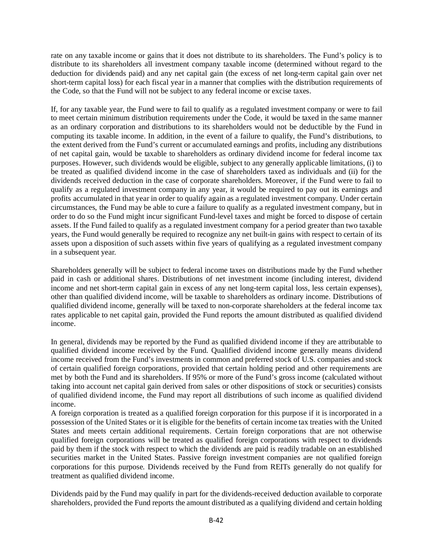rate on any taxable income or gains that it does not distribute to its shareholders. The Fund's policy is to distribute to its shareholders all investment company taxable income (determined without regard to the deduction for dividends paid) and any net capital gain (the excess of net long-term capital gain over net short-term capital loss) for each fiscal year in a manner that complies with the distribution requirements of the Code, so that the Fund will not be subject to any federal income or excise taxes.

If, for any taxable year, the Fund were to fail to qualify as a regulated investment company or were to fail to meet certain minimum distribution requirements under the Code, it would be taxed in the same manner as an ordinary corporation and distributions to its shareholders would not be deductible by the Fund in computing its taxable income. In addition, in the event of a failure to qualify, the Fund's distributions, to the extent derived from the Fund's current or accumulated earnings and profits, including any distributions of net capital gain, would be taxable to shareholders as ordinary dividend income for federal income tax purposes. However, such dividends would be eligible, subject to any generally applicable limitations, (i) to be treated as qualified dividend income in the case of shareholders taxed as individuals and (ii) for the dividends received deduction in the case of corporate shareholders. Moreover, if the Fund were to fail to qualify as a regulated investment company in any year, it would be required to pay out its earnings and profits accumulated in that year in order to qualify again as a regulated investment company. Under certain circumstances, the Fund may be able to cure a failure to qualify as a regulated investment company, but in order to do so the Fund might incur significant Fund-level taxes and might be forced to dispose of certain assets. If the Fund failed to qualify as a regulated investment company for a period greater than two taxable years, the Fund would generally be required to recognize any net built-in gains with respect to certain of its assets upon a disposition of such assets within five years of qualifying as a regulated investment company in a subsequent year.

Shareholders generally will be subject to federal income taxes on distributions made by the Fund whether paid in cash or additional shares. Distributions of net investment income (including interest, dividend income and net short-term capital gain in excess of any net long-term capital loss, less certain expenses), other than qualified dividend income, will be taxable to shareholders as ordinary income. Distributions of qualified dividend income, generally will be taxed to non-corporate shareholders at the federal income tax rates applicable to net capital gain, provided the Fund reports the amount distributed as qualified dividend income.

In general, dividends may be reported by the Fund as qualified dividend income if they are attributable to qualified dividend income received by the Fund. Qualified dividend income generally means dividend income received from the Fund's investments in common and preferred stock of U.S. companies and stock of certain qualified foreign corporations, provided that certain holding period and other requirements are met by both the Fund and its shareholders. If 95% or more of the Fund's gross income (calculated without taking into account net capital gain derived from sales or other dispositions of stock or securities) consists of qualified dividend income, the Fund may report all distributions of such income as qualified dividend income.

A foreign corporation is treated as a qualified foreign corporation for this purpose if it is incorporated in a possession of the United States or it is eligible for the benefits of certain income tax treaties with the United States and meets certain additional requirements. Certain foreign corporations that are not otherwise qualified foreign corporations will be treated as qualified foreign corporations with respect to dividends paid by them if the stock with respect to which the dividends are paid is readily tradable on an established securities market in the United States. Passive foreign investment companies are not qualified foreign corporations for this purpose. Dividends received by the Fund from REITs generally do not qualify for treatment as qualified dividend income.

Dividends paid by the Fund may qualify in part for the dividends-received deduction available to corporate shareholders, provided the Fund reports the amount distributed as a qualifying dividend and certain holding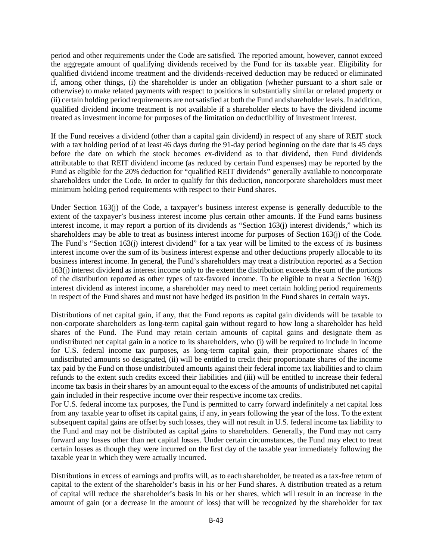period and other requirements under the Code are satisfied. The reported amount, however, cannot exceed the aggregate amount of qualifying dividends received by the Fund for its taxable year. Eligibility for qualified dividend income treatment and the dividends-received deduction may be reduced or eliminated if, among other things, (i) the shareholder is under an obligation (whether pursuant to a short sale or otherwise) to make related payments with respect to positions in substantially similar or related property or (ii) certain holding period requirements are not satisfied at both the Fund and shareholder levels. In addition, qualified dividend income treatment is not available if a shareholder elects to have the dividend income treated as investment income for purposes of the limitation on deductibility of investment interest.

If the Fund receives a dividend (other than a capital gain dividend) in respect of any share of REIT stock with a tax holding period of at least 46 days during the 91-day period beginning on the date that is 45 days before the date on which the stock becomes ex-dividend as to that dividend, then Fund dividends attributable to that REIT dividend income (as reduced by certain Fund expenses) may be reported by the Fund as eligible for the 20% deduction for "qualified REIT dividends" generally available to noncorporate shareholders under the Code. In order to qualify for this deduction, noncorporate shareholders must meet minimum holding period requirements with respect to their Fund shares.

Under Section 163(j) of the Code, a taxpayer's business interest expense is generally deductible to the extent of the taxpayer's business interest income plus certain other amounts. If the Fund earns business interest income, it may report a portion of its dividends as "Section 163(j) interest dividends," which its shareholders may be able to treat as business interest income for purposes of Section 163(j) of the Code. The Fund's "Section 163(j) interest dividend" for a tax year will be limited to the excess of its business interest income over the sum of its business interest expense and other deductions properly allocable to its business interest income. In general, the Fund's shareholders may treat a distribution reported as a Section 163(j) interest dividend as interest income only to the extent the distribution exceeds the sum of the portions of the distribution reported as other types of tax-favored income. To be eligible to treat a Section 163(j) interest dividend as interest income, a shareholder may need to meet certain holding period requirements in respect of the Fund shares and must not have hedged its position in the Fund shares in certain ways.

Distributions of net capital gain, if any, that the Fund reports as capital gain dividends will be taxable to non-corporate shareholders as long-term capital gain without regard to how long a shareholder has held shares of the Fund. The Fund may retain certain amounts of capital gains and designate them as undistributed net capital gain in a notice to its shareholders, who (i) will be required to include in income for U.S. federal income tax purposes, as long-term capital gain, their proportionate shares of the undistributed amounts so designated, (ii) will be entitled to credit their proportionate shares of the income tax paid by the Fund on those undistributed amounts against their federal income tax liabilities and to claim refunds to the extent such credits exceed their liabilities and (iii) will be entitled to increase their federal income tax basis in their shares by an amount equal to the excess of the amounts of undistributed net capital gain included in their respective income over their respective income tax credits.

For U.S. federal income tax purposes, the Fund is permitted to carry forward indefinitely a net capital loss from any taxable year to offset its capital gains, if any, in years following the year of the loss. To the extent subsequent capital gains are offset by such losses, they will not result in U.S. federal income tax liability to the Fund and may not be distributed as capital gains to shareholders. Generally, the Fund may not carry forward any losses other than net capital losses. Under certain circumstances, the Fund may elect to treat certain losses as though they were incurred on the first day of the taxable year immediately following the taxable year in which they were actually incurred.

Distributions in excess of earnings and profits will, as to each shareholder, be treated as a tax-free return of capital to the extent of the shareholder's basis in his or her Fund shares. A distribution treated as a return of capital will reduce the shareholder's basis in his or her shares, which will result in an increase in the amount of gain (or a decrease in the amount of loss) that will be recognized by the shareholder for tax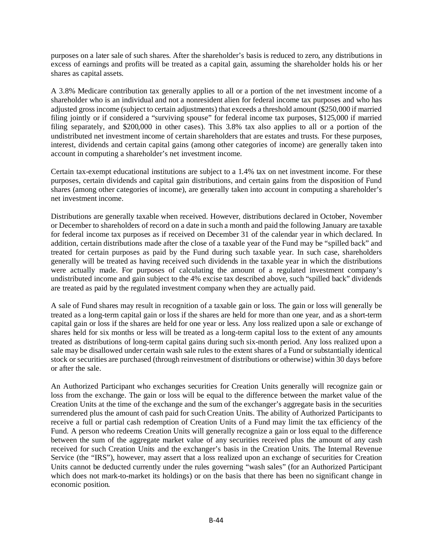purposes on a later sale of such shares. After the shareholder's basis is reduced to zero, any distributions in excess of earnings and profits will be treated as a capital gain, assuming the shareholder holds his or her shares as capital assets.

A 3.8% Medicare contribution tax generally applies to all or a portion of the net investment income of a shareholder who is an individual and not a nonresident alien for federal income tax purposes and who has adjusted gross income (subject to certain adjustments) that exceeds a threshold amount (\$250,000 if married filing jointly or if considered a "surviving spouse" for federal income tax purposes, \$125,000 if married filing separately, and \$200,000 in other cases). This 3.8% tax also applies to all or a portion of the undistributed net investment income of certain shareholders that are estates and trusts. For these purposes, interest, dividends and certain capital gains (among other categories of income) are generally taken into account in computing a shareholder's net investment income.

Certain tax-exempt educational institutions are subject to a 1.4% tax on net investment income. For these purposes, certain dividends and capital gain distributions, and certain gains from the disposition of Fund shares (among other categories of income), are generally taken into account in computing a shareholder's net investment income.

Distributions are generally taxable when received. However, distributions declared in October, November or December to shareholders of record on a date in such a month and paid the following January are taxable for federal income tax purposes as if received on December 31 of the calendar year in which declared. In addition, certain distributions made after the close of a taxable year of the Fund may be "spilled back" and treated for certain purposes as paid by the Fund during such taxable year. In such case, shareholders generally will be treated as having received such dividends in the taxable year in which the distributions were actually made. For purposes of calculating the amount of a regulated investment company's undistributed income and gain subject to the 4% excise tax described above, such "spilled back" dividends are treated as paid by the regulated investment company when they are actually paid.

A sale of Fund shares may result in recognition of a taxable gain or loss. The gain or loss will generally be treated as a long-term capital gain or loss if the shares are held for more than one year, and as a short-term capital gain or loss if the shares are held for one year or less. Any loss realized upon a sale or exchange of shares held for six months or less will be treated as a long-term capital loss to the extent of any amounts treated as distributions of long-term capital gains during such six-month period. Any loss realized upon a sale may be disallowed under certain wash sale rules to the extent shares of a Fund or substantially identical stock or securities are purchased (through reinvestment of distributions or otherwise) within 30 days before or after the sale.

An Authorized Participant who exchanges securities for Creation Units generally will recognize gain or loss from the exchange. The gain or loss will be equal to the difference between the market value of the Creation Units at the time of the exchange and the sum of the exchanger's aggregate basis in the securities surrendered plus the amount of cash paid for such Creation Units. The ability of Authorized Participants to receive a full or partial cash redemption of Creation Units of a Fund may limit the tax efficiency of the Fund. A person who redeems Creation Units will generally recognize a gain or loss equal to the difference between the sum of the aggregate market value of any securities received plus the amount of any cash received for such Creation Units and the exchanger's basis in the Creation Units. The Internal Revenue Service (the "IRS"), however, may assert that a loss realized upon an exchange of securities for Creation Units cannot be deducted currently under the rules governing "wash sales" (for an Authorized Participant which does not mark-to-market its holdings) or on the basis that there has been no significant change in economic position.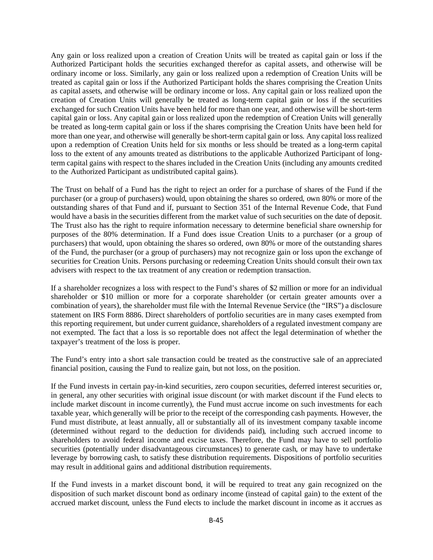Any gain or loss realized upon a creation of Creation Units will be treated as capital gain or loss if the Authorized Participant holds the securities exchanged therefor as capital assets, and otherwise will be ordinary income or loss. Similarly, any gain or loss realized upon a redemption of Creation Units will be treated as capital gain or loss if the Authorized Participant holds the shares comprising the Creation Units as capital assets, and otherwise will be ordinary income or loss. Any capital gain or loss realized upon the creation of Creation Units will generally be treated as long-term capital gain or loss if the securities exchanged for such Creation Units have been held for more than one year, and otherwise will be short-term capital gain or loss. Any capital gain or loss realized upon the redemption of Creation Units will generally be treated as long-term capital gain or loss if the shares comprising the Creation Units have been held for more than one year, and otherwise will generally be short-term capital gain or loss. Any capital loss realized upon a redemption of Creation Units held for six months or less should be treated as a long-term capital loss to the extent of any amounts treated as distributions to the applicable Authorized Participant of longterm capital gains with respect to the shares included in the Creation Units (including any amounts credited to the Authorized Participant as undistributed capital gains).

The Trust on behalf of a Fund has the right to reject an order for a purchase of shares of the Fund if the purchaser (or a group of purchasers) would, upon obtaining the shares so ordered, own 80% or more of the outstanding shares of that Fund and if, pursuant to Section 351 of the Internal Revenue Code, that Fund would have a basis in the securities different from the market value of such securities on the date of deposit. The Trust also has the right to require information necessary to determine beneficial share ownership for purposes of the 80% determination. If a Fund does issue Creation Units to a purchaser (or a group of purchasers) that would, upon obtaining the shares so ordered, own 80% or more of the outstanding shares of the Fund, the purchaser (or a group of purchasers) may not recognize gain or loss upon the exchange of securities for Creation Units. Persons purchasing or redeeming Creation Units should consult their own tax advisers with respect to the tax treatment of any creation or redemption transaction.

If a shareholder recognizes a loss with respect to the Fund's shares of \$2 million or more for an individual shareholder or \$10 million or more for a corporate shareholder (or certain greater amounts over a combination of years), the shareholder must file with the Internal Revenue Service (the "IRS") a disclosure statement on IRS Form 8886. Direct shareholders of portfolio securities are in many cases exempted from this reporting requirement, but under current guidance, shareholders of a regulated investment company are not exempted. The fact that a loss is so reportable does not affect the legal determination of whether the taxpayer's treatment of the loss is proper.

The Fund's entry into a short sale transaction could be treated as the constructive sale of an appreciated financial position, causing the Fund to realize gain, but not loss, on the position.

If the Fund invests in certain pay-in-kind securities, zero coupon securities, deferred interest securities or, in general, any other securities with original issue discount (or with market discount if the Fund elects to include market discount in income currently), the Fund must accrue income on such investments for each taxable year, which generally will be prior to the receipt of the corresponding cash payments. However, the Fund must distribute, at least annually, all or substantially all of its investment company taxable income (determined without regard to the deduction for dividends paid), including such accrued income to shareholders to avoid federal income and excise taxes. Therefore, the Fund may have to sell portfolio securities (potentially under disadvantageous circumstances) to generate cash, or may have to undertake leverage by borrowing cash, to satisfy these distribution requirements. Dispositions of portfolio securities may result in additional gains and additional distribution requirements.

If the Fund invests in a market discount bond, it will be required to treat any gain recognized on the disposition of such market discount bond as ordinary income (instead of capital gain) to the extent of the accrued market discount, unless the Fund elects to include the market discount in income as it accrues as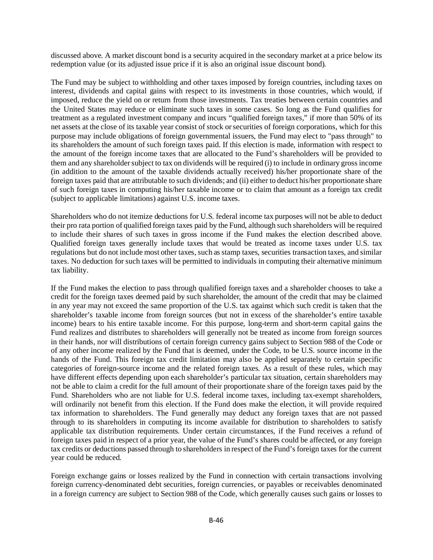discussed above. A market discount bond is a security acquired in the secondary market at a price below its redemption value (or its adjusted issue price if it is also an original issue discount bond).

The Fund may be subject to withholding and other taxes imposed by foreign countries, including taxes on interest, dividends and capital gains with respect to its investments in those countries, which would, if imposed, reduce the yield on or return from those investments. Tax treaties between certain countries and the United States may reduce or eliminate such taxes in some cases. So long as the Fund qualifies for treatment as a regulated investment company and incurs "qualified foreign taxes," if more than 50% of its net assets at the close of its taxable year consist of stock or securities of foreign corporations, which for this purpose may include obligations of foreign governmental issuers, the Fund may elect to "pass through" to its shareholders the amount of such foreign taxes paid. If this election is made, information with respect to the amount of the foreign income taxes that are allocated to the Fund's shareholders will be provided to them and any shareholder subject to tax on dividends will be required (i) to include in ordinary gross income (in addition to the amount of the taxable dividends actually received) his/her proportionate share of the foreign taxes paid that are attributable to such dividends; and (ii) either to deduct his/her proportionate share of such foreign taxes in computing his/her taxable income or to claim that amount as a foreign tax credit (subject to applicable limitations) against U.S. income taxes.

Shareholders who do not itemize deductions for U.S. federal income tax purposes will not be able to deduct their pro rata portion of qualified foreign taxes paid by the Fund, although such shareholders will be required to include their shares of such taxes in gross income if the Fund makes the election described above. Qualified foreign taxes generally include taxes that would be treated as income taxes under U.S. tax regulations but do not include most other taxes, such as stamp taxes, securities transaction taxes, and similar taxes. No deduction for such taxes will be permitted to individuals in computing their alternative minimum tax liability.

If the Fund makes the election to pass through qualified foreign taxes and a shareholder chooses to take a credit for the foreign taxes deemed paid by such shareholder, the amount of the credit that may be claimed in any year may not exceed the same proportion of the U.S. tax against which such credit is taken that the shareholder's taxable income from foreign sources (but not in excess of the shareholder's entire taxable income) bears to his entire taxable income. For this purpose, long-term and short-term capital gains the Fund realizes and distributes to shareholders will generally not be treated as income from foreign sources in their hands, nor will distributions of certain foreign currency gains subject to Section 988 of the Code or of any other income realized by the Fund that is deemed, under the Code, to be U.S. source income in the hands of the Fund. This foreign tax credit limitation may also be applied separately to certain specific categories of foreign-source income and the related foreign taxes. As a result of these rules, which may have different effects depending upon each shareholder's particular tax situation, certain shareholders may not be able to claim a credit for the full amount of their proportionate share of the foreign taxes paid by the Fund. Shareholders who are not liable for U.S. federal income taxes, including tax-exempt shareholders, will ordinarily not benefit from this election. If the Fund does make the election, it will provide required tax information to shareholders. The Fund generally may deduct any foreign taxes that are not passed through to its shareholders in computing its income available for distribution to shareholders to satisfy applicable tax distribution requirements. Under certain circumstances, if the Fund receives a refund of foreign taxes paid in respect of a prior year, the value of the Fund's shares could be affected, or any foreign tax credits or deductions passed through to shareholders in respect of the Fund's foreign taxes for the current year could be reduced.

Foreign exchange gains or losses realized by the Fund in connection with certain transactions involving foreign currency-denominated debt securities, foreign currencies, or payables or receivables denominated in a foreign currency are subject to Section 988 of the Code, which generally causes such gains or losses to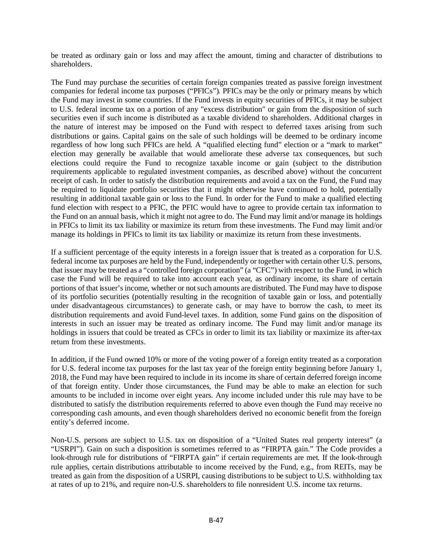be treated as ordinary gain or loss and may affect the amount, timing and character of distributions to shareholders.

The Fund may purchase the securities of certain foreign companies treated as passive foreign investment companies for federal income tax purposes ("PFICs"). PFICs may be the only or primary means by which the Fund may invest in some countries. If the Fund invests in equity securities of PFICs, it may be subject to U.S. federal income tax on a portion of any "excess distribution" or gain from the disposition of such securities even if such income is distributed as a taxable dividend to shareholders. Additional charges in the nature of interest may be imposed on the Fund with respect to deferred taxes arising from such distributions or gains. Capital gains on the sale of such holdings will be deemed to be ordinary income regardless of how long such PFICs are held. A "qualified electing fund" election or a "mark to market" election may generally be available that would ameliorate these adverse tax consequences, but such elections could require the Fund to recognize taxable income or gain (subject to the distribution requirements applicable to regulated investment companies, as described above) without the concurrent receipt of cash. In order to satisfy the distribution requirements and avoid a tax on the Fund, the Fund may be required to liquidate portfolio securities that it might otherwise have continued to hold, potentially resulting in additional taxable gain or loss to the Fund. In order for the Fund to make a qualified electing fund election with respect to a PFIC, the PFIC would have to agree to provide certain tax information to the Fund on an annual basis, which it might not agree to do. The Fund may limit and/or manage its holdings in PFICs to limit its tax liability or maximize its return from these investments. The Fund may limit and/or manage its holdings in PFICs to limit its tax liability or maximize its return from these investments.

If a sufficient percentage of the equity interests in a foreign issuer that is treated as a corporation for U.S. federal income tax purposes are held by the Fund, independently or together with certain other U.S. persons, that issuer may be treated as a "controlled foreign corporation" (a "CFC") with respect to the Fund, in which case the Fund will be required to take into account each year, as ordinary income, its share of certain portions of that issuer's income, whether or not such amounts are distributed. The Fund may have to dispose of its portfolio securities (potentially resulting in the recognition of taxable gain or loss, and potentially under disadvantageous circumstances) to generate cash, or may have to borrow the cash, to meet its distribution requirements and avoid Fund-level taxes. In addition, some Fund gains on the disposition of interests in such an issuer may be treated as ordinary income. The Fund may limit and/or manage its holdings in issuers that could be treated as CFCs in order to limit its tax liability or maximize its after-tax return from these investments.

In addition, if the Fund owned 10% or more of the voting power of a foreign entity treated as a corporation for U.S. federal income tax purposes for the last tax year of the foreign entity beginning before January 1, 2018, the Fund may have been required to include in its income its share of certain deferred foreign income of that foreign entity. Under those circumstances, the Fund may be able to make an election for such amounts to be included in income over eight years. Any income included under this rule may have to be distributed to satisfy the distribution requirements referred to above even though the Fund may receive no corresponding cash amounts, and even though shareholders derived no economic benefit from the foreign entity's deferred income.

Non-U.S. persons are subject to U.S. tax on disposition of a "United States real property interest" (a "USRPI"). Gain on such a disposition is sometimes referred to as "FIRPTA gain." The Code provides a look-through rule for distributions of "FIRPTA gain" if certain requirements are met. If the look-through rule applies, certain distributions attributable to income received by the Fund, e.g., from REITs, may be treated as gain from the disposition of a USRPI, causing distributions to be subject to U.S. withholding tax at rates of up to 21%, and require non-U.S. shareholders to file nonresident U.S. income tax returns.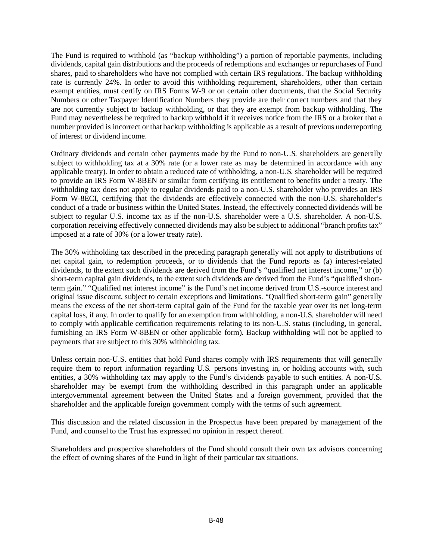The Fund is required to withhold (as "backup withholding") a portion of reportable payments, including dividends, capital gain distributions and the proceeds of redemptions and exchanges or repurchases of Fund shares, paid to shareholders who have not complied with certain IRS regulations. The backup withholding rate is currently 24%. In order to avoid this withholding requirement, shareholders, other than certain exempt entities, must certify on IRS Forms W-9 or on certain other documents, that the Social Security Numbers or other Taxpayer Identification Numbers they provide are their correct numbers and that they are not currently subject to backup withholding, or that they are exempt from backup withholding. The Fund may nevertheless be required to backup withhold if it receives notice from the IRS or a broker that a number provided is incorrect or that backup withholding is applicable as a result of previous underreporting of interest or dividend income.

Ordinary dividends and certain other payments made by the Fund to non-U.S. shareholders are generally subject to withholding tax at a 30% rate (or a lower rate as may be determined in accordance with any applicable treaty). In order to obtain a reduced rate of withholding, a non-U.S. shareholder will be required to provide an IRS Form W-8BEN or similar form certifying its entitlement to benefits under a treaty. The withholding tax does not apply to regular dividends paid to a non-U.S. shareholder who provides an IRS Form W-8ECI, certifying that the dividends are effectively connected with the non-U.S. shareholder's conduct of a trade or business within the United States. Instead, the effectively connected dividends will be subject to regular U.S. income tax as if the non-U.S. shareholder were a U.S. shareholder. A non-U.S. corporation receiving effectively connected dividends may also be subject to additional "branch profits tax" imposed at a rate of 30% (or a lower treaty rate).

The 30% withholding tax described in the preceding paragraph generally will not apply to distributions of net capital gain, to redemption proceeds, or to dividends that the Fund reports as (a) interest-related dividends, to the extent such dividends are derived from the Fund's "qualified net interest income," or (b) short-term capital gain dividends, to the extent such dividends are derived from the Fund's "qualified shortterm gain." "Qualified net interest income" is the Fund's net income derived from U.S.-source interest and original issue discount, subject to certain exceptions and limitations. "Qualified short-term gain" generally means the excess of the net short-term capital gain of the Fund for the taxable year over its net long-term capital loss, if any. In order to qualify for an exemption from withholding, a non-U.S. shareholder will need to comply with applicable certification requirements relating to its non-U.S. status (including, in general, furnishing an IRS Form W-8BEN or other applicable form). Backup withholding will not be applied to payments that are subject to this 30% withholding tax.

Unless certain non-U.S. entities that hold Fund shares comply with IRS requirements that will generally require them to report information regarding U.S. persons investing in, or holding accounts with, such entities, a 30% withholding tax may apply to the Fund's dividends payable to such entities. A non-U.S. shareholder may be exempt from the withholding described in this paragraph under an applicable intergovernmental agreement between the United States and a foreign government, provided that the shareholder and the applicable foreign government comply with the terms of such agreement.

This discussion and the related discussion in the Prospectus have been prepared by management of the Fund, and counsel to the Trust has expressed no opinion in respect thereof.

Shareholders and prospective shareholders of the Fund should consult their own tax advisors concerning the effect of owning shares of the Fund in light of their particular tax situations.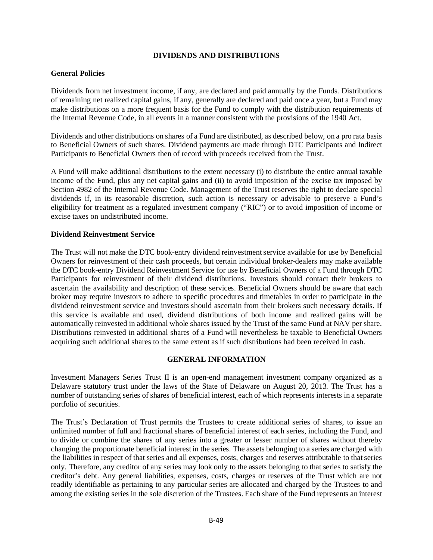### **DIVIDENDS AND DISTRIBUTIONS**

### **General Policies**

Dividends from net investment income, if any, are declared and paid annually by the Funds. Distributions of remaining net realized capital gains, if any, generally are declared and paid once a year, but a Fund may make distributions on a more frequent basis for the Fund to comply with the distribution requirements of the Internal Revenue Code, in all events in a manner consistent with the provisions of the 1940 Act.

Dividends and other distributions on shares of a Fund are distributed, as described below, on a pro rata basis to Beneficial Owners of such shares. Dividend payments are made through DTC Participants and Indirect Participants to Beneficial Owners then of record with proceeds received from the Trust.

A Fund will make additional distributions to the extent necessary (i) to distribute the entire annual taxable income of the Fund, plus any net capital gains and (ii) to avoid imposition of the excise tax imposed by Section 4982 of the Internal Revenue Code. Management of the Trust reserves the right to declare special dividends if, in its reasonable discretion, such action is necessary or advisable to preserve a Fund's eligibility for treatment as a regulated investment company ("RIC") or to avoid imposition of income or excise taxes on undistributed income.

### **Dividend Reinvestment Service**

The Trust will not make the DTC book-entry dividend reinvestment service available for use by Beneficial Owners for reinvestment of their cash proceeds, but certain individual broker-dealers may make available the DTC book-entry Dividend Reinvestment Service for use by Beneficial Owners of a Fund through DTC Participants for reinvestment of their dividend distributions. Investors should contact their brokers to ascertain the availability and description of these services. Beneficial Owners should be aware that each broker may require investors to adhere to specific procedures and timetables in order to participate in the dividend reinvestment service and investors should ascertain from their brokers such necessary details. If this service is available and used, dividend distributions of both income and realized gains will be automatically reinvested in additional whole shares issued by the Trust of the same Fund at NAV per share. Distributions reinvested in additional shares of a Fund will nevertheless be taxable to Beneficial Owners acquiring such additional shares to the same extent as if such distributions had been received in cash.

## **GENERAL INFORMATION**

Investment Managers Series Trust II is an open-end management investment company organized as a Delaware statutory trust under the laws of the State of Delaware on August 20, 2013. The Trust has a number of outstanding series of shares of beneficial interest, each of which represents interests in a separate portfolio of securities.

The Trust's Declaration of Trust permits the Trustees to create additional series of shares, to issue an unlimited number of full and fractional shares of beneficial interest of each series, including the Fund, and to divide or combine the shares of any series into a greater or lesser number of shares without thereby changing the proportionate beneficial interest in the series. The assets belonging to a series are charged with the liabilities in respect of that series and all expenses, costs, charges and reserves attributable to that series only. Therefore, any creditor of any series may look only to the assets belonging to that series to satisfy the creditor's debt. Any general liabilities, expenses, costs, charges or reserves of the Trust which are not readily identifiable as pertaining to any particular series are allocated and charged by the Trustees to and among the existing series in the sole discretion of the Trustees. Each share of the Fund represents an interest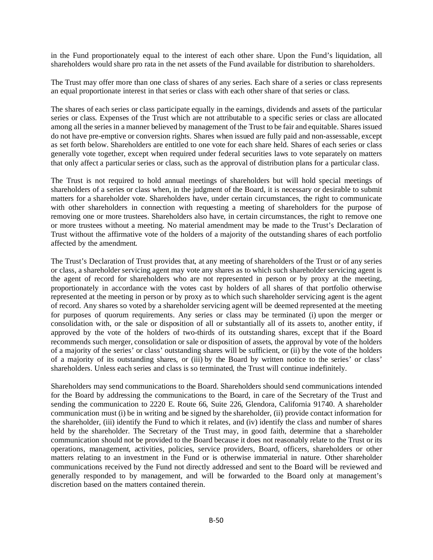in the Fund proportionately equal to the interest of each other share. Upon the Fund's liquidation, all shareholders would share pro rata in the net assets of the Fund available for distribution to shareholders.

The Trust may offer more than one class of shares of any series. Each share of a series or class represents an equal proportionate interest in that series or class with each other share of that series or class.

The shares of each series or class participate equally in the earnings, dividends and assets of the particular series or class. Expenses of the Trust which are not attributable to a specific series or class are allocated among all the series in a manner believed by management of the Trust to be fair and equitable. Shares issued do not have pre-emptive or conversion rights. Shares when issued are fully paid and non-assessable, except as set forth below. Shareholders are entitled to one vote for each share held. Shares of each series or class generally vote together, except when required under federal securities laws to vote separately on matters that only affect a particular series or class, such as the approval of distribution plans for a particular class.

The Trust is not required to hold annual meetings of shareholders but will hold special meetings of shareholders of a series or class when, in the judgment of the Board, it is necessary or desirable to submit matters for a shareholder vote. Shareholders have, under certain circumstances, the right to communicate with other shareholders in connection with requesting a meeting of shareholders for the purpose of removing one or more trustees. Shareholders also have, in certain circumstances, the right to remove one or more trustees without a meeting. No material amendment may be made to the Trust's Declaration of Trust without the affirmative vote of the holders of a majority of the outstanding shares of each portfolio affected by the amendment.

The Trust's Declaration of Trust provides that, at any meeting of shareholders of the Trust or of any series or class, a shareholder servicing agent may vote any shares as to which such shareholder servicing agent is the agent of record for shareholders who are not represented in person or by proxy at the meeting, proportionately in accordance with the votes cast by holders of all shares of that portfolio otherwise represented at the meeting in person or by proxy as to which such shareholder servicing agent is the agent of record. Any shares so voted by a shareholder servicing agent will be deemed represented at the meeting for purposes of quorum requirements. Any series or class may be terminated (i) upon the merger or consolidation with, or the sale or disposition of all or substantially all of its assets to, another entity, if approved by the vote of the holders of two-thirds of its outstanding shares, except that if the Board recommends such merger, consolidation or sale or disposition of assets, the approval by vote of the holders of a majority of the series' or class' outstanding shares will be sufficient, or (ii) by the vote of the holders of a majority of its outstanding shares, or (iii) by the Board by written notice to the series' or class' shareholders. Unless each series and class is so terminated, the Trust will continue indefinitely.

Shareholders may send communications to the Board. Shareholders should send communications intended for the Board by addressing the communications to the Board, in care of the Secretary of the Trust and sending the communication to 2220 E. Route 66, Suite 226, Glendora, California 91740. A shareholder communication must (i) be in writing and be signed by the shareholder, (ii) provide contact information for the shareholder, (iii) identify the Fund to which it relates, and (iv) identify the class and number of shares held by the shareholder. The Secretary of the Trust may, in good faith, determine that a shareholder communication should not be provided to the Board because it does not reasonably relate to the Trust or its operations, management, activities, policies, service providers, Board, officers, shareholders or other matters relating to an investment in the Fund or is otherwise immaterial in nature. Other shareholder communications received by the Fund not directly addressed and sent to the Board will be reviewed and generally responded to by management, and will be forwarded to the Board only at management's discretion based on the matters contained therein.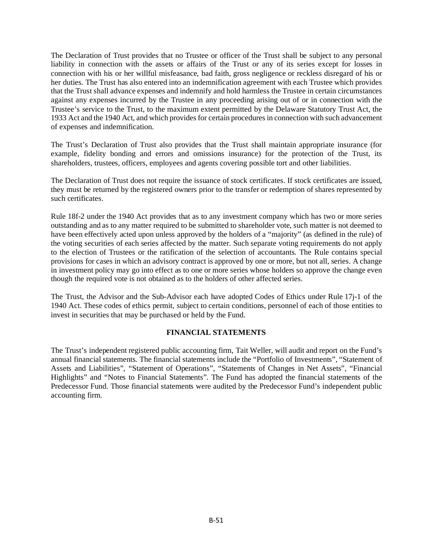The Declaration of Trust provides that no Trustee or officer of the Trust shall be subject to any personal liability in connection with the assets or affairs of the Trust or any of its series except for losses in connection with his or her willful misfeasance, bad faith, gross negligence or reckless disregard of his or her duties. The Trust has also entered into an indemnification agreement with each Trustee which provides that the Trust shall advance expenses and indemnify and hold harmless the Trustee in certain circumstances against any expenses incurred by the Trustee in any proceeding arising out of or in connection with the Trustee's service to the Trust, to the maximum extent permitted by the Delaware Statutory Trust Act, the 1933 Act and the 1940 Act, and which provides for certain procedures in connection with such advancement of expenses and indemnification.

The Trust's Declaration of Trust also provides that the Trust shall maintain appropriate insurance (for example, fidelity bonding and errors and omissions insurance) for the protection of the Trust, its shareholders, trustees, officers, employees and agents covering possible tort and other liabilities.

The Declaration of Trust does not require the issuance of stock certificates. If stock certificates are issued, they must be returned by the registered owners prior to the transfer or redemption of shares represented by such certificates.

Rule 18f-2 under the 1940 Act provides that as to any investment company which has two or more series outstanding and as to any matter required to be submitted to shareholder vote, such matter is not deemed to have been effectively acted upon unless approved by the holders of a "majority" (as defined in the rule) of the voting securities of each series affected by the matter. Such separate voting requirements do not apply to the election of Trustees or the ratification of the selection of accountants. The Rule contains special provisions for cases in which an advisory contract is approved by one or more, but not all, series. A change in investment policy may go into effect as to one or more series whose holders so approve the change even though the required vote is not obtained as to the holders of other affected series.

The Trust, the Advisor and the Sub-Advisor each have adopted Codes of Ethics under Rule 17j-1 of the 1940 Act. These codes of ethics permit, subject to certain conditions, personnel of each of those entities to invest in securities that may be purchased or held by the Fund.

## **FINANCIAL STATEMENTS**

The Trust's independent registered public accounting firm, Tait Weller, will audit and report on the Fund's annual financial statements. The financial statements include the "Portfolio of Investments", "Statement of Assets and Liabilities", "Statement of Operations", "Statements of Changes in Net Assets", "Financial Highlights" and "Notes to Financial Statements". The Fund has adopted the financial statements of the Predecessor Fund. Those financial statements were audited by the Predecessor Fund's independent public accounting firm.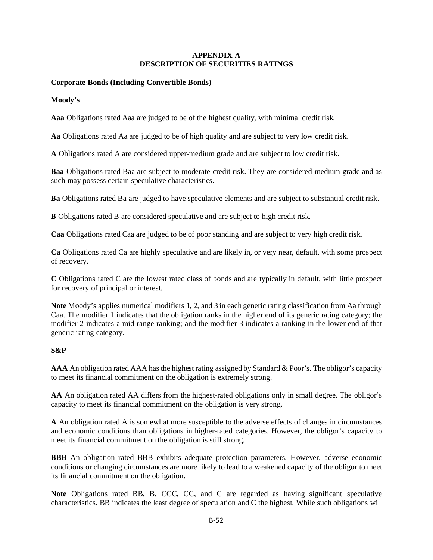## **APPENDIX A DESCRIPTION OF SECURITIES RATINGS**

# **Corporate Bonds (Including Convertible Bonds)**

## **Moody's**

**Aaa** Obligations rated Aaa are judged to be of the highest quality, with minimal credit risk.

**Aa** Obligations rated Aa are judged to be of high quality and are subject to very low credit risk.

**A** Obligations rated A are considered upper-medium grade and are subject to low credit risk.

**Baa** Obligations rated Baa are subject to moderate credit risk. They are considered medium-grade and as such may possess certain speculative characteristics.

**Ba** Obligations rated Ba are judged to have speculative elements and are subject to substantial credit risk.

**B** Obligations rated B are considered speculative and are subject to high credit risk.

**Caa** Obligations rated Caa are judged to be of poor standing and are subject to very high credit risk.

**Ca** Obligations rated Ca are highly speculative and are likely in, or very near, default, with some prospect of recovery.

**C** Obligations rated C are the lowest rated class of bonds and are typically in default, with little prospect for recovery of principal or interest.

**Note** Moody's applies numerical modifiers 1, 2, and 3 in each generic rating classification from Aa through Caa. The modifier 1 indicates that the obligation ranks in the higher end of its generic rating category; the modifier 2 indicates a mid-range ranking; and the modifier 3 indicates a ranking in the lower end of that generic rating category.

# **S&P**

**AAA** An obligation rated AAA has the highest rating assigned by Standard & Poor's. The obligor's capacity to meet its financial commitment on the obligation is extremely strong.

**AA** An obligation rated AA differs from the highest-rated obligations only in small degree. The obligor's capacity to meet its financial commitment on the obligation is very strong.

**A** An obligation rated A is somewhat more susceptible to the adverse effects of changes in circumstances and economic conditions than obligations in higher-rated categories. However, the obligor's capacity to meet its financial commitment on the obligation is still strong.

**BBB** An obligation rated BBB exhibits adequate protection parameters. However, adverse economic conditions or changing circumstances are more likely to lead to a weakened capacity of the obligor to meet its financial commitment on the obligation.

**Note** Obligations rated BB, B, CCC, CC, and C are regarded as having significant speculative characteristics. BB indicates the least degree of speculation and C the highest. While such obligations will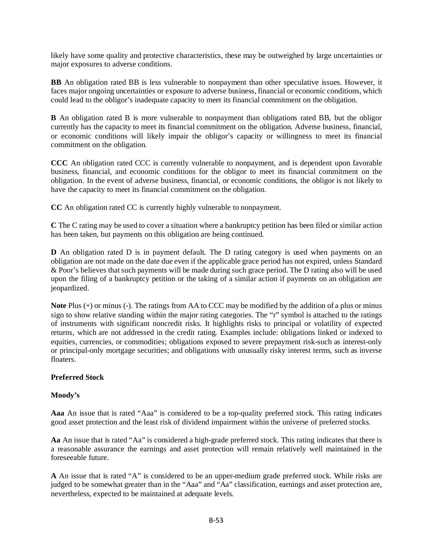likely have some quality and protective characteristics, these may be outweighed by large uncertainties or major exposures to adverse conditions.

**BB** An obligation rated BB is less vulnerable to nonpayment than other speculative issues. However, it faces major ongoing uncertainties or exposure to adverse business, financial or economic conditions, which could lead to the obligor's inadequate capacity to meet its financial commitment on the obligation.

**B** An obligation rated B is more vulnerable to nonpayment than obligations rated BB, but the obligor currently has the capacity to meet its financial commitment on the obligation. Adverse business, financial, or economic conditions will likely impair the obligor's capacity or willingness to meet its financial commitment on the obligation.

**CCC** An obligation rated CCC is currently vulnerable to nonpayment, and is dependent upon favorable business, financial, and economic conditions for the obligor to meet its financial commitment on the obligation. In the event of adverse business, financial, or economic conditions, the obligor is not likely to have the capacity to meet its financial commitment on the obligation.

**CC** An obligation rated CC is currently highly vulnerable to nonpayment.

**C** The C rating may be used to cover a situation where a bankruptcy petition has been filed or similar action has been taken, but payments on this obligation are being continued.

**D** An obligation rated D is in payment default. The D rating category is used when payments on an obligation are not made on the date due even if the applicable grace period has not expired, unless Standard & Poor's believes that such payments will be made during such grace period. The D rating also will be used upon the filing of a bankruptcy petition or the taking of a similar action if payments on an obligation are jeopardized.

**Note** Plus (+) or minus (-). The ratings from AA to CCC may be modified by the addition of a plus or minus sign to show relative standing within the major rating categories. The "r" symbol is attached to the ratings of instruments with significant noncredit risks. It highlights risks to principal or volatility of expected returns, which are not addressed in the credit rating. Examples include: obligations linked or indexed to equities, currencies, or commodities; obligations exposed to severe prepayment risk-such as interest-only or principal-only mortgage securities; and obligations with unusually risky interest terms, such as inverse floaters.

## **Preferred Stock**

## **Moody's**

**Aaa** An issue that is rated "Aaa" is considered to be a top-quality preferred stock. This rating indicates good asset protection and the least risk of dividend impairment within the universe of preferred stocks.

**Aa** An issue that is rated "Aa" is considered a high-grade preferred stock. This rating indicates that there is a reasonable assurance the earnings and asset protection will remain relatively well maintained in the foreseeable future.

**A** An issue that is rated "A" is considered to be an upper-medium grade preferred stock. While risks are judged to be somewhat greater than in the "Aaa" and "Aa" classification, earnings and asset protection are, nevertheless, expected to be maintained at adequate levels.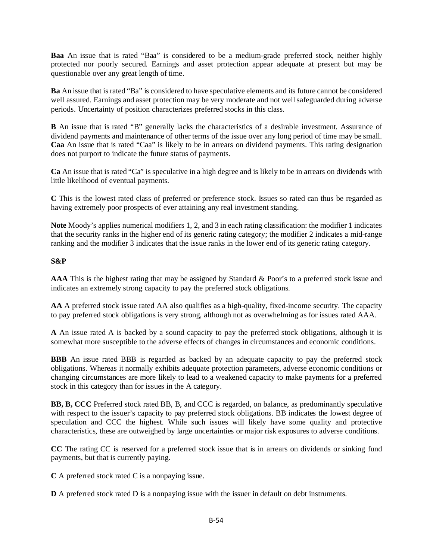**Baa** An issue that is rated "Baa" is considered to be a medium-grade preferred stock, neither highly protected nor poorly secured. Earnings and asset protection appear adequate at present but may be questionable over any great length of time.

**Ba** An issue that is rated "Ba" is considered to have speculative elements and its future cannot be considered well assured. Earnings and asset protection may be very moderate and not well safeguarded during adverse periods. Uncertainty of position characterizes preferred stocks in this class.

**B** An issue that is rated "B" generally lacks the characteristics of a desirable investment. Assurance of dividend payments and maintenance of other terms of the issue over any long period of time may be small. **Caa** An issue that is rated "Caa" is likely to be in arrears on dividend payments. This rating designation does not purport to indicate the future status of payments.

**Ca** An issue that is rated "Ca" is speculative in a high degree and is likely to be in arrears on dividends with little likelihood of eventual payments.

**C** This is the lowest rated class of preferred or preference stock. Issues so rated can thus be regarded as having extremely poor prospects of ever attaining any real investment standing.

**Note** Moody's applies numerical modifiers 1, 2, and 3 in each rating classification: the modifier 1 indicates that the security ranks in the higher end of its generic rating category; the modifier 2 indicates a mid-range ranking and the modifier 3 indicates that the issue ranks in the lower end of its generic rating category.

## **S&P**

**AAA** This is the highest rating that may be assigned by Standard & Poor's to a preferred stock issue and indicates an extremely strong capacity to pay the preferred stock obligations.

**AA** A preferred stock issue rated AA also qualifies as a high-quality, fixed-income security. The capacity to pay preferred stock obligations is very strong, although not as overwhelming as for issues rated AAA.

**A** An issue rated A is backed by a sound capacity to pay the preferred stock obligations, although it is somewhat more susceptible to the adverse effects of changes in circumstances and economic conditions.

**BBB** An issue rated BBB is regarded as backed by an adequate capacity to pay the preferred stock obligations. Whereas it normally exhibits adequate protection parameters, adverse economic conditions or changing circumstances are more likely to lead to a weakened capacity to make payments for a preferred stock in this category than for issues in the A category.

**BB, B, CCC** Preferred stock rated BB, B, and CCC is regarded, on balance, as predominantly speculative with respect to the issuer's capacity to pay preferred stock obligations. BB indicates the lowest degree of speculation and CCC the highest. While such issues will likely have some quality and protective characteristics, these are outweighed by large uncertainties or major risk exposures to adverse conditions.

**CC** The rating CC is reserved for a preferred stock issue that is in arrears on dividends or sinking fund payments, but that is currently paying.

**C** A preferred stock rated C is a nonpaying issue.

**D** A preferred stock rated D is a nonpaying issue with the issuer in default on debt instruments.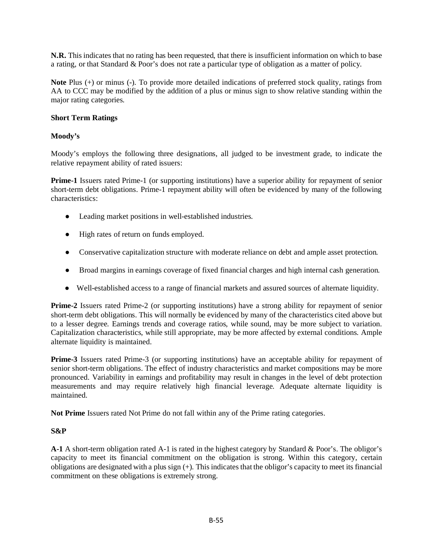**N.R.** This indicates that no rating has been requested, that there is insufficient information on which to base a rating, or that Standard & Poor's does not rate a particular type of obligation as a matter of policy.

**Note** Plus (+) or minus (-). To provide more detailed indications of preferred stock quality, ratings from AA to CCC may be modified by the addition of a plus or minus sign to show relative standing within the major rating categories.

## **Short Term Ratings**

## **Moody's**

Moody's employs the following three designations, all judged to be investment grade, to indicate the relative repayment ability of rated issuers:

**Prime-1** Issuers rated Prime-1 (or supporting institutions) have a superior ability for repayment of senior short-term debt obligations. Prime-1 repayment ability will often be evidenced by many of the following characteristics:

- Leading market positions in well-established industries.
- High rates of return on funds employed.
- Conservative capitalization structure with moderate reliance on debt and ample asset protection.
- Broad margins in earnings coverage of fixed financial charges and high internal cash generation.
- Well-established access to a range of financial markets and assured sources of alternate liquidity.

**Prime-2** Issuers rated Prime-2 (or supporting institutions) have a strong ability for repayment of senior short-term debt obligations. This will normally be evidenced by many of the characteristics cited above but to a lesser degree. Earnings trends and coverage ratios, while sound, may be more subject to variation. Capitalization characteristics, while still appropriate, may be more affected by external conditions. Ample alternate liquidity is maintained.

**Prime-3** Issuers rated Prime-3 (or supporting institutions) have an acceptable ability for repayment of senior short-term obligations. The effect of industry characteristics and market compositions may be more pronounced. Variability in earnings and profitability may result in changes in the level of debt protection measurements and may require relatively high financial leverage. Adequate alternate liquidity is maintained.

**Not Prime** Issuers rated Not Prime do not fall within any of the Prime rating categories.

# **S&P**

**A-1** A short-term obligation rated A-1 is rated in the highest category by Standard & Poor's. The obligor's capacity to meet its financial commitment on the obligation is strong. Within this category, certain obligations are designated with a plus sign (+). This indicates that the obligor's capacity to meet its financial commitment on these obligations is extremely strong.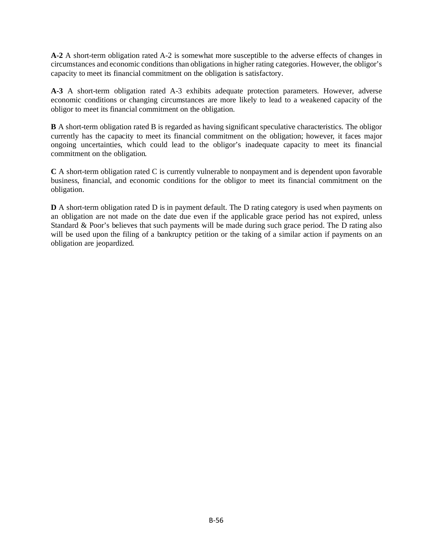**A-2** A short-term obligation rated A-2 is somewhat more susceptible to the adverse effects of changes in circumstances and economic conditions than obligations in higher rating categories. However, the obligor's capacity to meet its financial commitment on the obligation is satisfactory.

**A-3** A short-term obligation rated A-3 exhibits adequate protection parameters. However, adverse economic conditions or changing circumstances are more likely to lead to a weakened capacity of the obligor to meet its financial commitment on the obligation.

**B** A short-term obligation rated B is regarded as having significant speculative characteristics. The obligor currently has the capacity to meet its financial commitment on the obligation; however, it faces major ongoing uncertainties, which could lead to the obligor's inadequate capacity to meet its financial commitment on the obligation.

**C** A short-term obligation rated C is currently vulnerable to nonpayment and is dependent upon favorable business, financial, and economic conditions for the obligor to meet its financial commitment on the obligation.

**D** A short-term obligation rated D is in payment default. The D rating category is used when payments on an obligation are not made on the date due even if the applicable grace period has not expired, unless Standard & Poor's believes that such payments will be made during such grace period. The D rating also will be used upon the filing of a bankruptcy petition or the taking of a similar action if payments on an obligation are jeopardized.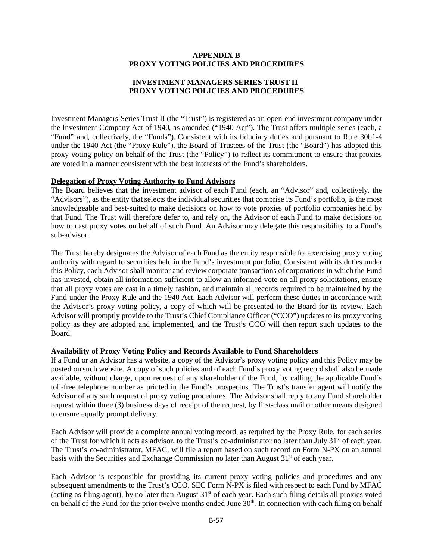## **APPENDIX B PROXY VOTING POLICIES AND PROCEDURES**

# **INVESTMENT MANAGERS SERIES TRUST II PROXY VOTING POLICIES AND PROCEDURES**

Investment Managers Series Trust II (the "Trust") is registered as an open-end investment company under the Investment Company Act of 1940, as amended ("1940 Act"). The Trust offers multiple series (each, a "Fund" and, collectively, the "Funds"). Consistent with its fiduciary duties and pursuant to Rule 30b1-4 under the 1940 Act (the "Proxy Rule"), the Board of Trustees of the Trust (the "Board") has adopted this proxy voting policy on behalf of the Trust (the "Policy") to reflect its commitment to ensure that proxies are voted in a manner consistent with the best interests of the Fund's shareholders.

## **Delegation of Proxy Voting Authority to Fund Advisors**

The Board believes that the investment advisor of each Fund (each, an "Advisor" and, collectively, the "Advisors"), as the entity that selects the individual securities that comprise its Fund's portfolio, is the most knowledgeable and best-suited to make decisions on how to vote proxies of portfolio companies held by that Fund. The Trust will therefore defer to, and rely on, the Advisor of each Fund to make decisions on how to cast proxy votes on behalf of such Fund. An Advisor may delegate this responsibility to a Fund's sub-advisor.

The Trust hereby designates the Advisor of each Fund as the entity responsible for exercising proxy voting authority with regard to securities held in the Fund's investment portfolio. Consistent with its duties under this Policy, each Advisor shall monitor and review corporate transactions of corporations in which the Fund has invested, obtain all information sufficient to allow an informed vote on all proxy solicitations, ensure that all proxy votes are cast in a timely fashion, and maintain all records required to be maintained by the Fund under the Proxy Rule and the 1940 Act. Each Advisor will perform these duties in accordance with the Advisor's proxy voting policy, a copy of which will be presented to the Board for its review. Each Advisor will promptly provide to the Trust's Chief Compliance Officer ("CCO") updates to its proxy voting policy as they are adopted and implemented, and the Trust's CCO will then report such updates to the Board.

## **Availability of Proxy Voting Policy and Records Available to Fund Shareholders**

If a Fund or an Advisor has a website, a copy of the Advisor's proxy voting policy and this Policy may be posted on such website. A copy of such policies and of each Fund's proxy voting record shall also be made available, without charge, upon request of any shareholder of the Fund, by calling the applicable Fund's toll-free telephone number as printed in the Fund's prospectus. The Trust's transfer agent will notify the Advisor of any such request of proxy voting procedures. The Advisor shall reply to any Fund shareholder request within three (3) business days of receipt of the request, by first-class mail or other means designed to ensure equally prompt delivery.

Each Advisor will provide a complete annual voting record, as required by the Proxy Rule, for each series of the Trust for which it acts as advisor, to the Trust's co-administrator no later than July 31<sup>st</sup> of each year. The Trust's co-administrator, MFAC, will file a report based on such record on Form N-PX on an annual basis with the Securities and Exchange Commission no later than August  $31<sup>st</sup>$  of each year.

Each Advisor is responsible for providing its current proxy voting policies and procedures and any subsequent amendments to the Trust's CCO. SEC Form N-PX is filed with respect to each Fund by MFAC (acting as filing agent), by no later than August  $31<sup>st</sup>$  of each year. Each such filing details all proxies voted on behalf of the Fund for the prior twelve months ended June 30<sup>th</sup>. In connection with each filing on behalf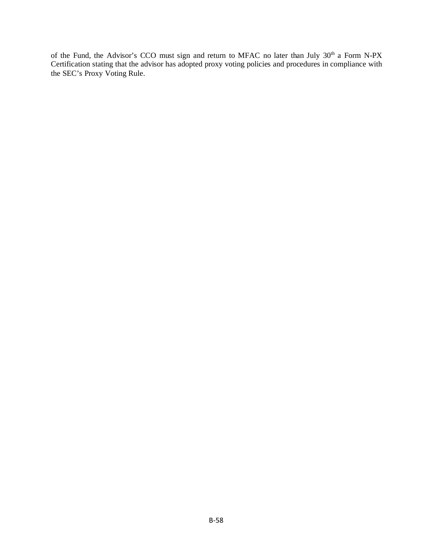of the Fund, the Advisor's CCO must sign and return to MFAC no later than July 30<sup>th</sup> a Form N-PX Certification stating that the advisor has adopted proxy voting policies and procedures in compliance with the SEC's Proxy Voting Rule.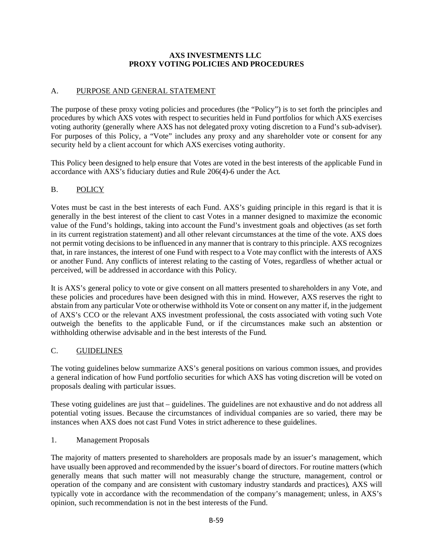## **AXS INVESTMENTS LLC PROXY VOTING POLICIES AND PROCEDURES**

# A. PURPOSE AND GENERAL STATEMENT

The purpose of these proxy voting policies and procedures (the "Policy") is to set forth the principles and procedures by which AXS votes with respect to securities held in Fund portfolios for which AXS exercises voting authority (generally where AXS has not delegated proxy voting discretion to a Fund's sub-adviser). For purposes of this Policy, a "Vote" includes any proxy and any shareholder vote or consent for any security held by a client account for which AXS exercises voting authority.

This Policy been designed to help ensure that Votes are voted in the best interests of the applicable Fund in accordance with AXS's fiduciary duties and Rule 206(4)-6 under the Act.

# B. POLICY

Votes must be cast in the best interests of each Fund. AXS's guiding principle in this regard is that it is generally in the best interest of the client to cast Votes in a manner designed to maximize the economic value of the Fund's holdings, taking into account the Fund's investment goals and objectives (as set forth in its current registration statement) and all other relevant circumstances at the time of the vote. AXS does not permit voting decisions to be influenced in any manner that is contrary to this principle. AXS recognizes that, in rare instances, the interest of one Fund with respect to a Vote may conflict with the interests of AXS or another Fund. Any conflicts of interest relating to the casting of Votes, regardless of whether actual or perceived, will be addressed in accordance with this Policy.

It is AXS's general policy to vote or give consent on all matters presented to shareholders in any Vote, and these policies and procedures have been designed with this in mind. However, AXS reserves the right to abstain from any particular Vote or otherwise withhold its Vote or consent on any matter if, in the judgement of AXS's CCO or the relevant AXS investment professional, the costs associated with voting such Vote outweigh the benefits to the applicable Fund, or if the circumstances make such an abstention or withholding otherwise advisable and in the best interests of the Fund.

# C. GUIDELINES

The voting guidelines below summarize AXS's general positions on various common issues, and provides a general indication of how Fund portfolio securities for which AXS has voting discretion will be voted on proposals dealing with particular issues.

These voting guidelines are just that – guidelines. The guidelines are not exhaustive and do not address all potential voting issues. Because the circumstances of individual companies are so varied, there may be instances when AXS does not cast Fund Votes in strict adherence to these guidelines.

# 1. Management Proposals

The majority of matters presented to shareholders are proposals made by an issuer's management, which have usually been approved and recommended by the issuer's board of directors. For routine matters (which generally means that such matter will not measurably change the structure, management, control or operation of the company and are consistent with customary industry standards and practices), AXS will typically vote in accordance with the recommendation of the company's management; unless, in AXS's opinion, such recommendation is not in the best interests of the Fund.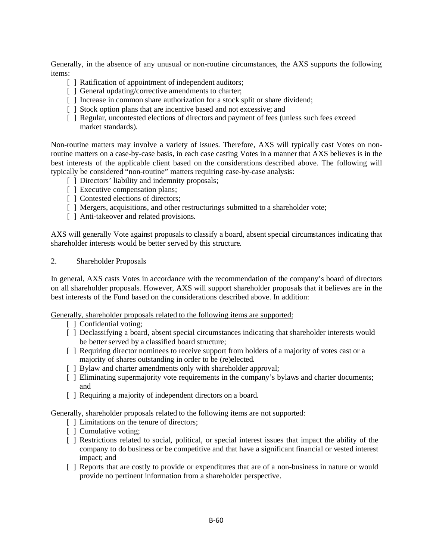Generally, in the absence of any unusual or non-routine circumstances, the AXS supports the following items:

- [ ] Ratification of appointment of independent auditors;
- [ ] General updating/corrective amendments to charter;
- [ ] Increase in common share authorization for a stock split or share dividend;
- [ ] Stock option plans that are incentive based and not excessive; and
- [ ] Regular, uncontested elections of directors and payment of fees (unless such fees exceed market standards).

Non-routine matters may involve a variety of issues. Therefore, AXS will typically cast Votes on nonroutine matters on a case-by-case basis, in each case casting Votes in a manner that AXS believes is in the best interests of the applicable client based on the considerations described above. The following will typically be considered "non-routine" matters requiring case-by-case analysis:

- [  $\parallel$  ] Directors' liability and indemnity proposals;
- [ ] Executive compensation plans;
- [ ] Contested elections of directors;
- [ ] Mergers, acquisitions, and other restructurings submitted to a shareholder vote;
- [  $\blacksquare$  Anti-takeover and related provisions.

AXS will generally Vote against proposals to classify a board, absent special circumstances indicating that shareholder interests would be better served by this structure.

2. Shareholder Proposals

In general, AXS casts Votes in accordance with the recommendation of the company's board of directors on all shareholder proposals. However, AXS will support shareholder proposals that it believes are in the best interests of the Fund based on the considerations described above. In addition:

Generally, shareholder proposals related to the following items are supported:

- [  $\vert$  Confidential voting;
- [ ] Declassifying a board, absent special circumstances indicating that shareholder interests would be better served by a classified board structure;
- [ ] Requiring director nominees to receive support from holders of a majority of votes cast or a majority of shares outstanding in order to be (re)elected.
- [ ] Bylaw and charter amendments only with shareholder approval;
- [ ] Eliminating supermajority vote requirements in the company's bylaws and charter documents; and
- [ ] Requiring a majority of independent directors on a board.

Generally, shareholder proposals related to the following items are not supported:

- [ ] Limitations on the tenure of directors;
- [ ] Cumulative voting;
- [ ] Restrictions related to social, political, or special interest issues that impact the ability of the company to do business or be competitive and that have a significant financial or vested interest impact; and
- [ ] Reports that are costly to provide or expenditures that are of a non-business in nature or would provide no pertinent information from a shareholder perspective.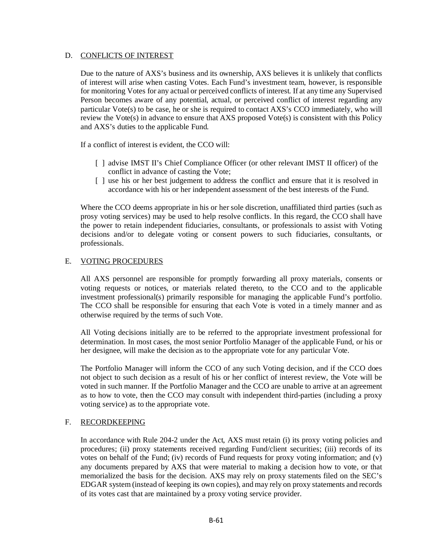### D. CONFLICTS OF INTEREST

Due to the nature of AXS's business and its ownership, AXS believes it is unlikely that conflicts of interest will arise when casting Votes. Each Fund's investment team, however, is responsible for monitoring Votes for any actual or perceived conflicts of interest. If at any time any Supervised Person becomes aware of any potential, actual, or perceived conflict of interest regarding any particular Vote(s) to be case, he or she is required to contact AXS's CCO immediately, who will review the Vote(s) in advance to ensure that AXS proposed Vote(s) is consistent with this Policy and AXS's duties to the applicable Fund.

If a conflict of interest is evident, the CCO will:

- [ ] advise IMST II's Chief Compliance Officer (or other relevant IMST II officer) of the conflict in advance of casting the Vote;
- [ ] use his or her best judgement to address the conflict and ensure that it is resolved in accordance with his or her independent assessment of the best interests of the Fund.

Where the CCO deems appropriate in his or her sole discretion, unaffiliated third parties (such as prosy voting services) may be used to help resolve conflicts. In this regard, the CCO shall have the power to retain independent fiduciaries, consultants, or professionals to assist with Voting decisions and/or to delegate voting or consent powers to such fiduciaries, consultants, or professionals.

### E. VOTING PROCEDURES

All AXS personnel are responsible for promptly forwarding all proxy materials, consents or voting requests or notices, or materials related thereto, to the CCO and to the applicable investment professional(s) primarily responsible for managing the applicable Fund's portfolio. The CCO shall be responsible for ensuring that each Vote is voted in a timely manner and as otherwise required by the terms of such Vote.

All Voting decisions initially are to be referred to the appropriate investment professional for determination. In most cases, the most senior Portfolio Manager of the applicable Fund, or his or her designee, will make the decision as to the appropriate vote for any particular Vote.

The Portfolio Manager will inform the CCO of any such Voting decision, and if the CCO does not object to such decision as a result of his or her conflict of interest review, the Vote will be voted in such manner. If the Portfolio Manager and the CCO are unable to arrive at an agreement as to how to vote, then the CCO may consult with independent third-parties (including a proxy voting service) as to the appropriate vote.

#### F. RECORDKEEPING

In accordance with Rule 204-2 under the Act, AXS must retain (i) its proxy voting policies and procedures; (ii) proxy statements received regarding Fund/client securities; (iii) records of its votes on behalf of the Fund; (iv) records of Fund requests for proxy voting information; and (v) any documents prepared by AXS that were material to making a decision how to vote, or that memorialized the basis for the decision. AXS may rely on proxy statements filed on the SEC's EDGAR system (instead of keeping its own copies), and may rely on proxy statements and records of its votes cast that are maintained by a proxy voting service provider.